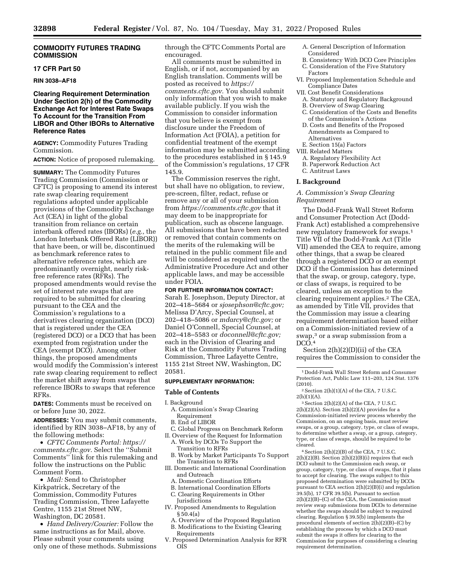#### **COMMODITY FUTURES TRADING COMMISSION**

#### **17 CFR Part 50**

#### **RIN 3038–AF18**

# **Clearing Requirement Determination Under Section 2(h) of the Commodity Exchange Act for Interest Rate Swaps To Account for the Transition From LIBOR and Other IBORs to Alternative Reference Rates**

**AGENCY:** Commodity Futures Trading Commission.

#### **ACTION:** Notice of proposed rulemaking.

**SUMMARY:** The Commodity Futures Trading Commission (Commission or CFTC) is proposing to amend its interest rate swap clearing requirement regulations adopted under applicable provisions of the Commodity Exchange Act (CEA) in light of the global transition from reliance on certain interbank offered rates (IBORs) (*e.g.,* the London Interbank Offered Rate (LIBOR)) that have been, or will be, discontinued as benchmark reference rates to alternative reference rates, which are predominantly overnight, nearly riskfree reference rates (RFRs). The proposed amendments would revise the set of interest rate swaps that are required to be submitted for clearing pursuant to the CEA and the Commission's regulations to a derivatives clearing organization (DCO) that is registered under the CEA (registered DCO) or a DCO that has been exempted from registration under the CEA (exempt DCO). Among other things, the proposed amendments would modify the Commission's interest rate swap clearing requirement to reflect the market shift away from swaps that reference IBORs to swaps that reference RFRs.

**DATES:** Comments must be received on or before June 30, 2022.

**ADDRESSES:** You may submit comments, identified by RIN 3038–AF18, by any of the following methods:

• *CFTC Comments Portal: [https://](https://comments.cftc.gov) [comments.cftc.gov.](https://comments.cftc.gov)* Select the "Submit" Comments'' link for this rulemaking and follow the instructions on the Public Comment Form.

• *Mail:* Send to Christopher Kirkpatrick, Secretary of the Commission, Commodity Futures Trading Commission, Three Lafayette Centre, 1155 21st Street NW, Washington, DC 20581.

• *Hand Delivery/Courier:* Follow the same instructions as for Mail, above. Please submit your comments using only one of these methods. Submissions through the CFTC Comments Portal are encouraged.

All comments must be submitted in English, or if not, accompanied by an English translation. Comments will be posted as received to *[https://](https://comments.cftc.gov) [comments.cftc.gov.](https://comments.cftc.gov)* You should submit only information that you wish to make available publicly. If you wish the Commission to consider information that you believe is exempt from disclosure under the Freedom of Information Act (FOIA), a petition for confidential treatment of the exempt information may be submitted according to the procedures established in § 145.9 of the Commission's regulations, 17 CFR 145.9.

The Commission reserves the right, but shall have no obligation, to review, pre-screen, filter, redact, refuse or remove any or all of your submission from *<https://comments.cftc.gov>* that it may deem to be inappropriate for publication, such as obscene language. All submissions that have been redacted or removed that contain comments on the merits of the rulemaking will be retained in the public comment file and will be considered as required under the Administrative Procedure Act and other applicable laws, and may be accessible under FOIA.

# **FOR FURTHER INFORMATION CONTACT:**

Sarah E. Josephson, Deputy Director, at 202–418–5684 or *[sjosephson@cftc.gov;](mailto:sjosephson@cftc.gov)*  Melissa D'Arcy, Special Counsel, at 202–418–5086 or *[mdarcy@cftc.gov;](mailto:mdarcy@cftc.gov)* or Daniel O'Connell, Special Counsel, at 202–418–5583 or *[doconnell@cftc.gov;](mailto:doconnell@cftc.gov)*  each in the Division of Clearing and Risk at the Commodity Futures Trading Commission, Three Lafayette Centre, 1155 21st Street NW, Washington, DC 20581.

#### **SUPPLEMENTARY INFORMATION:**

#### **Table of Contents**

I. Background

- A. Commission's Swap Clearing
- Requirement
- B. End of LIBOR
- C. Global Progress on Benchmark Reform II. Overview of the Request for Information
	- A. Work by DCOs To Support the Transition to RFRs
- B. Work by Market Participants To Support the Transition to RFRs
- III. Domestic and International Coordination and Outreach
	- A. Domestic Coordination Efforts
	- B. International Coordination Efforts
- C. Clearing Requirements in Other Jurisdictions
- IV. Proposed Amendments to Regulation § 50.4(a)
- A. Overview of the Proposed Regulation B. Modifications to the Existing Clearing
- Requirements V. Proposed Determination Analysis for RFR **O**<sub>IS</sub>
- A. General Description of Information Considered
- B. Consistency With DCO Core Principles
- C. Consideration of the Five Statutory Factors
- VI. Proposed Implementation Schedule and Compliance Dates
- VII. Cost Benefit Considerations
	- A. Statutory and Regulatory Background
	- B. Overview of Swap Clearing
	- C. Consideration of the Costs and Benefits of the Commission's Actions
	- D. Costs and Benefits of the Proposed Amendments as Compared to Alternatives
	- E. Section 15(a) Factors
- VIII. Related Matters
- A. Regulatory Flexibility Act
- B. Paperwork Reduction Act
- C. Antitrust Laws

#### **I. Background**

#### *A. Commission's Swap Clearing Requirement*

The Dodd-Frank Wall Street Reform and Consumer Protection Act (Dodd-Frank Act) established a comprehensive new regulatory framework for swaps.1 Title VII of the Dodd-Frank Act (Title VII) amended the CEA to require, among other things, that a swap be cleared through a registered DCO or an exempt DCO if the Commission has determined that the swap, or group, category, type, or class of swaps, is required to be cleared, unless an exception to the clearing requirement applies.2 The CEA, as amended by Title VII, provides that the Commission may issue a clearing requirement determination based either on a Commission-initiated review of a swap,<sup>3</sup> or a swap submission from a  $DCO.4$ 

Section 2(h)(2)(D)(ii) of the CEA requires the Commission to consider the

1 Dodd-Frank Wall Street Reform and Consumer Protection Act, Public Law 111–203, 124 Stat. 1376 (2010).

 $2$  Section 2(h)(1)(A) of the CEA, 7 U.S.C.  $2(h)(1)(A)$ .

3Section 2(h)(2)(A) of the CEA, 7 U.S.C.  $2(h)(2)(A)$ . Section  $2(h)(2)(A)$  provides for a Commission-initiated review process whereby the Commission, on an ongoing basis, must review swaps, or a group, category, type, or class of swaps, to determine whether a swap, or a group, category, type, or class of swaps, should be required to be cleared.

4Section 2(h)(2)(B) of the CEA, 7 U.S.C. 2(h)(2)(B). Section 2(h)(2)(B)(i) requires that each DCO submit to the Commission each swap, or group, category, type, or class of swaps, that it plans to accept for clearing. The swaps subject to this proposed determination were submitted by DCOs pursuant to CEA section 2(h)(2)(B)(i) and regulation 39.5(b), 17 CFR 39.5(b). Pursuant to section 2(h)(2)(B)–(C) of the CEA, the Commission must review swap submissions from DCOs to determine whether the swaps should be subject to required clearing. Regulation § 39.5(b) implements the procedural elements of section  $2(h)(2)(B)$ –(C) by establishing the process by which a DCO must submit the swaps it offers for clearing to the Commission for purposes of considering a clearing requirement determination.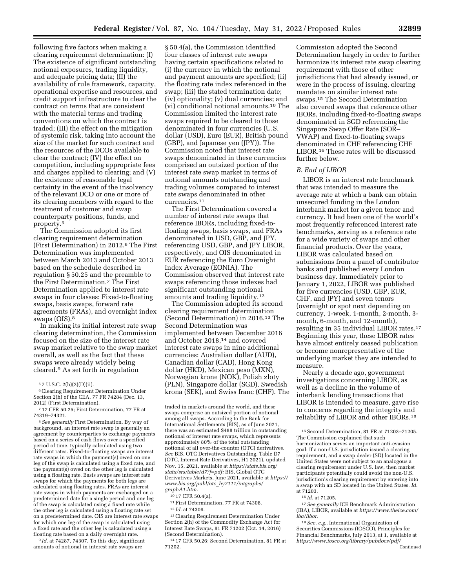following five factors when making a clearing requirement determination: (I) The existence of significant outstanding notional exposures, trading liquidity, and adequate pricing data; (II) the availability of rule framework, capacity, operational expertise and resources, and credit support infrastructure to clear the contract on terms that are consistent with the material terms and trading conventions on which the contract is traded; (III) the effect on the mitigation of systemic risk, taking into account the size of the market for such contract and the resources of the DCOs available to clear the contract; (IV) the effect on competition, including appropriate fees and charges applied to clearing; and (V) the existence of reasonable legal certainty in the event of the insolvency of the relevant DCO or one or more of its clearing members with regard to the treatment of customer and swap counterparty positions, funds, and property.5

The Commission adopted its first clearing requirement determination (First Determination) in 2012.6 The First Determination was implemented between March 2013 and October 2013 based on the schedule described in regulation § 50.25 and the preamble to the First Determination.7 The First Determination applied to interest rate swaps in four classes: Fixed-to-floating swaps, basis swaps, forward rate agreements (FRAs), and overnight index swaps (OIS).8

In making its initial interest rate swap clearing determination, the Commission focused on the size of the interest rate swap market relative to the swap market overall, as well as the fact that these swaps were already widely being cleared.9 As set forth in regulation

8*See generally* First Determination. By way of background, an interest rate swap is generally an agreement by counterparties to exchange payments based on a series of cash flows over a specified period of time, typically calculated using two different rates. Fixed-to-floating swaps are interest rate swaps in which the payment(s) owed on one leg of the swap is calculated using a fixed rate, and the payment(s) owed on the other leg is calculated using a floating rate. Basis swaps are interest rate swaps for which the payments for both legs are calculated using floating rates. FRAs are interest rate swaps in which payments are exchanged on a predetermined date for a single period and one leg of the swap is calculated using a fixed rate while the other leg is calculated using a floating rate set on a predetermined date. OIS are interest rate swaps for which one leg of the swap is calculated using a fixed rate and the other leg is calculated using a floating rate based on a daily overnight rate.

9 *Id.* at 74287, 74307. To this day, significant amounts of notional in interest rate swaps are

§ 50.4(a), the Commission identified four classes of interest rate swaps having certain specifications related to (i) the currency in which the notional and payment amounts are specified; (ii) the floating rate index referenced in the swap; (iii) the stated termination date; (iv) optionality; (v) dual currencies; and (vi) conditional notional amounts.10 The Commission limited the interest rate swaps required to be cleared to those denominated in four currencies (U.S. dollar (USD), Euro (EUR), British pound (GBP), and Japanese yen (JPY)). The Commission noted that interest rate swaps denominated in these currencies comprised an outsized portion of the interest rate swap market in terms of notional amounts outstanding and trading volumes compared to interest rate swaps denominated in other currencies.11

The First Determination covered a number of interest rate swaps that reference IBORs, including fixed-tofloating swaps, basis swaps, and FRAs denominated in USD, GBP, and JPY, referencing USD, GBP, and JPY LIBOR, respectively, and OIS denominated in EUR referencing the Euro Overnight Index Average (EONIA). The Commission observed that interest rate swaps referencing those indexes had significant outstanding notional amounts and trading liquidity.12

The Commission adopted its second clearing requirement determination (Second Determination) in 2016.13 The Second Determination was implemented between December 2016 and October 2018,14 and covered interest rate swaps in nine additional currencies: Australian dollar (AUD), Canadian dollar (CAD), Hong Kong dollar (HKD), Mexican peso (MXN), Norwegian krone (NOK), Polish zloty (PLN), Singapore dollar (SGD), Swedish krona (SEK), and Swiss franc (CHF). The

12 *Id.* at 74309.

13Clearing Requirement Determination Under Section 2(h) of the Commodity Exchange Act for Interest Rate Swaps, 81 FR 71202 (Oct. 14, 2016) (Second Determination).

14 17 CFR 50.26; Second Determination, 81 FR at 71202.

Commission adopted the Second Determination largely in order to further harmonize its interest rate swap clearing requirement with those of other jurisdictions that had already issued, or were in the process of issuing, clearing mandates on similar interest rate swaps.15 The Second Determination also covered swaps that reference other IBORs, including fixed-to-floating swaps denominated in SGD referencing the Singapore Swap Offer Rate (SOR– VWAP) and fixed-to-floating swaps denominated in CHF referencing CHF LIBOR.16 These rates will be discussed further below.

#### *B. End of LIBOR*

LIBOR is an interest rate benchmark that was intended to measure the average rate at which a bank can obtain unsecured funding in the London interbank market for a given tenor and currency. It had been one of the world's most frequently referenced interest rate benchmarks, serving as a reference rate for a wide variety of swaps and other financial products. Over the years, LIBOR was calculated based on submissions from a panel of contributor banks and published every London business day. Immediately prior to January 1, 2022, LIBOR was published for five currencies (USD, GBP, EUR, CHF, and JPY) and seven tenors (overnight or spot next depending on currency, 1-week, 1-month, 2-month, 3 month, 6-month, and 12-month), resulting in 35 individual LIBOR rates.17 Beginning this year, these LIBOR rates have almost entirely ceased publication or become nonrepresentative of the underlying market they are intended to measure.

Nearly a decade ago, government investigations concerning LIBOR, as well as a decline in the volume of interbank lending transactions that LIBOR is intended to measure, gave rise to concerns regarding the integrity and reliability of LIBOR and other IBORs.18

<sup>5</sup> 7 U.S.C. 2(h)(2)(D)(ii).

<sup>6</sup>Clearing Requirement Determination Under Section 2(h) of the CEA, 77 FR 74284 (Dec. 13, 2012) (First Determination).

<sup>7</sup> 17 CFR 50.25; First Determination, 77 FR at 74319–74321.

traded in markets around the world, and these swaps comprise an outsized portion of notional among all swaps. According to the Bank for International Settlements (BIS), as of June 2021, there was an estimated \$488 trillion in outstanding notional of interest rate swaps, which represents approximately 80% of the total outstanding notional of all over-the-counter (OTC) derivatives. *See* BIS, OTC Derivatives Outstanding, Table D7 (OTC, Interest Rate Derivatives, H1 2021), updated Nov. 15, 2021, available at *[https://stats.bis.org/](https://stats.bis.org/statx/srs/table/d7?f=pdf) [statx/srs/table/d7?f=pdf;](https://stats.bis.org/statx/srs/table/d7?f=pdf)* BIS, Global OTC Derivatives Markets, June 2021, available at *[https://](https://www.bis.org/publ/otc_hy2111/intgraphs/graphA1.htm)  [www.bis.org/publ/otc](https://www.bis.org/publ/otc_hy2111/intgraphs/graphA1.htm)*\_*hy2111/intgraphs/ [graphA1.htm.](https://www.bis.org/publ/otc_hy2111/intgraphs/graphA1.htm)* 

<sup>10</sup> 17 CFR 50.4(a).

<sup>11</sup>First Determination, 77 FR at 74308.

<sup>15</sup>Second Determination, 81 FR at 71203–71205. The Commission explained that such harmonization serves an important anti-evasion goal: If a non-U.S. jurisdiction issued a clearing requirement, and a swap dealer (SD) located in the United States were not subject to an analogous a clearing requirement under U.S. law, then market participants potentially could avoid the non-U.S. jurisdiction's clearing requirement by entering into a swap with an SD located in the United States. *Id.*  at 71203.

<sup>16</sup> *Id.* at 71205.

<sup>17</sup>*See generally* ICE Benchmark Administration (IBA), LIBOR, available at *[https://www.theice.com/](https://www.theice.com/iba/libor)  [iba/libor.](https://www.theice.com/iba/libor)* 

<sup>18</sup>*See, e.g.,* International Organization of Securities Commissions (IOSCO), Principles for Financial Benchmarks, July 2013, at 1, available at *[https://www.iosco.org/library/pubdocs/pdf/](https://www.iosco.org/library/pubdocs/pdf/IOSCOPD415.pdf)*  Continued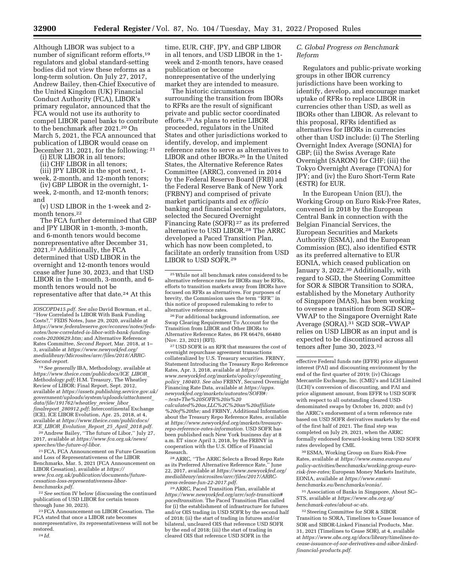Although LIBOR was subject to a number of significant reform efforts,<sup>19</sup> regulators and global standard-setting bodies did not view these reforms as a long-term solution. On July 27, 2017, Andrew Bailey, then-Chief Executive of the United Kingdom (UK) Financial Conduct Authority (FCA), LIBOR's primary regulator, announced that the FCA would not use its authority to compel LIBOR panel banks to contribute to the benchmark after 2021.20 On March 5, 2021, the FCA announced that publication of LIBOR would cease on December 31, 2021, for the following: 21

(i) EUR LIBOR in all tenors;

(ii) CHF LIBOR in all tenors;

(iii) JPY LIBOR in the spot next, 1 week, 2-month, and 12-month tenors;

(iv) GBP LIBOR in the overnight, 1 week, 2-month, and 12-month tenors; and

(v) USD LIBOR in the 1-week and 2 month tenors.<sup>22</sup>

The FCA further determined that GBP and JPY LIBOR in 1-month, 3-month, and 6-month tenors would become nonrepresentative after December 31, 2021.23 Additionally, the FCA determined that USD LIBOR in the overnight and 12-month tenors would cease after June 30, 2023, and that USD LIBOR in the 1-month, 3-month, and 6 month tenors would not be representative after that date.24 At this

*[IOSCOPD415.pdf. S](https://www.iosco.org/library/pubdocs/pdf/IOSCOPD415.pdf)ee also* David Bowman, et al., ''How Correlated Is LIBOR With Bank Funding Costs?,'' FEDS Notes, June 29, 2020, available at *[https://www.federalreserve.gov/econres/notes/feds](https://www.federalreserve.gov/econres/notes/feds-notes/how-correlated-is-libor-with-bank-funding-costs-20200629.htm)[notes/how-correlated-is-libor-with-bank-funding](https://www.federalreserve.gov/econres/notes/feds-notes/how-correlated-is-libor-with-bank-funding-costs-20200629.htm)[costs-20200629.htm;](https://www.federalreserve.gov/econres/notes/feds-notes/how-correlated-is-libor-with-bank-funding-costs-20200629.htm)* and Alternative Reference Rates Committee, *Second Report,* Mar. 2018, at 1– 3, available at *[https://www.newyorkfed.org/](https://www.newyorkfed.org/medialibrary/Microsites/arrc/files/2018/ARRC-Second-report)  [medialibrary/Microsites/arrc/files/2018/ARRC-](https://www.newyorkfed.org/medialibrary/Microsites/arrc/files/2018/ARRC-Second-report)[Second-report.](https://www.newyorkfed.org/medialibrary/Microsites/arrc/files/2018/ARRC-Second-report)* 

19*See generally* IBA, Methodology, available at *[https://www.theice.com/publicdocs/ICE](https://www.theice.com/publicdocs/ICE_LIBOR_Methodology.pdf)*\_*LIBOR*\_ *[Methodology.pdf;](https://www.theice.com/publicdocs/ICE_LIBOR_Methodology.pdf)* H.M. Treasury, The Wheatley Review of LIBOR: Final Report, Sept. 2012, available at *[https://assets.publishing.service.gov.uk/](https://assets.publishing.service.gov.uk/government/uploads/system/uploads/attachment_data/file/191762/wheatley_review_libor_finalreport_280912.pdf) [government/uploads/system/uploads/attachment](https://assets.publishing.service.gov.uk/government/uploads/system/uploads/attachment_data/file/191762/wheatley_review_libor_finalreport_280912.pdf)*\_ *[data/file/191762/wheatley](https://assets.publishing.service.gov.uk/government/uploads/system/uploads/attachment_data/file/191762/wheatley_review_libor_finalreport_280912.pdf)*\_*review*\_*libor*\_ *finalreport*\_*[280912.pdf;](https://assets.publishing.service.gov.uk/government/uploads/system/uploads/attachment_data/file/191762/wheatley_review_libor_finalreport_280912.pdf)* Intercontinental Exchange (ICE), ICE LIBOR Evolution, Apr. 25, 2018, at 4, available at *[https://www.theice.com/publicdocs/](https://www.theice.com/publicdocs/ICE_LIBOR_Evolution_Report_25_April_2018.pdf)  ICE*\_*LIBOR*\_*[Evolution](https://www.theice.com/publicdocs/ICE_LIBOR_Evolution_Report_25_April_2018.pdf)*\_*Report*\_*25*\_*April*\_*2018.pdf.* 

20Andrew Bailey, ''The future of Libor,'' July 27, 2017, available at *[https://www.fca.org.uk/news/](https://www.fca.org.uk/news/speeches/the-future-of-libor) [speeches/the-future-of-libor.](https://www.fca.org.uk/news/speeches/the-future-of-libor)* 

21FCA, FCA Announcement on Future Cessation and Loss of Representativeness of the LIBOR Benchmarks, Mar. 5, 2021 (FCA Announcement on LIBOR Cessation), available at *[https://](https://www.fca.org.uk/publication/documents/future-cessation-loss-representativeness-libor-benchmarks.pdf) [www.fca.org.uk/publication/documents/future](https://www.fca.org.uk/publication/documents/future-cessation-loss-representativeness-libor-benchmarks.pdf)[cessation-loss-representativeness-libor](https://www.fca.org.uk/publication/documents/future-cessation-loss-representativeness-libor-benchmarks.pdf)[benchmarks.pdf.](https://www.fca.org.uk/publication/documents/future-cessation-loss-representativeness-libor-benchmarks.pdf)* 

22*See* section IV below (discussing the continued publication of USD LIBOR for certain tenors through June 30, 2023).

23FCA Announcement on LIBOR Cessation. The FCA stated that once a LIBOR rate becomes nonrepresentative, its representativeness will not be restored.

24 *Id.* 

time, EUR, CHF, JPY, and GBP LIBOR in all tenors, and USD LIBOR in the 1 week and 2-month tenors, have ceased publication or become nonrepresentative of the underlying market they are intended to measure.

The historic circumstances surrounding the transition from IBORs to RFRs are the result of significant private and public sector coordinated efforts.25 As plans to retire LIBOR proceeded, regulators in the United States and other jurisdictions worked to identify, develop, and implement reference rates to serve as alternatives to LIBOR and other IBORs.26 In the United States, the Alternative Reference Rates Committee (ARRC), convened in 2014 by the Federal Reserve Board (FRB) and the Federal Reserve Bank of New York (FRBNY) and comprised of private market participants and *ex officio*  banking and financial sector regulators, selected the Secured Overnight Financing Rate (SOFR) 27 as its preferred alternative to USD LIBOR.28 The ARRC developed a Paced Transition Plan, which has now been completed, to facilitate an orderly transition from USD LIBOR to USD SOFR.29

26For additional background information, *see*  Swap Clearing Requirement To Account for the Transition from LIBOR and Other IBORs to Alternative Reference Rates, 86 FR 66476, 66480 (Nov. 23, 2021) (RFI).

27USD SOFR is an RFR that measures the cost of overnight repurchase agreement transactions collateralized by U.S. Treasury securities. FRBNY, Statement Introducing the Treasury Repo Reference Rates, Apr. 3, 2018, available at *[https://](https://www.newyorkfed.org/markets/opolicy/operating_policy_180403) [www.newyorkfed.org/markets/opolicy/operating](https://www.newyorkfed.org/markets/opolicy/operating_policy_180403)*\_ *policy*\_*[180403.](https://www.newyorkfed.org/markets/opolicy/operating_policy_180403) See also* FRBNY, Secured Overnight Financing Rate Data, available at *[https://apps.](https://apps.newyorkfed.org/markets/autorates/SOFR#:~:text=The%20SOFR%20is%20calculated%20as,LLC%2C%20an%20affiliate%20of%20the) [newyorkfed.org/markets/autorates/SOFR#:](https://apps.newyorkfed.org/markets/autorates/SOFR#:~:text=The%20SOFR%20is%20calculated%20as,LLC%2C%20an%20affiliate%20of%20the)* ∼*[:text=The%20SOFR%20is%20](https://apps.newyorkfed.org/markets/autorates/SOFR#:~:text=The%20SOFR%20is%20calculated%20as,LLC%2C%20an%20affiliate%20of%20the) [calculated%20as,LLC%2C%20an%20affiliate](https://apps.newyorkfed.org/markets/autorates/SOFR#:~:text=The%20SOFR%20is%20calculated%20as,LLC%2C%20an%20affiliate%20of%20the) [%20of%20the;](https://apps.newyorkfed.org/markets/autorates/SOFR#:~:text=The%20SOFR%20is%20calculated%20as,LLC%2C%20an%20affiliate%20of%20the)* and FRBNY, Additional Information about the Treasury Repo Reference Rates, available at *[https://www.newyorkfed.org/markets/treasury](https://www.newyorkfed.org/markets/treasury-repo-reference-rates-information)[repo-reference-rates-information.](https://www.newyorkfed.org/markets/treasury-repo-reference-rates-information)* USD SOFR has been published each New York business day at 8 a.m. ET since April 3, 2018, by the FRBNY in cooperation with the U.S. Office of Financial Research.

28ARRC, ''The ARRC Selects a Broad Repo Rate as its Preferred Alternative Reference Rate,'' June 22, 2017, available at *[https://www.newyorkfed.org/](https://www.newyorkfed.org/medialibrary/microsites/arrc/files/2017/ARRC-press-release-Jun-22-2017.pdf) [medialibrary/microsites/arrc/files/2017/ARRC](https://www.newyorkfed.org/medialibrary/microsites/arrc/files/2017/ARRC-press-release-Jun-22-2017.pdf)[press-release-Jun-22-2017.pdf.](https://www.newyorkfed.org/medialibrary/microsites/arrc/files/2017/ARRC-press-release-Jun-22-2017.pdf)* 

29ARRC, Paced Transition Plan, available at *[https://www.newyorkfed.org/arrc/sofr-transition#](https://www.newyorkfed.org/arrc/sofr-transition#pacedtransition) [pacedtransition.](https://www.newyorkfed.org/arrc/sofr-transition#pacedtransition)* The Paced Transition Plan called for (i) the establishment of infrastructure for futures and/or OIS trading in USD SOFR by the second half of 2018; (ii) the start of trading in futures and/or bilateral, uncleared OIS that reference USD SOFR by the end of 2018; (iii) the start of trading in cleared OIS that reference USD SOFR in the

# *C. Global Progress on Benchmark Reform*

Regulators and public-private working groups in other IBOR currency jurisdictions have been working to identify, develop, and encourage market uptake of RFRs to replace LIBOR in currencies other than USD, as well as IBORs other than LIBOR. As relevant to this proposal, RFRs identified as alternatives for IBORs in currencies other than USD include: (i) The Sterling Overnight Index Average (SONIA) for GBP; (ii) the Swiss Average Rate Overnight (SARON) for CHF; (iii) the Tokyo Overnight Average (TONA) for JPY; and (iv) the Euro Short-Term Rate  $(\epsilon$ STR) for EUR.

In the European Union (EU), the Working Group on Euro Risk-Free Rates, convened in 2018 by the European Central Bank in connection with the Belgian Financial Services, the European Securities and Markets Authority (ESMA), and the European Commission (EC), also identified  $\epsilon$ STR as its preferred alternative to EUR EONIA, which ceased publication on January 3, 2022.30 Additionally, with regard to SGD, the Steering Committee for SOR & SIBOR Transition to SORA, established by the Monetary Authority of Singapore (MAS), has been working to oversee a transition from SGD SOR– VWAP to the Singapore Overnight Rate Average (SORA).31 SGD SOR–VWAP relies on USD LIBOR as an input and is expected to be discontinued across all tenors after June 30, 2023.32

effective Federal funds rate (EFFR) price alignment interest (PAI) and discounting environment by the end of the first quarter of 2019; (iv) Chicago Mercantile Exchange, Inc. (CME)'s and LCH Limited (LCH)'s conversion of discounting, and PAI and price alignment amount, from EFFR to USD SOFR with respect to all outstanding cleared USDdenominated swaps by October 16, 2020; and (v) the ARRC's endorsement of a term reference rate based on USD SOFR derivatives markets by the end of the first half of 2021. The final step was completed on July 29, 2021, when the ARRC formally endorsed forward-looking term USD SOFR rates developed by CME.

30ESMA, Working Group on Euro Risk-Free Rates, available at *[https://www.esma.europa.eu/](https://www.esma.europa.eu/policy-activities/benchmarks/working-group-euro-risk-free-rates)  [policy-activities/benchmarks/working-group-euro](https://www.esma.europa.eu/policy-activities/benchmarks/working-group-euro-risk-free-rates)[risk-free-rates;](https://www.esma.europa.eu/policy-activities/benchmarks/working-group-euro-risk-free-rates)* European Money Markets Institute, EONIA, available at *[https://www.emmi](https://www.emmi-benchmarks.eu/benchmarks/eonia/)[benchmarks.eu/benchmarks/eonia/.](https://www.emmi-benchmarks.eu/benchmarks/eonia/)* 

31Association of Banks in Singapore, About SC– STS, available at *[https://www.abs.org.sg/](https://www.abs.org.sg/benchmark-rates/about-sc-sts) [benchmark-rates/about-sc-sts.](https://www.abs.org.sg/benchmark-rates/about-sc-sts)* 

32Steering Committee for SOR & SIBOR Transition to SORA, Timelines to Cease Issuance of SOR and SIBOR-Linked Financial Products, Mar. 31, 2021 (Timelines to Cease SOR), at 4, available at *[https://www.abs.org.sg/docs/library/timelines-to](https://www.abs.org.sg/docs/library/timelines-to-cease-issuance-of-sor-derivatives-and-sibor-linked-financial-products.pdf)[cease-issuance-of-sor-derivatives-and-sibor-linked](https://www.abs.org.sg/docs/library/timelines-to-cease-issuance-of-sor-derivatives-and-sibor-linked-financial-products.pdf)[financial-products.pdf.](https://www.abs.org.sg/docs/library/timelines-to-cease-issuance-of-sor-derivatives-and-sibor-linked-financial-products.pdf)* 

<sup>25</sup>While not all benchmark rates considered to be alternative reference rates for IBORs may be RFRs, efforts to transition markets away from IBORs have focused on RFRs as alternatives. For purposes of brevity, the Commission uses the term ''RFR'' in this notice of proposed rulemaking to refer to alternative reference rates.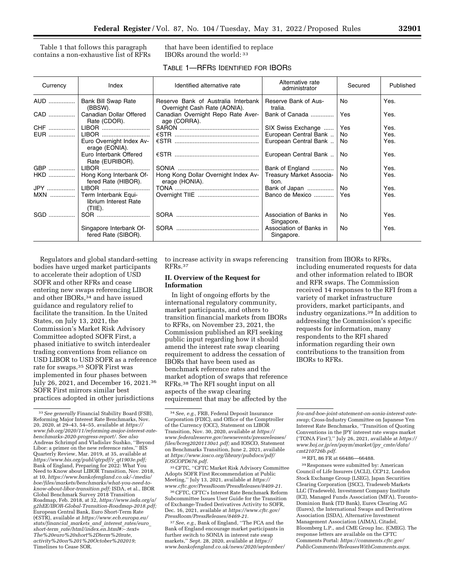Table 1 that follows this paragraph contains a non-exhaustive list of RFRs that have been identified to replace IBORs around the world: 33

|  | TABLE 1-RFRS IDENTIFIED FOR IBORS |
|--|-----------------------------------|
|--|-----------------------------------|

| Currency   | Index                                                    | Identified alternative rate                                         | Alternative rate<br>administrator     | Secured | Published |
|------------|----------------------------------------------------------|---------------------------------------------------------------------|---------------------------------------|---------|-----------|
|            | <b>Bank Bill Swap Rate</b><br>(BBSW).                    | Reserve Bank of Australia Interbank<br>Overnight Cash Rate (AONIA). | Reserve Bank of Aus-<br>tralia.       | No.     | Yes.      |
|            | CAD    Canadian Dollar Offered<br>Rate (CDOR).           | Canadian Overnight Repo Rate Aver-<br>age (CORRA).                  | Bank of Canada                        | Yes     | Yes.      |
|            | CHF    LIBOR                                             |                                                                     | SIX Swiss Exchange                    | Yes     | Yes.      |
|            | LIBOR                                                    |                                                                     | European Central Bank                 | No      | Yes.      |
|            | Euro Overnight Index Av-<br>erage (EONIA).               |                                                                     | European Central Bank                 | No.     | Yes.      |
|            | Euro Interbank Offered<br>Rate (EURIBOR).                |                                                                     | European Central Bank                 | No      | Yes.      |
|            | GBP    LIBOR                                             |                                                                     | Bank of England                       | No      | Yes.      |
|            | HKD    Hong Kong Interbank Of-<br>fered Rate (HIBOR).    | Hong Kong Dollar Overnight Index Av-<br>erage (HONIA).              | Treasury Market Associa-<br>tion.     | No.     | Yes.      |
|            | JPY    LIBOR                                             |                                                                     | Bank of Japan                         | No.     | Yes.      |
| MXN        | Term Interbank Equi-<br>librium Interest Rate<br>(TIIE). |                                                                     | Banco de Mexico                       | Yes     | Yes.      |
| <b>SGD</b> |                                                          |                                                                     | Association of Banks in<br>Singapore. | No.     | Yes.      |
|            | Singapore Interbank Of-<br>fered Rate (SIBOR).           |                                                                     | Association of Banks in<br>Singapore. | No.     | Yes.      |

Regulators and global standard-setting bodies have urged market participants to accelerate their adoption of USD SOFR and other RFRs and cease entering new swaps referencing LIBOR and other IBORs,<sup>34</sup> and have issued guidance and regulatory relief to facilitate the transition. In the United States, on July 13, 2021, the Commission's Market Risk Advisory Committee adopted SOFR First, a phased initiative to switch interdealer trading conventions from reliance on USD LIBOR to USD SOFR as a reference rate for swaps.35 SOFR First was implemented in four phases between July 26, 2021, and December 16, 2021.36 SOFR First mirrors similar best practices adopted in other jurisdictions

to increase activity in swaps referencing RFRs.37

#### **II. Overview of the Request for Information**

In light of ongoing efforts by the international regulatory community, market participants, and others to transition financial markets from IBORs to RFRs, on November 23, 2021, the Commission published an RFI seeking public input regarding how it should amend the interest rate swap clearing requirement to address the cessation of IBORs that have been used as benchmark reference rates and the market adoption of swaps that reference RFRs.38 The RFI sought input on all aspects of the swap clearing requirement that may be affected by the

35CFTC, ''CFTC Market Risk Advisory Committee Adopts SOFR First Recommendation at Public Meeting,'' July 13, 2021, available at *[https://](https://www.cftc.gov/PressRoom/PressReleases/8409-21) [www.cftc.gov/PressRoom/PressReleases/8409-21.](https://www.cftc.gov/PressRoom/PressReleases/8409-21)* 

36CFTC, CFTC's Interest Rate Benchmark Reform Subcommittee Issues User Guide for the Transition of Exchange-Traded Derivatives Activity to SOFR, Dec. 16, 2021, available at *[https://www.cftc.gov/](https://www.cftc.gov/PressRoom/PressReleases/8469-21) [PressRoom/PressReleases/8469-21.](https://www.cftc.gov/PressRoom/PressReleases/8469-21)* 

37*See, e.g.,* Bank of England, ''The FCA and the Bank of England encourage market participants in further switch to SONIA in interest rate swap markets,'' Sept. 28, 2020, available at *[https://](https://www.bankofengland.co.uk/news/2020/september/fca-and-boe-joint-statement-on-sonia-interest-rate-swap) [www.bankofengland.co.uk/news/2020/september/](https://www.bankofengland.co.uk/news/2020/september/fca-and-boe-joint-statement-on-sonia-interest-rate-swap)*  transition from IBORs to RFRs, including enumerated requests for data and other information related to IBOR and RFR swaps. The Commission received 14 responses to the RFI from a variety of market infrastructure providers, market participants, and industry organizations.39 In addition to addressing the Commission's specific requests for information, many respondents to the RFI shared information regarding their own contributions to the transition from IBORs to RFRs.

39Responses were submitted by: American Council of Life Insurers (ACLI), CCP12, London Stock Exchange Group (LSEG), Japan Securities Clearing Corporation (JSCC), Tradeweb Markets LLC (Tradeweb), Investment Company Institute (ICI), Managed Funds Association (MFA), Toronto-Dominion Bank (TD Bank), Eurex Clearing AG (Eurex), the International Swaps and Derivatives Association (ISDA), Alternative Investment Management Association (AIMA), Citadel, Bloomberg L.P., and CME Group Inc. (CMEG). The response letters are available on the CFTC Comments Portal: *[https://comments.cftc.gov/](https://comments.cftc.gov/PublicComments/ReleasesWithComments.aspx) [PublicComments/ReleasesWithComments.aspx.](https://comments.cftc.gov/PublicComments/ReleasesWithComments.aspx)* 

<sup>33</sup>*See generally* Financial Stability Board (FSB), Reforming Major Interest Rate Benchmarks, Nov. 20, 2020, at 29–43, 54–55, available at *[https://](https://www.fsb.org/2020/11/reforming-major-interest-rate-benchmarks-2020-progress-report/)  [www.fsb.org/2020/11/reforming-major-interest-rate](https://www.fsb.org/2020/11/reforming-major-interest-rate-benchmarks-2020-progress-report/)[benchmarks-2020-progress-report/.](https://www.fsb.org/2020/11/reforming-major-interest-rate-benchmarks-2020-progress-report/) See also*  Andreas Schrimpf and Vladislav Sushko, ''Beyond Libor: a primer on the new reference rates,'' BIS Quarterly Review, Mar. 2019, at 35, available at *[https://www.bis.org/publ/qtrpdf/r](https://www.bis.org/publ/qtrpdf/r_qt1903e.pdf)*\_*qt1903e.pdf;*  Bank of England, Preparing for 2022: What You Need to Know about LIBOR Transition, Nov. 2018, at 10, *[https://www.bankofengland.co.uk/-/media/](https://www.bankofengland.co.uk/-/media/boe/files/markets/benchmarks/what-you-need-to-know-about-libor-transition.pdf) [boe/files/markets/benchmarks/what-you-need-to](https://www.bankofengland.co.uk/-/media/boe/files/markets/benchmarks/what-you-need-to-know-about-libor-transition.pdf)[know-about-libor-transition.pdf;](https://www.bankofengland.co.uk/-/media/boe/files/markets/benchmarks/what-you-need-to-know-about-libor-transition.pdf)* ISDA, et al., IBOR Global Benchmark Survey 2018 Transition Roadmap, Feb. 2018, at 32, *[https://www.isda.org/a/](https://www.isda.org/a/g2hEE/IBOR-Global-Transition-Roadmap-2018.pdf) [g2hEE/IBOR-Global-Transition-Roadmap-2018.pdf;](https://www.isda.org/a/g2hEE/IBOR-Global-Transition-Roadmap-2018.pdf)*  European Central Bank, Euro Short-Term Rate (ÖSTR), available at *[https://www.ecb.europa.eu/](https://www.ecb.europa.eu/stats/financial_markets_and_interest_rates/euro_short-term_rate/html/index.en.html#:~:text=The%20euro%20short%2Dterm%20rate) [stats/financial](https://www.ecb.europa.eu/stats/financial_markets_and_interest_rates/euro_short-term_rate/html/index.en.html#:~:text=The%20euro%20short%2Dterm%20rate)*\_*markets*\_*and*\_*interest*\_*rates/euro*\_ *short-term*\_*[rate/html/index.en.html#:](https://www.ecb.europa.eu/stats/financial_markets_and_interest_rates/euro_short-term_rate/html/index.en.html#:~:text=The%20euro%20short%2Dterm%20rate)*∼*:text= [The%20euro%20short%2Dterm%20rate,](https://www.ecb.europa.eu/stats/financial_markets_and_interest_rates/euro_short-term_rate/html/index.en.html#:~:text=The%20euro%20short%2Dterm%20rate) activity%20on%201%20October%202019;*  Timelines to Cease SOR.

<sup>34</sup>*See, e.g.,* FRB, Federal Deposit Insurance Corporation (FDIC), and Office of the Comptroller of the Currency (OCC), Statement on LIBOR Transition, Nov. 30, 2020, available at *[https://](https://www.federalreserve.gov/newsevents/pressreleases/files/bcreg20201130a1.pdf) [www.federalreserve.gov/newsevents/pressreleases/](https://www.federalreserve.gov/newsevents/pressreleases/files/bcreg20201130a1.pdf)  [files/bcreg20201130a1.pdf;](https://www.federalreserve.gov/newsevents/pressreleases/files/bcreg20201130a1.pdf)* and IOSCO, Statement on Benchmarks Transition, June 2, 2021, available at *[https://www.iosco.org/library/pubdocs/pdf/](https://www.iosco.org/library/pubdocs/pdf/IOSCOPD676.pdf) [IOSCOPD676.pdf.](https://www.iosco.org/library/pubdocs/pdf/IOSCOPD676.pdf)* 

*[fca-and-boe-joint-statement-on-sonia-interest-rate](https://www.bankofengland.co.uk/news/2020/september/fca-and-boe-joint-statement-on-sonia-interest-rate-swap)[swap;](https://www.bankofengland.co.uk/news/2020/september/fca-and-boe-joint-statement-on-sonia-interest-rate-swap)* Cross-Industry Committee on Japanese Yen Interest Rate Benchmarks, ''Transition of Quoting Conventions in the JPY interest rate swaps market ('TONA First'),'' July 26, 2021, available at *[https://](https://www.boj.or.jp/en/paym/market/jpy_cmte/data/cmt210726b.pdf) [www.boj.or.jp/en/paym/market/jpy](https://www.boj.or.jp/en/paym/market/jpy_cmte/data/cmt210726b.pdf)*\_*cmte/data/ [cmt210726b.pdf.](https://www.boj.or.jp/en/paym/market/jpy_cmte/data/cmt210726b.pdf)* 

<sup>38</sup>RFI, 86 FR at 66486—66488.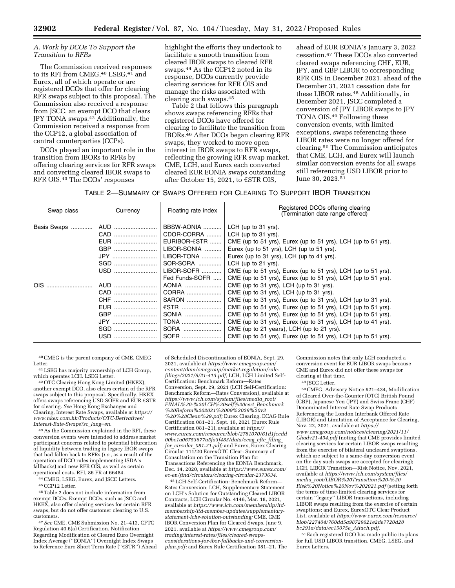#### *A. Work by DCOs To Support the Transition to RFRs*

The Commission received responses to its RFI from CMEG,<sup>40</sup> LSEG,<sup>41</sup> and Eurex, all of which operate or are registered DCOs that offer for clearing RFR swaps subject to this proposal. The Commission also received a response from JSCC, an exempt DCO that clears JPY TONA swaps.42 Additionally, the Commission received a response from the CCP12, a global association of central counterparties (CCPs).

DCOs played an important role in the transition from IBORs to RFRs by offering clearing services for RFR swaps and converting cleared IBOR swaps to RFR OIS.43 The DCOs' responses

highlight the efforts they undertook to facilitate a smooth transition from cleared IBOR swaps to cleared RFR swaps.44 As the CCP12 noted in its response, DCOs currently provide clearing services for RFR OIS and manage the risks associated with clearing such swaps.45

Table 2 that follows this paragraph shows swaps referencing RFRs that registered DCOs have offered for clearing to facilitate the transition from IBORs.46 After DCOs began clearing RFR swaps, they worked to move open interest in IBOR swaps to RFR swaps, reflecting the growing RFR swap market. CME, LCH, and Eurex each converted cleared EUR EONIA swaps outstanding after October 15, 2021, to  $\epsilon$ STR OIS,

ahead of EUR EONIA's January 3, 2022 cessation.47 These DCOs also converted cleared swaps referencing CHF, EUR, JPY, and GBP LIBOR to corresponding RFR OIS in December 2021, ahead of the December 31, 2021 cessation date for these LIBOR rates.48 Additionally, in December 2021, JSCC completed a conversion of JPY LIBOR swaps to JPY TONA OIS.49 Following these conversion events, with limited exceptions, swaps referencing these LIBOR rates were no longer offered for clearing.50 The Commission anticipates that CME, LCH, and Eurex will launch similar conversion events for all swaps still referencing USD LIBOR prior to June 30, 2023.51

| Table 2—Summary of Swaps Offered for Clearing To Support IBOR Transition |
|--------------------------------------------------------------------------|
|--------------------------------------------------------------------------|

| Swap class  | Currency                        | Floating rate index                                                   | Registered DCOs offering clearing<br>(Termination date range offered)                                                                                                                                                                                                                                                                                                                                                                                                |
|-------------|---------------------------------|-----------------------------------------------------------------------|----------------------------------------------------------------------------------------------------------------------------------------------------------------------------------------------------------------------------------------------------------------------------------------------------------------------------------------------------------------------------------------------------------------------------------------------------------------------|
| Basis Swaps | AUD<br>EUR<br>GBP               | BBSW-AONIA   <br>CDOR-CORRA<br>EURIBOR- $\epsilon$ STR<br>LIBOR-SONIA | LCH (up to $31$ yrs).<br>LCH (up to $31$ yrs).<br>CME (up to 51 yrs), Eurex (up to 51 yrs), LCH (up to 51 yrs).<br>Eurex (up to 51 yrs), LCH (up to 51 yrs).                                                                                                                                                                                                                                                                                                         |
|             |                                 | LIBOR-TONA   <br>SOR-SORA   <br>Fed Funds-SOFR                        | Eurex (up to 31 yrs), LCH (up to 41 yrs).<br>LCH (up to 21 yrs).<br>LIBOR-SOFR $\ldots$ CME (up to 51 yrs), Eurex (up to 51 yrs), LCH (up to 51 yrs).<br>CME (up to 51 yrs), Eurex (up to 51 yrs), LCH (up to 51 yrs).                                                                                                                                                                                                                                               |
| OIS.        | AUD<br>CAD<br>EUR<br>JPY<br>SGD | AONIA<br>CORRA<br>SARON<br>$€STR$<br>SONIA<br><b>TONA</b><br>SORA     | CME (up to 31 yrs), LCH (up to 31 yrs).<br>CME (up to 31 yrs), LCH (up to 31 yrs).<br>CME (up to 31 yrs), Eurex (up to 31 yrs), LCH (up to 31 yrs).<br>CME (up to 51 yrs), Eurex (up to 51 yrs), LCH (up to 51 yrs).<br>CME (up to 51 yrs), Eurex (up to 51 yrs), LCH (up to 51 yrs).<br>CME (up to 31 yrs), Eurex (up to 31 yrs), LCH (up to 41 yrs).<br>CME (up to 21 years), LCH (up to 21 yrs).<br>CME (up to 51 yrs), Eurex (up to 51 yrs), LCH (up to 51 yrs). |

40CMEG is the parent company of CME. CMEG Letter.

41LSEG has majority ownership of LCH Group, which operates LCH. LSEG Letter.

42OTC Clearing Hong Kong Limited (HKEX), another exempt DCO, also clears certain of the RFR swaps subject to this proposal. Specifically, HKEX offers swaps referencing USD SOFR and EUR €STR for clearing. *See* Hong Kong Exchanges and Clearing, Interest Rate Swaps, available at *[https://](https://www.hkex.com.hk/Products/OTC-Derivatives/Interest-Rate-Swaps?sc_lang=en)  [www.hkex.com.hk/Products/OTC-Derivatives/](https://www.hkex.com.hk/Products/OTC-Derivatives/Interest-Rate-Swaps?sc_lang=en)  [Interest-Rate-Swaps?sc](https://www.hkex.com.hk/Products/OTC-Derivatives/Interest-Rate-Swaps?sc_lang=en)*\_*lang=en.* 

43As the Commission explained in the RFI, these conversion events were intended to address market participant concerns related to potential bifurcation of liquidity between trading in legacy IBOR swaps that had fallen back to RFRs (*i.e.,* as a result of the operation of DCO rules implementing ISDA's fallbacks) and new RFR OIS, as well as certain operational costs. RFI, 86 FR at 66484.

44CMEG, LSEG, Eurex, and JSCC Letters.

45CCP12 Letter.

46Table 2 does not include information from exempt DCOs. Exempt DCOs, such as JSCC and HKEX, also offer clearing services for certain RFR swaps, but do not offer customer clearing to U.S. customers.

47*See* CME, CME Submission No. 21–413, CFTC Regulation 40.6(a) Certification, Notification Regarding Modification of Cleared Euro Overnight Index Average (''EONIA'') Overnight Index Swaps to Reference Euro Short Term Rate ("€STR") Ahead of Scheduled Discontinuation of EONIA, Sept. 29, 2021, available at *[https://www.cmegroup.com/](https://www.cmegroup.com/content/dam/cmegroup/market-regulation/rule-filings/2021/9/21-413.pdf)  [content/dam/cmegroup/market-regulation/rule](https://www.cmegroup.com/content/dam/cmegroup/market-regulation/rule-filings/2021/9/21-413.pdf)[filings/2021/9/21-413.pdf;](https://www.cmegroup.com/content/dam/cmegroup/market-regulation/rule-filings/2021/9/21-413.pdf)* LCH, LCH Limited Self-Certification: Benchmark Reform—Rates Conversion, Sept. 29, 2021 (LCH Self-Certification: Benchmark Reform—Rates Conversion), available at *[https://www.lch.com/system/files/media](https://www.lch.com/system/files/media_root/FINAL%20-%20LCH%20self%20cert_Benchmark%20Reform%202021%2009%2029%20v3%20%28Clean%29.pdf)*\_*root/ [FINAL%20-%20LCH%20self%20cert](https://www.lch.com/system/files/media_root/FINAL%20-%20LCH%20self%20cert_Benchmark%20Reform%202021%2009%2029%20v3%20%28Clean%29.pdf)*\_*Benchmark [%20Reform%202021%2009%2029%20v3](https://www.lch.com/system/files/media_root/FINAL%20-%20LCH%20self%20cert_Benchmark%20Reform%202021%2009%2029%20v3%20%28Clean%29.pdf) [%20%28Clean%29.pdf;](https://www.lch.com/system/files/media_root/FINAL%20-%20LCH%20self%20cert_Benchmark%20Reform%202021%2009%2029%20v3%20%28Clean%29.pdf)* Eurex Clearing, ECAG Rule Certification 081–21, Sept. 16, 2021 (Eurex Rule Certification 081–21), available at *[https://](https://www.eurex.com/resource/blob/2781070/61d1fccdd00bc1a06753877a5fa3f483/data/ecag_cftc_filing_for_circular_081-21.pdf) [www.eurex.com/resource/blob/2781070/61d1fccdd](https://www.eurex.com/resource/blob/2781070/61d1fccdd00bc1a06753877a5fa3f483/data/ecag_cftc_filing_for_circular_081-21.pdf) [00bc1a06753877a5fa3f483/data/ecag](https://www.eurex.com/resource/blob/2781070/61d1fccdd00bc1a06753877a5fa3f483/data/ecag_cftc_filing_for_circular_081-21.pdf)*\_*cftc*\_*filing*\_ *for*\_*circular*\_*[081-21.pdf;](https://www.eurex.com/resource/blob/2781070/61d1fccdd00bc1a06753877a5fa3f483/data/ecag_cftc_filing_for_circular_081-21.pdf)* and Eurex, Eurex Clearing Circular 111/20 EurexOTC Clear: Summary of Consultation on the Transition Plan for Transactions Referencing the EONIA Benchmark, Dec. 14, 2020, available at *[https://www.eurex.com/](https://www.eurex.com/ec-en/find/circulars/clearing-circular-2373634) [ec-en/find/circulars/clearing-circular-2373634.](https://www.eurex.com/ec-en/find/circulars/clearing-circular-2373634)* 

48LCH Self-Certification: Benchmark Reform— Rates Conversion; LCH, Supplementary Statement on LCH's Solution for Outstanding Cleared LIBOR Contracts, LCH Circular No. 4146, Mar. 18, 2021, available at *[https://www.lch.com/membership/ltd](https://www.lch.com/membership/ltd-membership/ltd-member-updates/supplementary-statement-lchs-solution-outstanding)[membership/ltd-member-updates/supplementary](https://www.lch.com/membership/ltd-membership/ltd-member-updates/supplementary-statement-lchs-solution-outstanding)[statement-lchs-solution-outstanding;](https://www.lch.com/membership/ltd-membership/ltd-member-updates/supplementary-statement-lchs-solution-outstanding)* CME, CME IBOR Conversion Plan for Cleared Swaps, June 9, 2021, available at *[https://www.cmegroup.com/](https://www.cmegroup.com/trading/interest-rates/files/cleared-swaps-considerations-for-ibor-fallbacks-and-conversion-plan.pdf)  [trading/interest-rates/files/cleared-swaps](https://www.cmegroup.com/trading/interest-rates/files/cleared-swaps-considerations-for-ibor-fallbacks-and-conversion-plan.pdf)[considerations-for-ibor-fallbacks-and-conversion](https://www.cmegroup.com/trading/interest-rates/files/cleared-swaps-considerations-for-ibor-fallbacks-and-conversion-plan.pdf)[plan.pdf;](https://www.cmegroup.com/trading/interest-rates/files/cleared-swaps-considerations-for-ibor-fallbacks-and-conversion-plan.pdf)* and Eurex Rule Certification 081–21. The Commission notes that only LCH conducted a conversion event for EUR LIBOR swaps because CME and Eurex did not offer these swaps for clearing at that time.

49 JSCC Letter.

50CMEG, Advisory Notice #21–434, Modification of Cleared Over-the-Counter (OTC) British Pound (GBP), Japanese Yen (JPY) and Swiss Franc (CHF) Denominated Interest Rate Swap Products Referencing the London Interbank Offered Rate (LIBOR) and Limitation of Acceptance for Clearing, Nov. 22, 2021, available at *[https://](https://www.cmegroup.com/notices/clearing/2021/11/Chadv21-434.pdf) [www.cmegroup.com/notices/clearing/2021/11/](https://www.cmegroup.com/notices/clearing/2021/11/Chadv21-434.pdf)  [Chadv21-434.pdf](https://www.cmegroup.com/notices/clearing/2021/11/Chadv21-434.pdf)* (noting that CME provides limited clearing services for certain LIBOR swaps resulting from the exercise of bilateral uncleared swaptions, which are subject to a same-day conversion event on the day such swaps are accepted for clearing); LCH, LIBOR Transition—Risk Notice, Nov. 2021, available at *[https://www.lch.com/system/files/](https://www.lch.com/system/files/media_root/LIBOR%20Transition%20-%20Risk%20Notice%20Nov%202021.pdf) media*\_*[root/LIBOR%20Transition%20-%20](https://www.lch.com/system/files/media_root/LIBOR%20Transition%20-%20Risk%20Notice%20Nov%202021.pdf) [Risk%20Notice%20Nov%202021.pdf](https://www.lch.com/system/files/media_root/LIBOR%20Transition%20-%20Risk%20Notice%20Nov%202021.pdf)* (setting forth the terms of time-limited clearing services for certain ''legacy'' LIBOR transactions, including LIBOR swaps resulting from the exercise of certain swaptions; and Eurex, EurexOTC Clear Product List, available at *[https://www.eurex.com/resource/](https://www.eurex.com/resource/blob/227404/760dd5a98729621e2de7720d28bc291a/data/ec15075e_Attach.pdf) [blob/227404/760dd5a98729621e2de7720d28](https://www.eurex.com/resource/blob/227404/760dd5a98729621e2de7720d28bc291a/data/ec15075e_Attach.pdf) [bc291a/data/ec15075e](https://www.eurex.com/resource/blob/227404/760dd5a98729621e2de7720d28bc291a/data/ec15075e_Attach.pdf)*\_*Attach.pdf.* 

51Each registered DCO has made public its plans for full USD LIBOR transition. CMEG, LSEG, and Eurex Letters.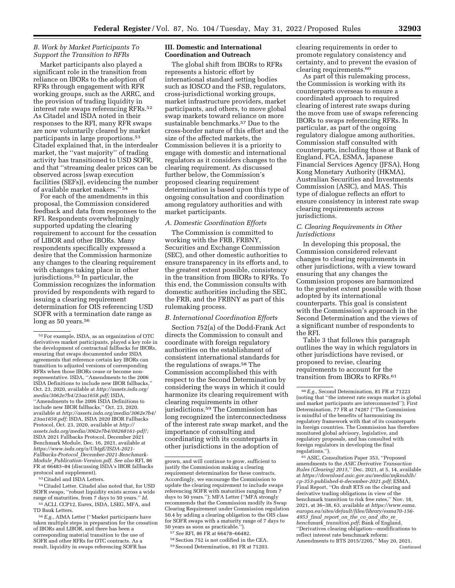#### *B. Work by Market Participants To Support the Transition to RFRs*

Market participants also played a significant role in the transition from reliance on IBORs to the adoption of RFRs through engagement with RFR working groups, such as the ARRC, and the provision of trading liquidity in interest rate swaps referencing RFRs.52 As Citadel and ISDA noted in their responses to the RFI, many RFR swaps are now voluntarily cleared by market participants in large proportions.53 Citadel explained that, in the interdealer market, the ''vast majority'' of trading activity has transitioned to USD SOFR, and that ''streaming dealer prices can be observed across [swap execution facilities (SEFs)], evidencing the number of available market makers.'' 54

For each of the amendments in this proposal, the Commission considered feedback and data from responses to the RFI. Respondents overwhelmingly supported updating the clearing requirement to account for the cessation of LIBOR and other IBORs. Many respondents specifically expressed a desire that the Commission harmonize any changes to the clearing requirement with changes taking place in other jurisdictions.<sup>55</sup> In particular, the Commission recognizes the information provided by respondents with regard to issuing a clearing requirement determination for OIS referencing USD SOFR with a termination date range as long as 50 years.<sup>56</sup>

53Citadel and ISDA Letters.

54Citadel Letter. Citadel also noted that, for USD SOFR swaps, ''robust liquidity exists across a wide range of maturities, from 7 days to 50 years.'' *Id.*  55ACLI, CCP12, Eurex, ISDA, LSEG, MFA, and TD Bank Letters.

56*E.g.,* AIMA Letter (''Market participants have taken multiple steps in preparation for the cessation of IBORs and LIBOR, and there has been a corresponding material transition to the use of SOFR and other RFRs for OTC contracts. As a result, liquidity in swaps referencing SOFR has

## **III. Domestic and International Coordination and Outreach**

The global shift from IBORs to RFRs represents a historic effort by international standard setting bodies such as IOSCO and the FSB, regulators, cross-jurisdictional working groups, market infrastructure providers, market participants, and others, to move global swap markets toward reliance on more sustainable benchmarks.57 Due to the cross-border nature of this effort and the size of the affected markets, the Commission believes it is a priority to engage with domestic and international regulators as it considers changes to the clearing requirement. As discussed further below, the Commission's proposed clearing requirement determination is based upon this type of ongoing consultation and coordination among regulatory authorities and with market participants.

#### *A. Domestic Coordination Efforts*

The Commission is committed to working with the FRB, FRBNY, Securities and Exchange Commission (SEC), and other domestic authorities to ensure transparency in its efforts and, to the greatest extent possible, consistency in the transition from IBORs to RFRs. To this end, the Commission consults with domestic authorities including the SEC, the FRB, and the FRBNY as part of this rulemaking process.

#### *B. International Coordination Efforts*

Section 752(a) of the Dodd-Frank Act directs the Commission to consult and coordinate with foreign regulatory authorities on the establishment of consistent international standards for the regulations of swaps.58 The Commission accomplished this with respect to the Second Determination by considering the ways in which it could harmonize its clearing requirement with clearing requirements in other jurisdictions.59 The Commission has long recognized the interconnectedness of the interest rate swap market, and the importance of consulting and coordinating with its counterparts in other jurisdictions in the adoption of

- 58Section 752 is not codified in the CEA.
- 59Second Determination, 81 FR at 71203.

clearing requirements in order to promote regulatory consistency and certainty, and to prevent the evasion of clearing requirements.60

As part of this rulemaking process, the Commission is working with its counterparts overseas to ensure a coordinated approach to required clearing of interest rate swaps during the move from use of swaps referencing IBORs to swaps referencing RFRs. In particular, as part of the ongoing regulatory dialogue among authorities, Commission staff consulted with counterparts, including those at Bank of England, FCA, ESMA, Japanese Financial Services Agency (JFSA), Hong Kong Monetary Authority (HKMA), Australian Securities and Investments Commission (ASIC), and MAS. This type of dialogue reflects an effort to ensure consistency in interest rate swap clearing requirements across jurisdictions.

#### *C. Clearing Requirements in Other Jurisdictions*

In developing this proposal, the Commission considered relevant changes to clearing requirements in other jurisdictions, with a view toward ensuring that any changes the Commission proposes are harmonized to the greatest extent possible with those adopted by its international counterparts. This goal is consistent with the Commission's approach in the Second Determination and the views of a significant number of respondents to the RFI.

Table 3 that follows this paragraph outlines the way in which regulators in other jurisdictions have revised, or proposed to revise, clearing requirements to account for the transition from IBORs to RFRs.<sup>61</sup>

61ASIC, Consultation Paper 353, ''Proposed amendments to the *ASIC Derivative Transaction Rules (Clearing) 2015,*'' Dec. 2021, at 5, 14, available at *[https://download.asic.gov.au/media/mjknuhlh/](https://download.asic.gov.au/media/mjknuhlh/cp-353-published-6-december-2021.pdf)  [cp-353-published-6-december-2021.pdf](https://download.asic.gov.au/media/mjknuhlh/cp-353-published-6-december-2021.pdf)*; ESMA, Final Report, ''On draft RTS on the clearing and derivative trading obligations in view of the benchmark transition to risk free rates,'' Nov. 18, 2021, at 36–38, 63, available at *[https://www.esma.](https://www.esma.europa.eu/sites/default/files/library/esma70-156-4953_final_report_on_the_co_and_dto_re_benchmark_transition.pdf) [europa.eu/sites/default/files/library/esma70-156-](https://www.esma.europa.eu/sites/default/files/library/esma70-156-4953_final_report_on_the_co_and_dto_re_benchmark_transition.pdf) 4953*\_*final*\_*[report](https://www.esma.europa.eu/sites/default/files/library/esma70-156-4953_final_report_on_the_co_and_dto_re_benchmark_transition.pdf)*\_*on*\_*the*\_*co*\_*and*\_*dto*\_*re*\_ *benchmark*\_*[transition.pdf](https://www.esma.europa.eu/sites/default/files/library/esma70-156-4953_final_report_on_the_co_and_dto_re_benchmark_transition.pdf)*; Bank of England, ''Derivatives clearing obligation—modifications to reflect interest rate benchmark reform: Amendments to BTS 2015/2205,'' May 20, 2021, Continued

<sup>52</sup>For example, ISDA, as an organization of OTC derivatives market participants, played a key role in the development of contractual fallbacks for IBORs, ensuring that swaps documented under ISDA agreements that reference certain key IBORs can transition to adjusted versions of corresponding RFRs when those IBORs cease or become nonrepresentative. ISDA, ''Amendments to the 2006 ISDA Definitions to include new IBOR fallbacks,'' Oct. 23, 2020, available at *[http://assets.isda.org/](http://assets.isda.org/media/3062e7b4/23aa1658.pdf)  [media/3062e7b4/23aa1658.pdf;](http://assets.isda.org/media/3062e7b4/23aa1658.pdf)* ISDA, ''Amendments to the 2006 ISDA Definitions to include new IBOR fallbacks,'' Oct. 23, 2020, available at *[http://assets.isda.org/media/3062e7b4/](http://assets.isda.org/media/3062e7b4/23aa1658.pdf)  [23aa1658.pdf;](http://assets.isda.org/media/3062e7b4/23aa1658.pdf)* ISDA, ISDA 2020 IBOR Fallbacks Protocol, Oct. 23, 2020, available at *[http://](http://assets.isda.org/media/3062e7b4/08268161-pdf/) [assets.isda.org/media/3062e7b4/08268161-pdf/;](http://assets.isda.org/media/3062e7b4/08268161-pdf/)*  ISDA 2021 Fallbacks Protocol, December 2021 Benchmark Module, Dec. 16, 2021, available at *[https://www.isda.org/a/UhtgE/ISDA-2021-](https://www.isda.org/a/UhtgE/ISDA-2021-Fallbacks-Protocol_December-2021-Benchmark-Module_Publication-Version.pdf) Fallbacks-Protocol*\_*[December-2021-Benchmark-](https://www.isda.org/a/UhtgE/ISDA-2021-Fallbacks-Protocol_December-2021-Benchmark-Module_Publication-Version.pdf)Module*\_*[Publication-Version.pdf.](https://www.isda.org/a/UhtgE/ISDA-2021-Fallbacks-Protocol_December-2021-Benchmark-Module_Publication-Version.pdf) See also* RFI, 86 FR at  $66483-84$  (discussing ISDA's IBOR fallbacks protocol and supplement).

grown, and will continue to grow, sufficient to justify the Commission making a clearing requirement determination for these contracts. Accordingly, we encourage the Commission to update the clearing requirement to include swaps referencing SOFR with maturities ranging from 7 days to 50 years.''); MFA Letter (''MFA strongly recommends that the Commission modify its Swap Clearing Requirement under Commission regulation 50.4 by adding a clearing obligation to the OIS class for SOFR swaps with a maturity range of 7 days to 50 years as soon as practicable.'').

<sup>57</sup>*See* RFI, 86 FR at 66478–66482.

<sup>60</sup>*E.g.,* Second Determination, 81 FR at 71223 (noting that ''the interest rate swaps market is global and market participants are interconnected''); First Determination, 77 FR at 74287 (''The Commission is mindful of the benefits of harmonizing its regulatory framework with that of its counterparts in foreign countries. The Commission has therefore monitored global advisory, legislative, and regulatory proposals, and has consulted with foreign regulators in developing the final regulations.'').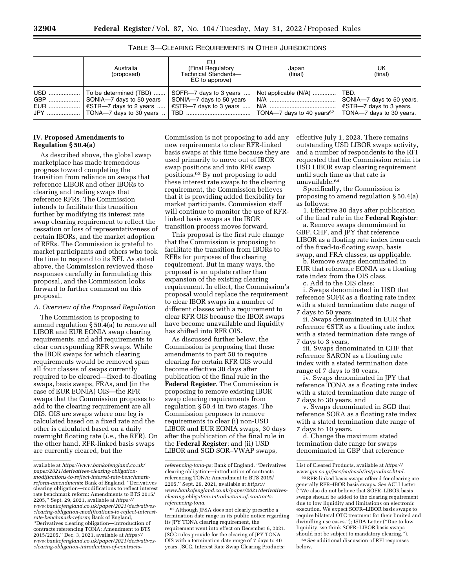| EU<br>(Final Regulatory<br>Australia<br>Technical Standards-<br>(proposed)<br>EC to approve) |                                                                              | Japan<br>(final)                                                      | UK<br>(final)                                                                    |  |
|----------------------------------------------------------------------------------------------|------------------------------------------------------------------------------|-----------------------------------------------------------------------|----------------------------------------------------------------------------------|--|
| GBP    SONIA-7 days to 50 years<br>EUR    €STR—7 days to 2 years                             | SOFR-7 days to 3 years<br>SONIA-7 days to 50 years<br>€STR—7 days to 3 years | Not applicable (N/A)    TBD.<br>TONA-7 days to 40 years <sup>62</sup> | SONIA-7 days to 50 years.<br>€STR—7 days to 3 years.<br>TONA-7 days to 30 years. |  |

TABLE 3—CLEARING REQUIREMENTS IN OTHER JURISDICTIONS

#### **IV. Proposed Amendments to Regulation § 50.4(a)**

As described above, the global swap marketplace has made tremendous progress toward completing the transition from reliance on swaps that reference LIBOR and other IBORs to clearing and trading swaps that reference RFRs. The Commission intends to facilitate this transition further by modifying its interest rate swap clearing requirement to reflect the cessation or loss of representativeness of certain IBORs, and the market adoption of RFRs. The Commission is grateful to market participants and others who took the time to respond to its RFI. As stated above, the Commission reviewed those responses carefully in formulating this proposal, and the Commission looks forward to further comment on this proposal.

#### *A. Overview of the Proposed Regulation*

The Commission is proposing to amend regulation § 50.4(a) to remove all LIBOR and EUR EONIA swap clearing requirements, and add requirements to clear corresponding RFR swaps. While the IBOR swaps for which clearing requirements would be removed span all four classes of swaps currently required to be cleared—fixed-to-floating swaps, basis swaps, FRAs, and (in the case of EUR EONIA) OIS—the RFR swaps that the Commission proposes to add to the clearing requirement are all OIS. OIS are swaps where one leg is calculated based on a fixed rate and the other is calculated based on a daily overnight floating rate (*i.e.,* the RFR). On the other hand, RFR-linked basis swaps are currently cleared, but the

Commission is not proposing to add any new requirements to clear RFR-linked basis swaps at this time because they are used primarily to move out of IBOR swap positions and into RFR swap positions.63 By not proposing to add these interest rate swaps to the clearing requirement, the Commission believes that it is providing added flexibility for market participants. Commission staff will continue to monitor the use of RFRlinked basis swaps as the IBOR transition process moves forward.

This proposal is the first rule change that the Commission is proposing to facilitate the transition from IBORs to RFRs for purposes of the clearing requirement. But in many ways, the proposal is an update rather than expansion of the existing clearing requirement. In effect, the Commission's proposal would replace the requirement to clear IBOR swaps in a number of different classes with a requirement to clear RFR OIS because the IBOR swaps have become unavailable and liquidity has shifted into RFR OIS.

As discussed further below, the Commission is proposing that these amendments to part 50 to require clearing for certain RFR OIS would become effective 30 days after publication of the final rule in the **Federal Register**. The Commission is proposing to remove existing IBOR swap clearing requirements from regulation § 50.4 in two stages. The Commission proposes to remove requirements to clear (i) non-USD LIBOR and EUR EONIA swaps, 30 days after the publication of the final rule in the **Federal Register**; and (ii) USD LIBOR and SGD SOR–VWAP swaps,

effective July 1, 2023. There remains outstanding USD LIBOR swaps activity, and a number of respondents to the RFI requested that the Commission retain its USD LIBOR swap clearing requirement until such time as that rate is unavailable.64

Specifically, the Commission is proposing to amend regulation § 50.4(a) as follows:

1. Effective 30 days after publication of the final rule in the **Federal Register**:

a. Remove swaps denominated in GBP, CHF, and JPY that reference LIBOR as a floating rate index from each of the fixed-to-floating swap, basis swap, and FRA classes, as applicable.

b. Remove swaps denominated in EUR that reference EONIA as a floating rate index from the OIS class.

c. Add to the OIS class:

i. Swaps denominated in USD that reference SOFR as a floating rate index with a stated termination date range of 7 days to 50 years,

ii. Swaps denominated in EUR that reference  $\epsilon$ STR as a floating rate index with a stated termination date range of 7 days to 3 years,

iii. Swaps denominated in CHF that reference SARON as a floating rate index with a stated termination date range of 7 days to 30 years,

iv. Swaps denominated in JPY that reference TONA as a floating rate index with a stated termination date range of 7 days to 30 years, and

v. Swaps denominated in SGD that reference SORA as a floating rate index with a stated termination date range of 7 days to 10 years.

d. Change the maximum stated termination date range for swaps denominated in GBP that reference

63RFR-linked basis swaps offered for clearing are generally RFR–IBOR basis swaps. *See* ACLI Letter (''We also do not believe that SOFR–LIBOR basis swaps should be added to the clearing requirement due to low liquidity and limitations on electronic execution. We expect SOFR–LIBOR basis swaps to require bilateral OTC treatment for their limited and dwindling use cases.''); ISDA Letter (''Due to low liquidity, we think SOFR–LIBOR basis swaps should not be subject to mandatory clearing.''). 64*See* additional discussion of RFI responses

below.

available at *[https://www.bankofengland.co.uk/](https://www.bankofengland.co.uk/paper/2021/derivatives-clearing-obligation-modifications-to-reflect-interest-rate-benchmark-reform-amendments)  [paper/2021/derivatives-clearing-obligation](https://www.bankofengland.co.uk/paper/2021/derivatives-clearing-obligation-modifications-to-reflect-interest-rate-benchmark-reform-amendments)[modifications-to-reflect-interest-rate-benchmark](https://www.bankofengland.co.uk/paper/2021/derivatives-clearing-obligation-modifications-to-reflect-interest-rate-benchmark-reform-amendments)[reform-amendments](https://www.bankofengland.co.uk/paper/2021/derivatives-clearing-obligation-modifications-to-reflect-interest-rate-benchmark-reform-amendments)*; Bank of England, ''Derivatives clearing obligation—modifications to reflect interest rate benchmark reform: Amendments to BTS 2015/ 2205,'' Sept. 29, 2021, available at *[https://](https://www.bankofengland.co.uk/paper/2021/derivatives-clearing-obligation-modifications-to-reflect-interest-rate-benchmark-reform) [www.bankofengland.co.uk/paper/2021/derivatives](https://www.bankofengland.co.uk/paper/2021/derivatives-clearing-obligation-modifications-to-reflect-interest-rate-benchmark-reform)[clearing-obligation-modifications-to-reflect-interest](https://www.bankofengland.co.uk/paper/2021/derivatives-clearing-obligation-modifications-to-reflect-interest-rate-benchmark-reform)[rate-benchmark-reform](https://www.bankofengland.co.uk/paper/2021/derivatives-clearing-obligation-modifications-to-reflect-interest-rate-benchmark-reform)*; Bank of England, ''Derivatives clearing obligation—introduction of contracts referencing TONA: Amendment to BTS 2015/2205,'' Dec. 3, 2021, available at *[https://](https://www.bankofengland.co.uk/paper/2021/derivatives-clearing-obligation-introduction-of-contracts-referencing-tona-ps) [www.bankofengland.co.uk/paper/2021/derivatives](https://www.bankofengland.co.uk/paper/2021/derivatives-clearing-obligation-introduction-of-contracts-referencing-tona-ps)[clearing-obligation-introduction-of-contracts-](https://www.bankofengland.co.uk/paper/2021/derivatives-clearing-obligation-introduction-of-contracts-referencing-tona-ps)*

*[referencing-tona-ps](https://www.bankofengland.co.uk/paper/2021/derivatives-clearing-obligation-introduction-of-contracts-referencing-tona-ps)*; Bank of England, ''Derivatives clearing obligation—introduction of contracts referencing TONA: Amendment to BTS 2015/ 2205,'' Sept. 29, 2021, available at *[https://](https://www.bankofengland.co.uk/paper/2021/derivatives-clearing-obligation-introduction-of-contracts-referencing-tona) [www.bankofengland.co.uk/paper/2021/derivatives](https://www.bankofengland.co.uk/paper/2021/derivatives-clearing-obligation-introduction-of-contracts-referencing-tona)[clearing-obligation-introduction-of-contracts](https://www.bankofengland.co.uk/paper/2021/derivatives-clearing-obligation-introduction-of-contracts-referencing-tona)[referencing-tona.](https://www.bankofengland.co.uk/paper/2021/derivatives-clearing-obligation-introduction-of-contracts-referencing-tona)* 

<sup>62</sup>Although JFSA does not clearly prescribe a termination date range in its public notice regarding its JPY TONA clearing requirement, the requirement went into effect on December 6, 2021. JSCC rules provide for the clearing of JPY TONA OIS with a termination date range of 7 days to 40 years. JSCC, Interest Rate Swap Clearing Products:

List of Cleared Products, available at *[https://](https://www.jpx.co.jp/jscc/en/cash/irs/product.html) [www.jpx.co.jp/jscc/en/cash/irs/product.html.](https://www.jpx.co.jp/jscc/en/cash/irs/product.html)*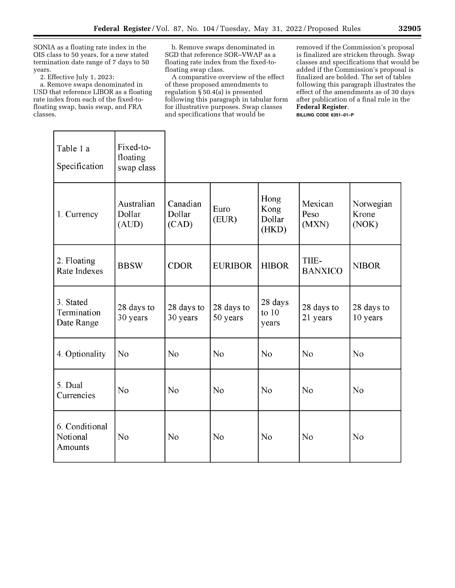SONIA as a floating rate index in the OIS class to 50 years, for a new stated termination date range of 7 days to 50 years.

2. Effective July 1, 2023:

г

a. Remove swaps denominated in USD that reference LIBOR as a floating rate index from each of the fixed-tofloating swap, basis swap, and FRA classes.

Т

b. Remove swaps denominated in SGD that reference SOR–VWAP as a floating rate index from the fixed-tofloating swap class.

A comparative overview of the effect of these proposed amendments to regulation § 50.4(a) is presented following this paragraph in tabular form for illustrative purposes. Swap classes and specifications that would be

٦

removed if the Commission's proposal is finalized are stricken through. Swap classes and specifications that would be added if the Commission's proposal is finalized are bolded. The set of tables following this paragraph illustrates the effect of the amendments as of 30 days after publication of a final rule in the **Federal Register**.

**BILLING CODE 6351–01–P** 

| Table 1 a<br>Specification             | Fixed-to-<br>floating<br>swap class |                             |                        |                                 |                          |                             |
|----------------------------------------|-------------------------------------|-----------------------------|------------------------|---------------------------------|--------------------------|-----------------------------|
| 1. Currency                            | Australian<br>Dollar<br>(AUD)       | Canadian<br>Dollar<br>(CAD) | Euro<br>(EUR)          | Hong<br>Kong<br>Dollar<br>(HKD) | Mexican<br>Peso<br>(MXN) | Norwegian<br>Krone<br>(NOK) |
| 2. Floating<br>Rate Indexes            | <b>BBSW</b>                         | <b>CDOR</b>                 | <b>EURIBOR</b>         | <b>HIBOR</b>                    | TIIE-<br><b>BANXICO</b>  | <b>NIBOR</b>                |
| 3. Stated<br>Termination<br>Date Range | 28 days to<br>30 years              | 28 days to<br>30 years      | 28 days to<br>50 years | 28 days<br>to $10$<br>years     | 28 days to<br>21 years   | 28 days to<br>10 years      |
| 4. Optionality                         | N <sub>o</sub>                      | N <sub>o</sub>              | N <sub>o</sub>         | N <sub>o</sub>                  | No                       | N <sub>o</sub>              |
| 5. Dual<br>Currencies                  | N <sub>o</sub>                      | N <sub>o</sub>              | No                     | N <sub>o</sub>                  | N <sub>o</sub>           | N <sub>o</sub>              |
| 6. Conditional<br>Notional<br>Amounts  | No                                  | No                          | N <sub>o</sub>         | No                              | No                       | No                          |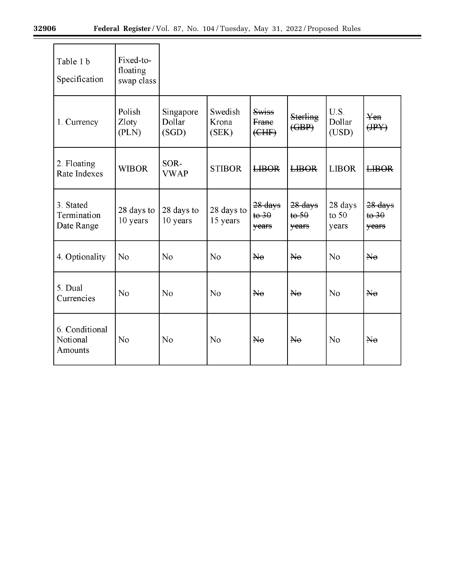$\equiv$ 

| Table 1 b<br>Specification             | Fixed-to-<br>floating<br>swap class |                              |                           |                                    |                                                         |                             |                                  |
|----------------------------------------|-------------------------------------|------------------------------|---------------------------|------------------------------------|---------------------------------------------------------|-----------------------------|----------------------------------|
| 1. Currency                            | Polish<br>Zloty<br>(PLN)            | Singapore<br>Dollar<br>(SGD) | Swedish<br>Krona<br>(SEK) | Swiss<br>Frane<br>(EHF)            | Sterling<br>$\left(\frac{\text{GBP}}{\text{BP}}\right)$ | U.S.<br>Dollar<br>(USD)     | $\chi_{en}$<br>(HPY)             |
| 2. Floating<br>Rate Indexes            | <b>WIBOR</b>                        | SOR-<br><b>VWAP</b>          | <b>STIBOR</b>             | <b>LIBOR</b>                       | <b>LIBOR</b>                                            | <b>LIBOR</b>                | <b>LIBOR</b>                     |
| 3. Stated<br>Termination<br>Date Range | 28 days to<br>10 years              | 28 days to<br>10 years       | 28 days to<br>15 years    | $28$ days<br>$t\theta$ 30<br>years | 28 days<br>$t\Theta$ 50<br>years                        | 28 days<br>to $50$<br>years | 28 days<br>$t\theta$ 30<br>years |
| 4. Optionality                         | No                                  | N <sub>o</sub>               | N <sub>o</sub>            | He                                 | $\overline{\text{Ne}}$                                  | N <sub>o</sub>              | He                               |
| 5. Dual<br>Currencies                  | No                                  | No                           | No                        | He                                 | $H_{\theta}$                                            | No                          | He                               |
| 6. Conditional<br>Notional<br>Amounts  | N <sub>o</sub>                      | No                           | No                        | He                                 | $N_{\theta}$                                            | No                          | $\overline{\text{Ne}}$           |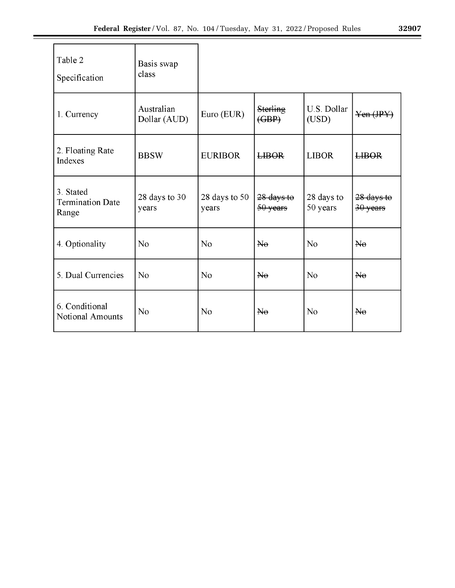| 3290<br>ľ |
|-----------|
|           |
|           |
|           |

| Table 2<br>Specification                      | Basis swap<br>class        |                        |                                   |                        |                        |
|-----------------------------------------------|----------------------------|------------------------|-----------------------------------|------------------------|------------------------|
| 1. Currency                                   | Australian<br>Dollar (AUD) | Euro (EUR)             | <b>Sterling</b><br>$(\text{GBP})$ | U.S. Dollar<br>(USD)   | Yen (JPY)              |
| 2. Floating Rate<br>Indexes                   | <b>BBSW</b>                | <b>EURIBOR</b>         | <b>LIBOR</b>                      | <b>LIBOR</b>           | <b>LIBOR</b>           |
| 3. Stated<br><b>Termination Date</b><br>Range | 28 days to 30<br>years     | 28 days to 50<br>years | $28$ days to<br>50 years          | 28 days to<br>50 years | 28 days to<br>30 years |
| 4. Optionality                                | No                         | No                     | $\overline{\text{Me}}$            | No                     | No                     |
| 5. Dual Currencies                            | N <sub>o</sub>             | N <sub>o</sub>         | He                                | N <sub>o</sub>         | He                     |
| 6. Conditional<br>Notional Amounts            | N <sub>o</sub>             | N <sub>o</sub>         | $\overline{\text{He}}$            | N <sub>o</sub>         | He                     |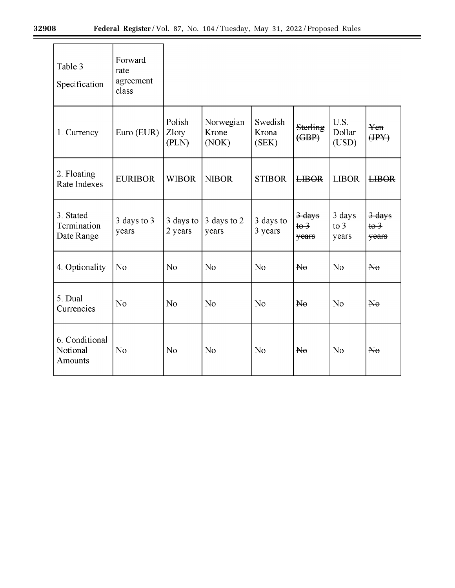$\equiv$ 

| Table 3<br>Specification               | Forward<br>rate<br>agreement<br>class |                          |                             |                           |                                             |                                  |                                           |
|----------------------------------------|---------------------------------------|--------------------------|-----------------------------|---------------------------|---------------------------------------------|----------------------------------|-------------------------------------------|
| 1. Currency                            | Euro (EUR)                            | Polish<br>Zloty<br>(PLN) | Norwegian<br>Krone<br>(NOK) | Swedish<br>Krona<br>(SEK) | Sterling<br>( <b>GBP</b> )                  | U.S.<br>Dollar<br>(USD)          | Yen<br>$(\text{IPY})$                     |
| 2. Floating<br>Rate Indexes            | <b>EURIBOR</b>                        | <b>WIBOR</b>             | <b>NIBOR</b>                | <b>STIBOR</b>             | <b>LIBOR</b>                                | <b>LIBOR</b>                     | <b>LIBOR</b>                              |
| 3. Stated<br>Termination<br>Date Range | 3 days to 3<br>years                  | 3 days to<br>2 years     | 3 days to 2<br>years        | 3 days to<br>3 years      | $3$ days<br>$t\theta$ <sup>3</sup><br>years | 3 days<br>$\frac{1}{2}$<br>years | 3 days<br>$t\theta$ <sup>3</sup><br>years |
| 4. Optionality                         | No                                    | N <sub>o</sub>           | N <sub>o</sub>              | No                        | He                                          | No                               | $\overline{\text{He}}$                    |
| 5. Dual<br>Currencies                  | No                                    | No                       | N <sub>o</sub>              | N <sub>o</sub>            | He                                          | No                               | He                                        |
| 6. Conditional<br>Notional<br>Amounts  | No                                    | N <sub>o</sub>           | No                          | No                        | He                                          | N <sub>o</sub>                   | He                                        |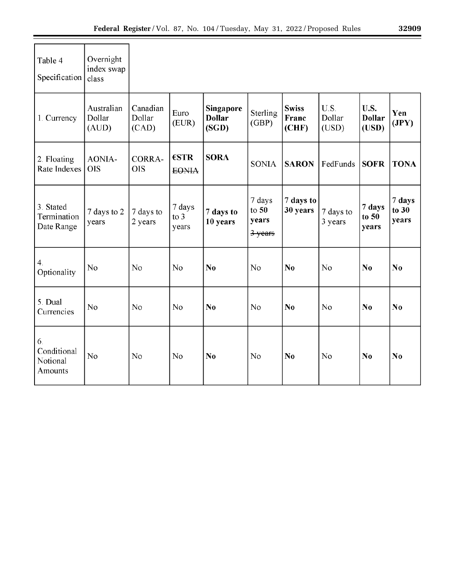| Table 4<br>Specification                 | Overnight<br>index swap<br>class |                             |                         |                                     |                                       |                                |                         |                                |                          |
|------------------------------------------|----------------------------------|-----------------------------|-------------------------|-------------------------------------|---------------------------------------|--------------------------------|-------------------------|--------------------------------|--------------------------|
| 1. Currency                              | Australian<br>Dollar<br>(AUD)    | Canadian<br>Dollar<br>(CAD) | Euro<br>(EUR)           | Singapore<br><b>Dollar</b><br>(SGD) | Sterling<br>(GBP)                     | <b>Swiss</b><br>Franc<br>(CHF) | U.S.<br>Dollar<br>(USD) | U.S.<br><b>Dollar</b><br>(USD) | Yen<br>(JPY)             |
| 2. Floating<br><b>Rate Indexes</b>       | AONIA-<br><b>OIS</b>             | <b>CORRA-</b><br><b>OIS</b> | €STR<br><b>EONIA</b>    | <b>SORA</b>                         | <b>SONIA</b>                          | <b>SARON</b>                   | FedFunds                | <b>SOFR</b>                    | <b>TONA</b>              |
| 3. Stated<br>Termination<br>Date Range   | 7 days to 2<br>years             | 7 days to<br>2 years        | 7 days<br>to 3<br>years | 7 days to<br>10 years               | 7 days<br>to $50$<br>years<br>3-years | 7 days to<br>30 years          | 7 days to<br>3 years    | 7 days<br>to $50$<br>years     | 7 days<br>to 30<br>years |
| $\mathbf{4}$ .<br>Optionality            | N <sub>o</sub>                   | No                          | No                      | N <sub>0</sub>                      | N <sub>o</sub>                        | N <sub>0</sub>                 | N <sub>o</sub>          | No                             | N <sub>0</sub>           |
| 5. Dual<br>Currencies                    | No                               | No                          | No                      | No                                  | No                                    | No                             | N <sub>o</sub>          | No                             | No                       |
| 6.<br>Conditional<br>Notional<br>Amounts | N <sub>o</sub>                   | No                          | N <sub>o</sub>          | N <sub>0</sub>                      | N <sub>o</sub>                        | N <sub>0</sub>                 | N <sub>o</sub>          | No                             | N <sub>0</sub>           |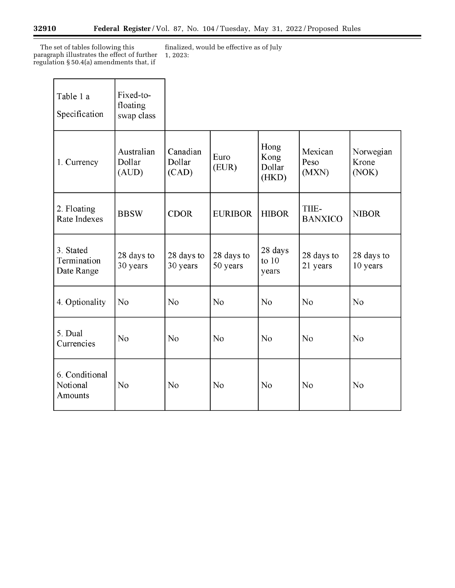The set of tables following this paragraph illustrates the effect of further regulation § 50.4(a) amendments that, if

finalized, would be effective as of July 1, 2023:

| Table 1 a<br>Specification             | Fixed-to-<br>floating<br>swap class |                             |                        |                                 |                          |                             |
|----------------------------------------|-------------------------------------|-----------------------------|------------------------|---------------------------------|--------------------------|-----------------------------|
| 1. Currency                            | Australian<br>Dollar<br>(AUD)       | Canadian<br>Dollar<br>(CAD) | Euro<br>(EUR)          | Hong<br>Kong<br>Dollar<br>(HKD) | Mexican<br>Peso<br>(MXN) | Norwegian<br>Krone<br>(NOK) |
| 2. Floating<br>Rate Indexes            | <b>BBSW</b>                         | <b>CDOR</b>                 | <b>EURIBOR</b>         | <b>HIBOR</b>                    | TIIE-<br><b>BANXICO</b>  | <b>NIBOR</b>                |
| 3. Stated<br>Termination<br>Date Range | 28 days to<br>30 years              | 28 days to<br>30 years      | 28 days to<br>50 years | 28 days<br>to $10$<br>years     | 28 days to<br>21 years   | 28 days to<br>10 years      |
| 4. Optionality                         | N <sub>o</sub>                      | N <sub>o</sub>              | N <sub>o</sub>         | N <sub>o</sub>                  | N <sub>o</sub>           | N <sub>o</sub>              |
| 5. Dual<br>Currencies                  | No                                  | No                          | N <sub>o</sub>         | N <sub>o</sub>                  | N <sub>o</sub>           | N <sub>o</sub>              |
| 6. Conditional<br>Notional<br>Amounts  | N <sub>o</sub>                      | No                          | N <sub>o</sub>         | No                              | No                       | No                          |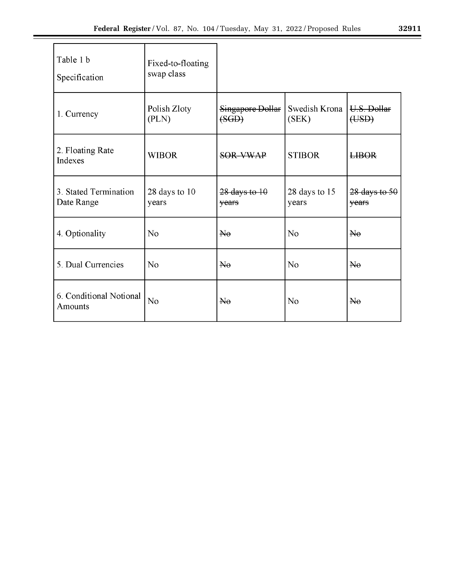| Table 1 b<br>Specification          | Fixed-to-floating<br>swap class |                           |                                      |                        |
|-------------------------------------|---------------------------------|---------------------------|--------------------------------------|------------------------|
| 1. Currency                         | Polish Zloty<br>(PLN)           | Singapore Dollar<br>(SGD) | Swedish Krona   U.S. Dollar<br>(SEK) | (USD)                  |
| 2. Floating Rate<br>Indexes         | <b>WIBOR</b>                    | SOR-VWAP                  | <b>STIBOR</b>                        | <b>LIBOR</b>           |
| 3. Stated Termination<br>Date Range | 28 days to 10<br>years          | 28 days to 10<br>years    | 28 days to 15<br>years               | 28 days to 50<br>years |
| 4. Optionality                      | N <sub>o</sub>                  | $H_{\theta}$              | N <sub>o</sub>                       | $\overline{\text{Me}}$ |
| 5. Dual Currencies                  | N <sub>o</sub>                  | He                        | N <sub>o</sub>                       | $\overline{\text{Ne}}$ |
| 6. Conditional Notional<br>Amounts  | N <sub>o</sub>                  | $\overline{\text{Me}}$    | N <sub>o</sub>                       | $\overline{\text{Ne}}$ |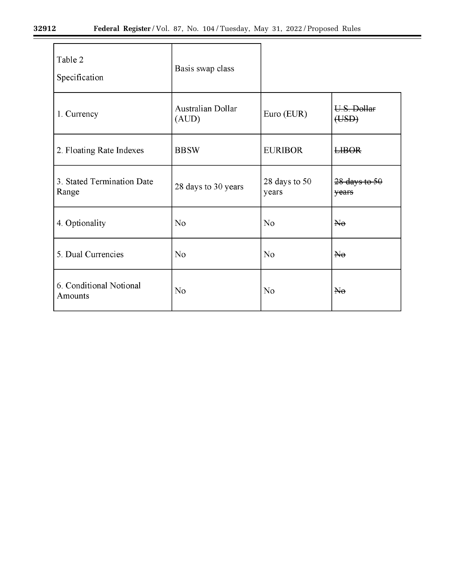$\equiv$ 

| Table 2<br>Specification            | Basis swap class           |                        |                            |
|-------------------------------------|----------------------------|------------------------|----------------------------|
| 1. Currency                         | Australian Dollar<br>(AUD) | Euro (EUR)             | U.S. Dollar<br>(USD)       |
| 2. Floating Rate Indexes            | <b>BBSW</b>                | <b>EURIBOR</b>         | <b>LIBOR</b>               |
| 3. Stated Termination Date<br>Range | 28 days to 30 years        | 28 days to 50<br>years | $28$ days to $50$<br>years |
| 4. Optionality                      | N <sub>o</sub>             | No                     | $\overline{\text{Ne}}$     |
| 5. Dual Currencies                  | No                         | No                     | $H_{\theta}$               |
| 6. Conditional Notional<br>Amounts  | No                         | No                     | $\overline{\text{Ne}}$     |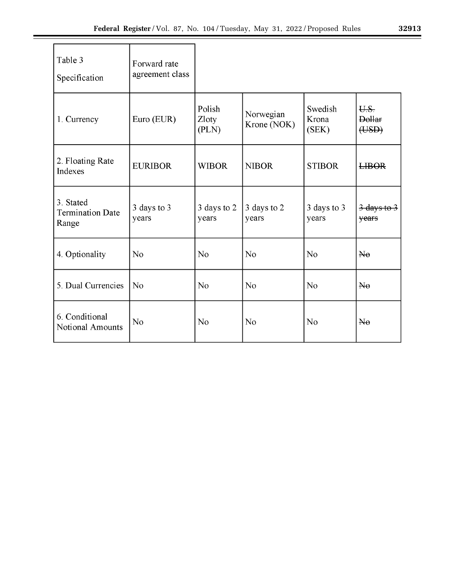| Table 3<br>Specification                      | Forward rate<br>agreement class |                          |                          |                           |                                      |
|-----------------------------------------------|---------------------------------|--------------------------|--------------------------|---------------------------|--------------------------------------|
| 1. Currency                                   | Euro (EUR)                      | Polish<br>Zloty<br>(PLN) | Norwegian<br>Krone (NOK) | Swedish<br>Krona<br>(SEK) | U.S.<br><b>Dollar</b><br>(HSD)       |
| 2. Floating Rate<br>Indexes                   | <b>EURIBOR</b>                  | <b>WIBOR</b>             | <b>NIBOR</b>             | <b>STIBOR</b>             | <b>LIBOR</b>                         |
| 3. Stated<br><b>Termination Date</b><br>Range | 3 days to 3<br>years            | 3 days to 2<br>years     | 3 days to 2<br>years     | 3 days to 3<br>years      | $\frac{3 \text{ days}}{10}$<br>years |
| 4. Optionality                                | No                              | No                       | N <sub>o</sub>           | N <sub>o</sub>            | $\overline{\text{He}}$               |
| 5. Dual Currencies                            | N <sub>o</sub>                  | N <sub>o</sub>           | N <sub>o</sub>           | N <sub>o</sub>            | $H_{\theta}$                         |
| 6. Conditional<br>Notional Amounts            | N <sub>o</sub>                  | No                       | N <sub>o</sub>           | N <sub>o</sub>            | $\overline{\text{He}}$               |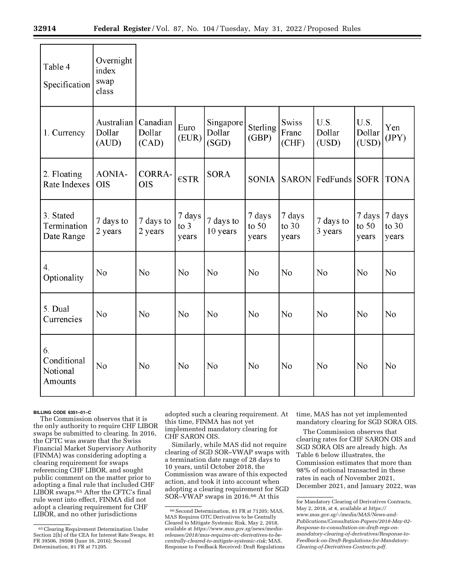| Table 4<br>Specification                 | Overnight<br>index<br>swap<br>class |                             |                                  |                              |                            |                            |                         |                            |                            |
|------------------------------------------|-------------------------------------|-----------------------------|----------------------------------|------------------------------|----------------------------|----------------------------|-------------------------|----------------------------|----------------------------|
| 1. Currency                              | Australian<br>Dollar<br>(AUD)       | Canadian<br>Dollar<br>(CAD) | Euro<br>(EUR)                    | Singapore<br>Dollar<br>(SGD) | Sterling<br>(GBP)          | Swiss<br>Franc<br>(CHF)    | U.S.<br>Dollar<br>(USD) | U.S.<br>Dollar<br>(USD)    | Yen<br>(IPY)               |
| 2. Floating<br>Rate Indexes              | <b>AONIA-</b><br><b>OIS</b>         | <b>CORRA-</b><br><b>OIS</b> | $\epsilon$ STR                   | <b>SORA</b>                  | <b>SONIA</b>               |                            | SARON FedFunds          | <b>SOFR</b>                | <b>TONA</b>                |
| 3. Stated<br>Termination<br>Date Range   | 7 days to<br>2 years                | 7 days to<br>2 years        | 7 days<br>$\frac{1}{2}$<br>years | 7 days to<br>10 years        | 7 days<br>to $50$<br>years | 7 days<br>to $30$<br>years | 7 days to<br>3 years    | 7 days<br>to $50$<br>years | 7 days<br>to $30$<br>years |
| $\overline{4}$ .<br>Optionality          | N <sub>o</sub>                      | No                          | N <sub>o</sub>                   | N <sub>o</sub>               | No                         | No                         | No                      | No                         | No                         |
| 5. Dual<br>Currencies                    | No                                  | No                          | N <sub>o</sub>                   | No                           | No                         | No                         | No                      | No                         | No                         |
| 6.<br>Conditional<br>Notional<br>Amounts | N <sub>o</sub>                      | N <sub>o</sub>              | N <sub>o</sub>                   | No                           | N <sub>o</sub>             | N <sub>o</sub>             | No                      | No                         | No                         |

#### **BILLING CODE 6351–01–C**

The Commission observes that it is the only authority to require CHF LIBOR swaps be submitted to clearing. In 2016, the CFTC was aware that the Swiss Financial Market Supervisory Authority (FINMA) was considering adopting a clearing requirement for swaps referencing CHF LIBOR, and sought public comment on the matter prior to adopting a final rule that included CHF LIBOR swaps.<sup>65</sup> After the CFTC's final rule went into effect, FINMA did not adopt a clearing requirement for CHF LIBOR, and no other jurisdictions

adopted such a clearing requirement. At this time, FINMA has not yet implemented mandatory clearing for CHF SARON OIS.

Similarly, while MAS did not require clearing of SGD SOR–VWAP swaps with a termination date range of 28 days to 10 years, until October 2018, the Commission was aware of this expected action, and took it into account when adopting a clearing requirement for SGD SOR–VWAP swaps in 2016.66 At this

time, MAS has not yet implemented mandatory clearing for SGD SORA OIS.

The Commission observes that clearing rates for CHF SARON OIS and SGD SORA OIS are already high. As Table 6 below illustrates, the Commission estimates that more than 98% of notional transacted in these rates in each of November 2021, December 2021, and January 2022, was

<sup>65</sup>Clearing Requirement Determination Under Section 2(h) of the CEA for Interest Rate Swaps, 81 FR 39506, 39508 (June 16, 2016); Second Determination, 81 FR at 71205.

<sup>66</sup>Second Determination, 81 FR at 71205; MAS, MAS Requires OTC Derivatives to be Centrally Cleared to Mitigate Systemic Risk, May 2, 2018, available at *[https://www.mas.gov.sg/news/media](https://www.mas.gov.sg/news/media-releases/2018/mas-requires-otc-derivatives-to-be-centrally-cleared-to-mitigate-systemic-risk)[releases/2018/mas-requires-otc-derivatives-to-be](https://www.mas.gov.sg/news/media-releases/2018/mas-requires-otc-derivatives-to-be-centrally-cleared-to-mitigate-systemic-risk)[centrally-cleared-to-mitigate-systemic-risk](https://www.mas.gov.sg/news/media-releases/2018/mas-requires-otc-derivatives-to-be-centrally-cleared-to-mitigate-systemic-risk)*; MAS, Response to Feedback Received: Draft Regulations

for Mandatory Clearing of Derivatives Contracts, May 2, 2018, at 4, available at *[https://](https://www.mas.gov.sg/-/media/MAS/News-and-Publications/Consultation-Papers/2018-May-02-Response-to-consultation-on-draft-regs-on-mandatory-clearing-of-derivatives/Response-to-Feedback-on-Draft-Regulations-for-Mandatory-Clearing-of-Derivatives-Contracts.pdf) [www.mas.gov.sg/-/media/MAS/News-and-](https://www.mas.gov.sg/-/media/MAS/News-and-Publications/Consultation-Papers/2018-May-02-Response-to-consultation-on-draft-regs-on-mandatory-clearing-of-derivatives/Response-to-Feedback-on-Draft-Regulations-for-Mandatory-Clearing-of-Derivatives-Contracts.pdf)[Publications/Consultation-Papers/2018-May-02-](https://www.mas.gov.sg/-/media/MAS/News-and-Publications/Consultation-Papers/2018-May-02-Response-to-consultation-on-draft-regs-on-mandatory-clearing-of-derivatives/Response-to-Feedback-on-Draft-Regulations-for-Mandatory-Clearing-of-Derivatives-Contracts.pdf)  [Response-to-consultation-on-draft-regs-on](https://www.mas.gov.sg/-/media/MAS/News-and-Publications/Consultation-Papers/2018-May-02-Response-to-consultation-on-draft-regs-on-mandatory-clearing-of-derivatives/Response-to-Feedback-on-Draft-Regulations-for-Mandatory-Clearing-of-Derivatives-Contracts.pdf)[mandatory-clearing-of-derivatives/Response-to-](https://www.mas.gov.sg/-/media/MAS/News-and-Publications/Consultation-Papers/2018-May-02-Response-to-consultation-on-draft-regs-on-mandatory-clearing-of-derivatives/Response-to-Feedback-on-Draft-Regulations-for-Mandatory-Clearing-of-Derivatives-Contracts.pdf)[Feedback-on-Draft-Regulations-for-Mandatory-](https://www.mas.gov.sg/-/media/MAS/News-and-Publications/Consultation-Papers/2018-May-02-Response-to-consultation-on-draft-regs-on-mandatory-clearing-of-derivatives/Response-to-Feedback-on-Draft-Regulations-for-Mandatory-Clearing-of-Derivatives-Contracts.pdf)[Clearing-of-Derivatives-Contracts.pdf.](https://www.mas.gov.sg/-/media/MAS/News-and-Publications/Consultation-Papers/2018-May-02-Response-to-consultation-on-draft-regs-on-mandatory-clearing-of-derivatives/Response-to-Feedback-on-Draft-Regulations-for-Mandatory-Clearing-of-Derivatives-Contracts.pdf)*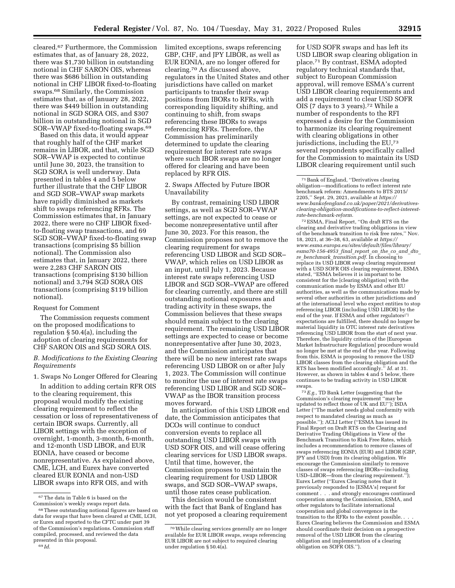cleared.67 Furthermore, the Commission estimates that, as of January 28, 2022, there was \$1,730 billion in outstanding notional in CHF SARON OIS, whereas there was \$686 billion in outstanding notional in CHF LIBOR fixed-to-floating swaps.68 Similarly, the Commission estimates that, as of January 28, 2022, there was \$449 billion in outstanding notional in SGD SORA OIS, and \$307 billion in outstanding notional in SGD SOR–VWAP fixed-to-floating swaps.69

Based on this data, it would appear that roughly half of the CHF market remains in LIBOR, and that, while SGD SOR–VWAP is expected to continue until June 30, 2023, the transition to SGD SORA is well underway. Data presented in tables 4 and 5 below further illustrate that the CHF LIBOR and SGD SOR–VWAP swap markets have rapidly diminished as markets shift to swaps referencing RFRs. The Commission estimates that, in January 2022, there were no CHF LIBOR fixedto-floating swap transactions, and 69 SGD SOR–VWAP fixed-to-floating swap transactions (comprising \$5 billion notional). The Commission also estimates that, in January 2022, there were 2,283 CHF SARON OIS transactions (comprising \$130 billion notional) and 3,794 SGD SORA OIS transactions (comprising \$119 billion notional).

#### Request for Comment

The Commission requests comment on the proposed modifications to regulation § 50.4(a), including the adoption of clearing requirements for CHF SARON OIS and SGD SORA OIS.

*B. Modifications to the Existing Clearing Requirements* 

1. Swaps No Longer Offered for Clearing

In addition to adding certain RFR OIS to the clearing requirement, this proposal would modify the existing clearing requirement to reflect the cessation or loss of representativeness of certain IBOR swaps. Currently, all LIBOR settings with the exception of overnight, 1-month, 3-month, 6-month, and 12-month USD LIBOR, and EUR EONIA, have ceased or become nonrepresentative. As explained above, CME, LCH, and Eurex have converted cleared EUR EONIA and non-USD LIBOR swaps into RFR OIS, and with

limited exceptions, swaps referencing GBP, CHF, and JPY LIBOR, as well as EUR EONIA, are no longer offered for clearing.70 As discussed above, regulators in the United States and other jurisdictions have called on market participants to transfer their swap positions from IBORs to RFRs, with corresponding liquidity shifting, and continuing to shift, from swaps referencing these IBORs to swaps referencing RFRs. Therefore, the Commission has preliminarily determined to update the clearing requirement for interest rate swaps where such IBOR swaps are no longer offered for clearing and have been replaced by RFR OIS.

2. Swaps Affected by Future IBOR Unavailability

By contrast, remaining USD LIBOR settings, as well as SGD SOR–VWAP settings, are not expected to cease or become nonrepresentative until after June 30, 2023. For this reason, the Commission proposes not to remove the clearing requirement for swaps referencing USD LIBOR and SGD SOR– VWAP, which relies on USD LIBOR as an input, until July 1, 2023. Because interest rate swaps referencing USD LIBOR and SGD SOR–VWAP are offered for clearing currently, and there are still outstanding notional exposures and trading activity in these swaps, the Commission believes that these swaps should remain subject to the clearing requirement. The remaining USD LIBOR settings are expected to cease or become nonrepresentative after June 30, 2023, and the Commission anticipates that there will be no new interest rate swaps referencing USD LIBOR on or after July 1, 2023. The Commission will continue to monitor the use of interest rate swaps referencing USD LIBOR and SGD SOR– VWAP as the IBOR transition process moves forward.

In anticipation of this USD LIBOR end date, the Commission anticipates that DCOs will continue to conduct conversion events to replace all outstanding USD LIBOR swaps with USD SOFR OIS, and will cease offering clearing services for USD LIBOR swaps. Until that time, however, the Commission proposes to maintain the clearing requirement for USD LIBOR swaps, and SGD SOR–VWAP swaps, until those rates cease publication.

This decision would be consistent with the fact that Bank of England has not yet proposed a clearing requirement

for USD SOFR swaps and has left its USD LIBOR swap clearing obligation in place.71 By contrast, ESMA adopted regulatory technical standards that, subject to European Commission approval, will remove ESMA's current USD LIBOR clearing requirements and add a requirement to clear USD SOFR OIS (7 days to 3 years).72 While a number of respondents to the RFI expressed a desire for the Commission to harmonize its clearing requirement with clearing obligations in other jurisdictions, including the EU,73 several respondents specifically called for the Commission to maintain its USD LIBOR clearing requirement until such

72ESMA, Final Report, ''On draft RTS on the clearing and derivative trading obligations in view of the benchmark transition to risk free rates,'' Nov. 18, 2021, at 36–38, 63, available at *[https://](https://www.esma.europa.eu/sites/default/files/library/esma70-156-4953_final_report_on_the_co_and_dto_re_benchmark_transition.pdf) [www.esma.europa.eu/sites/default/files/library/](https://www.esma.europa.eu/sites/default/files/library/esma70-156-4953_final_report_on_the_co_and_dto_re_benchmark_transition.pdf) [esma70-156-4953](https://www.esma.europa.eu/sites/default/files/library/esma70-156-4953_final_report_on_the_co_and_dto_re_benchmark_transition.pdf)*\_*final*\_*report*\_*on*\_*the*\_*co*\_*and*\_*dto*\_ *re*\_*benchmark*\_*[transition.pdf.](https://www.esma.europa.eu/sites/default/files/library/esma70-156-4953_final_report_on_the_co_and_dto_re_benchmark_transition.pdf)* In choosing to replace its USD LIBOR swap clearing requirement with a USD SOFR OIS clearing requirement, ESMA stated, ''ESMA believes it is important to be consistent for the [clearing obligation] with the communication made by ESMA and other EU authorities, as well as the communications made by several other authorities in other jurisdictions and at the international level who expect entities to stop referencing LIBOR (including USD LIBOR) by the end of the year. If ESMA and other regulators<sup>[']</sup> expectations are fulfilled, there should no longer be material liquidity in OTC interest rate derivatives referencing USD LIBOR from the start of next year. Therefore, the liquidity criteria of the [European Market Infrastructure Regulation] procedure would no longer be met at the end of the year. Following from this, ESMA is proposing to remove the USD LIBOR classes from the clearing obligation and the RTS has been modified accordingly."  $Id$ , at 31. RTS has been modified accordingly.<sup>7</sup> However, as shown in tables 4 and 5 below, there continues to be trading activity in USD LIBOR swaps.

73*E.g.,* TD Bank Letter (suggesting that the Commission's clearing requirement ''may be updated to reflect those of UK and EU''); ISDA Letter (''The market needs global conformity with respect to mandated clearing as much as possible.''); ACLI Letter (''ESMA has issued its Final Report on Draft RTS on the Clearing and Derivative Trading Obligations in View of the Benchmark Transition to Risk Free Rates, which includes a recommendation to remove classes of swaps referencing EONIA (EUR) and LIBOR (GBP, JPY and USD) from its clearing obligation. We encourage the Commission similarly to remove classes of swaps referencing IBORs—including USD–LIBOR—from the clearing requirement.''); Eurex Letter (''Eurex Clearing notes that it previously responded to [ESMA's] request for comment . . . and strongly encourages continued cooperation among the Commission, ESMA, and other regulators to facilitate international cooperation and global convergence in the transition to the RFRs to the extent possible. Eurex Clearing believes the Commission and ESMA should coordinate their decision on a prospective removal of the USD LIBOR from the clearing obligation and implementation of a clearing obligation on SOFR OIS.'').

<sup>67</sup>The data in Table 6 is based on the Commission's weekly swaps report data.

<sup>68</sup>These outstanding notional figures are based on data for swaps that have been cleared at CME, LCH, or Eurex and reported to the CFTC under part 39 of the Commission's regulations. Commission staff compiled, processed, and reviewed the data presented in this proposal.

<sup>69</sup> *Id.* 

<sup>70</sup>While clearing services generally are no longer available for EUR LIBOR swaps, swaps referencing EUR LIBOR are not subject to required clearing under regulation § 50.4(a).

<sup>71</sup>Bank of England, ''Derivatives clearing obligation—modifications to reflect interest rate benchmark reform: Amendments to BTS 2015/ 2205,'' Sept. 29, 2021, available at *[https://](https://www.bankofengland.co.uk/paper/2021/derivatives-clearing-obligation-modifications-to-reflect-interest-rate-benchmark-reform) [www.bankofengland.co.uk/paper/2021/derivatives](https://www.bankofengland.co.uk/paper/2021/derivatives-clearing-obligation-modifications-to-reflect-interest-rate-benchmark-reform)[clearing-obligation-modifications-to-reflect-interest](https://www.bankofengland.co.uk/paper/2021/derivatives-clearing-obligation-modifications-to-reflect-interest-rate-benchmark-reform)[rate-benchmark-reform.](https://www.bankofengland.co.uk/paper/2021/derivatives-clearing-obligation-modifications-to-reflect-interest-rate-benchmark-reform)*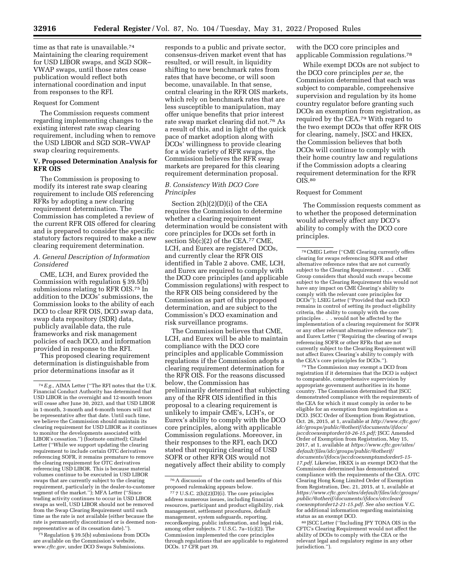time as that rate is unavailable.<sup>74</sup> Maintaining the clearing requirement for USD LIBOR swaps, and SGD SOR– VWAP swaps, until those rates cease publication would reflect both international coordination and input from responses to the RFI.

#### Request for Comment

The Commission requests comment regarding implementing changes to the existing interest rate swap clearing requirement, including when to remove the USD LIBOR and SGD SOR–VWAP swap clearing requirements.

#### **V. Proposed Determination Analysis for RFR OIS**

The Commission is proposing to modify its interest rate swap clearing requirement to include OIS referencing RFRs by adopting a new clearing requirement determination. The Commission has completed a review of the current RFR OIS offered for clearing and is prepared to consider the specific statutory factors required to make a new clearing requirement determination.

#### *A. General Description of Information Considered*

CME, LCH, and Eurex provided the Commission with regulation § 39.5(b) submissions relating to RFR OIS.75 In addition to the DCOs' submissions, the Commission looks to the ability of each DCO to clear RFR OIS, DCO swap data, swap data repository (SDR) data, publicly available data, the rule frameworks and risk management policies of each DCO, and information provided in response to the RFI.

This proposed clearing requirement determination is distinguishable from prior determinations insofar as it

<sup>75</sup> Regulation § 39.5(b) submissions from DCOs are available on the Commission's website, *[www.cftc.gov,](http://www.cftc.gov)* under DCO Swaps Submissions.

responds to a public and private sector, consensus-driven market event that has resulted, or will result, in liquidity shifting to new benchmark rates from rates that have become, or will soon become, unavailable. In that sense, central clearing in the RFR OIS markets, which rely on benchmark rates that are less susceptible to manipulation, may offer unique benefits that prior interest rate swap market clearing did not.76 As a result of this, and in light of the quick pace of market adoption along with DCOs' willingness to provide clearing for a wide variety of RFR swaps, the Commission believes the RFR swap markets are prepared for this clearing requirement determination proposal.

#### *B. Consistency With DCO Core Principles*

Section 2(h)(2)(D)(i) of the CEA requires the Commission to determine whether a clearing requirement determination would be consistent with core principles for DCOs set forth in section  $5b(c)(2)$  of the CEA.<sup>77</sup> CME, LCH, and Eurex are registered DCOs, and currently clear the RFR OIS identified in Table 2 above. CME, LCH, and Eurex are required to comply with the DCO core principles (and applicable Commission regulations) with respect to the RFR OIS being considered by the Commission as part of this proposed determination, and are subject to the Commission's DCO examination and risk surveillance programs.

The Commission believes that CME, LCH, and Eurex will be able to maintain compliance with the DCO core principles and applicable Commission regulations if the Commission adopts a clearing requirement determination for the RFR OIS. For the reasons discussed below, the Commission has preliminarily determined that subjecting any of the RFR OIS identified in this proposal to a clearing requirement is unlikely to impair CME's, LCH's, or Eurex's ability to comply with the DCO core principles, along with applicable Commission regulations. Moreover, in their responses to the RFI, each DCO stated that requiring clearing of USD SOFR or other RFR OIS would not negatively affect their ability to comply

with the DCO core principles and applicable Commission regulations.78

While exempt DCOs are not subject to the DCO core principles *per se,* the Commission determined that each was subject to comparable, comprehensive supervision and regulation by its home country regulator before granting such DCOs an exemption from registration, as required by the CEA.79 With regard to the two exempt DCOs that offer RFR OIS for clearing, namely, JSCC and HKEX, the Commission believes that both DCOs will continue to comply with their home country law and regulations if the Commission adopts a clearing requirement determination for the RFR OIS.80

#### Request for Comment

The Commission requests comment as to whether the proposed determination would adversely affect any DCO's ability to comply with the DCO core principles.

79The Commission may exempt a DCO from registration if it determines that the DCO is subject to comparable, comprehensive supervision by appropriate government authorities in its home country. The Commission determined that JSCC demonstrated compliance with the requirements of the CEA for which it must comply in order to be eligible for an exemption from registration as a DCO. JSCC Order of Exemption from Registration, Oct. 26, 2015, at 1, available at *[http://www.cftc.gov/](http://www.cftc.gov/idc/groups/public/@otherif/documents/ifdocs/jsccdcoexemptorder10-26-15.pdf) [idc/groups/public/@otherif/documents/ifdocs/](http://www.cftc.gov/idc/groups/public/@otherif/documents/ifdocs/jsccdcoexemptorder10-26-15.pdf)  [jsccdcoexemptorder10-26-15.pdf;](http://www.cftc.gov/idc/groups/public/@otherif/documents/ifdocs/jsccdcoexemptorder10-26-15.pdf)* JSCC Amended Order of Exemption from Registration, May 15, 2017, at 1, available at *[https://www.cftc.gov/sites/](https://www.cftc.gov/sites/default/files/idc/groups/public/@otherif/documents/ifdocs/jsccdcoexemptamdorder5-15-17.pdf)  [default/files/idc/groups/public/@otherif/](https://www.cftc.gov/sites/default/files/idc/groups/public/@otherif/documents/ifdocs/jsccdcoexemptamdorder5-15-17.pdf)  [documents/ifdocs/jsccdcoexemptamdorder5-15-](https://www.cftc.gov/sites/default/files/idc/groups/public/@otherif/documents/ifdocs/jsccdcoexemptamdorder5-15-17.pdf)  [17.pdf.](https://www.cftc.gov/sites/default/files/idc/groups/public/@otherif/documents/ifdocs/jsccdcoexemptamdorder5-15-17.pdf)* Likewise, HKEX is an exempt DCO that the Commission determined has demonstrated compliance with the requirements of the CEA. OTC Clearing Hong Kong Limited Order of Exemption from Registration, Dec. 21, 2015, at 1, available at *[https://www.cftc.gov/sites/default/files/idc/groups/](https://www.cftc.gov/sites/default/files/idc/groups/public/@otherif/documents/ifdocs/otccleardcoexemptorder12-21-15.pdf)  [public/@otherif/documents/ifdocs/otccleard](https://www.cftc.gov/sites/default/files/idc/groups/public/@otherif/documents/ifdocs/otccleardcoexemptorder12-21-15.pdf) [coexemptorder12-21-15.pdf. S](https://www.cftc.gov/sites/default/files/idc/groups/public/@otherif/documents/ifdocs/otccleardcoexemptorder12-21-15.pdf)ee also* section V.C. for additional information regarding maintaining status as an exempt DCO.

80 JSCC Letter (''Including JPY TONA OIS in the CFTC's Clearing Requirement would not affect the ability of DCOs to comply with the CEA or the relevant legal and regulatory regime in any other jurisdiction.").

<sup>74</sup>*E.g.,* AIMA Letter (''The RFI notes that the U.K. Financial Conduct Authority has determined that USD LIBOR in the overnight and 12-month tenors will cease after June 30, 2023, and that USD LIBOR in 1-month, 3-month and 6-month tenors will not be representative after that date. Until such time, we believe the Commission should maintain its clearing requirement for USD LIBOR as it continues to monitor the developments associated with LIBOR's cessation.'') (footnote omitted); Citadel Letter (''While we support updating the clearing requirement to include certain OTC derivatives referencing SOFR, it remains premature to remove the clearing requirement for OTC derivatives referencing USD LIBOR. This is because material volumes continue to be executed in USD LIBOR swaps that are currently subject to the clearing requirement, particularly in the dealer-to-customer segment of the market.''); MFA Letter (''Since trading activity continues to occur in USD LIBOR swaps as well, USD LIBOR should not be removed from the Swap Clearing Requirement until such time as the rate is not available (either because the rate is permanently discontinued or is deemed nonrepresentative as of its cessation date).'').

<sup>76</sup>A discussion of the costs and benefits of this proposed rulemaking appears below.

<sup>77</sup> 7 U.S.C. 2(h)(2)(D)(i). The core principles address numerous issues, including financial resources, participant and product eligibility, risk management, settlement procedures, default management, system safeguards, reporting, recordkeeping, public information, and legal risk, among other subjects. 7 U.S.C. 7a–1(c)(2). The Commission implemented the core principles through regulations that are applicable to registered DCOs. 17 CFR part 39.

<sup>78</sup>CMEG Letter (''CME Clearing currently offers clearing for swaps referencing SOFR and other alternative reference rates that are not currently subject to the Clearing Requirement . . . . CME Group considers that should such swaps become subject to the Clearing Requirement this would not have any impact on CME Clearing's ability to comply with the relevant core principles for DCOs''); LSEG Letter (''Provided that each DCO remains in control of setting its product eligibility criteria, the ability to comply with the core principles . . . would not be affected by the implementation of a clearing requirement for SOFR or any other relevant alternative reference rate''); and Eurex Letter (''Requiring the clearing of swaps referencing SOFR or other RFRs that are not currently subject to the Clearing Requirement will not affect Eurex Clearing's ability to comply with the CEA's core principles for DCOs.'').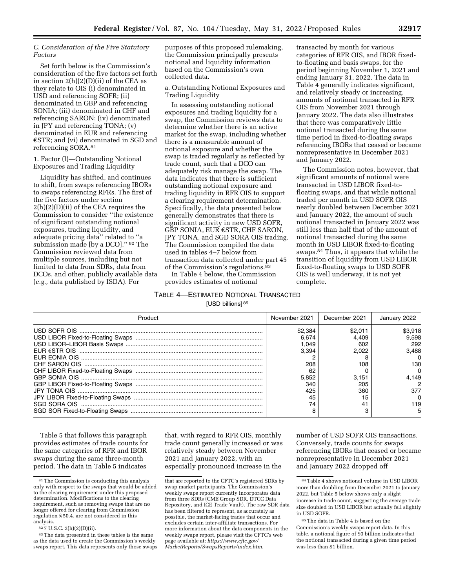#### *C. Consideration of the Five Statutory Factors*

Set forth below is the Commission's consideration of the five factors set forth in section 2(h)(2)(D)(ii) of the CEA as they relate to OIS (i) denominated in USD and referencing SOFR; (ii) denominated in GBP and referencing SONIA; (iii) denominated in CHF and referencing SARON; (iv) denominated in JPY and referencing TONA; (v) denominated in EUR and referencing  $\epsilon$ STR; and (vi) denominated in SGD and referencing SORA.81

1. Factor (I)—Outstanding Notional Exposures and Trading Liquidity

Liquidity has shifted, and continues to shift, from swaps referencing IBORs to swaps referencing RFRs. The first of the five factors under section 2(h)(2)(D)(ii) of the CEA requires the Commission to consider ''the existence of significant outstanding notional exposures, trading liquidity, and adequate pricing data'' related to ''a submission made [by a DCO].'' 82 The Commission reviewed data from multiple sources, including but not limited to data from SDRs, data from DCOs, and other, publicly available data (*e.g.,* data published by ISDA). For

purposes of this proposed rulemaking, the Commission principally presents notional and liquidity information based on the Commission's own collected data.

a. Outstanding Notional Exposures and Trading Liquidity

In assessing outstanding notional exposures and trading liquidity for a swap, the Commission reviews data to determine whether there is an active market for the swap, including whether there is a measurable amount of notional exposure and whether the swap is traded regularly as reflected by trade count, such that a DCO can adequately risk manage the swap. The data indicates that there is sufficient outstanding notional exposure and trading liquidity in RFR OIS to support a clearing requirement determination. Specifically, the data presented below generally demonstrates that there is significant activity in new USD SOFR, GBP SONIA, EUR  $\epsilon$ STR, CHF SARON, JPY TONA, and SGD SORA OIS trading. The Commission compiled the data used in tables 4–7 below from transaction data collected under part 45 of the Commission's regulations.83

In Table 4 below, the Commission provides estimates of notional

# TABLE 4—ESTIMATED NOTIONAL TRANSACTED [USD billions] 85

transacted by month for various categories of RFR OIS, and IBOR fixedto-floating and basis swaps, for the period beginning November 1, 2021 and ending January 31, 2022. The data in Table 4 generally indicates significant, and relatively steady or increasing, amounts of notional transacted in RFR OIS from November 2021 through January 2022. The data also illustrates that there was comparatively little notional transacted during the same time period in fixed-to-floating swaps referencing IBORs that ceased or became nonrepresentative in December 2021 and January 2022.

The Commission notes, however, that significant amounts of notional were transacted in USD LIBOR fixed-tofloating swaps, and that while notional traded per month in USD SOFR OIS nearly doubled between December 2021 and January 2022, the amount of such notional transacted in January 2022 was still less than half that of the amount of notional transacted during the same month in USD LIBOR fixed-to-floating swaps.84 Thus, it appears that while the transition of liquidity from USD LIBOR fixed-to-floating swaps to USD SOFR OIS is well underway, it is not yet complete.

| November 2021 | December 2021 | January 2022 |
|---------------|---------------|--------------|
| \$2.384       | \$2.01        | \$3.918      |
| 6.674         | 4.409         | 9.598        |
| .049          | 602           | 292          |
| 3.394         | 2.022         | 3.488        |
|               |               |              |
| 208           | 108           | 130          |
| 62            |               |              |
| 5.852         | 3.151         | 4.149        |
| 340           | 205           |              |
| 425           | 360           | 377          |
| 45            | 15            |              |
| 74            | 4.            | 119          |
|               |               |              |

Table 5 that follows this paragraph provides estimates of trade counts for the same categories of RFR and IBOR swaps during the same three-month period. The data in Table 5 indicates

that, with regard to RFR OIS, monthly trade count generally increased or was relatively steady between November 2021 and January 2022, with an especially pronounced increase in the

number of USD SOFR OIS transactions. Conversely, trade counts for swaps referencing IBORs that ceased or became nonrepresentative in December 2021 and January 2022 dropped off

<sup>81</sup>The Commission is conducting this analysis only with respect to the swaps that would be added to the clearing requirement under this proposed determination. Modifications to the clearing requirement, such as removing swaps that are no longer offered for clearing from Commission regulation § 50.4, are not considered in this analysis.

<sup>82</sup> 7 U.S.C. 2(h)(2)(D)(ii).

<sup>83</sup>The data presented in these tables is the same as the data used to create the Commission's weekly swaps report. This data represents only those swaps

that are reported to the CFTC's registered SDRs by swap market participants. The Commission's weekly swaps report currently incorporates data from three SDRs (CME Group SDR, DTCC Data Repository, and ICE Trade Vault). The raw SDR data has been filtered to represent, as accurately as possible, the market-facing trades that occur and excludes certain inter-affiliate transactions. For more information about the data components in the weekly swaps report, please visit the CFTC's web page available at: *[https://www.cftc.gov/](https://www.cftc.gov/MarketReports/SwapsReports/index.htm) [MarketReports/SwapsReports/index.htm.](https://www.cftc.gov/MarketReports/SwapsReports/index.htm)* 

<sup>84</sup>Table 4 shows notional volume in USD LIBOR more than doubling from December 2021 to January 2022, but Table 5 below shows only a slight increase in trade count, suggesting the average trade size doubled in USD LIBOR but actually fell slightly in USD SOFR.

<sup>85</sup>The data in Table 4 is based on the Commission's weekly swaps report data. In this table, a notional figure of \$0 billion indicates that the notional transacted during a given time period was less than \$1 billion.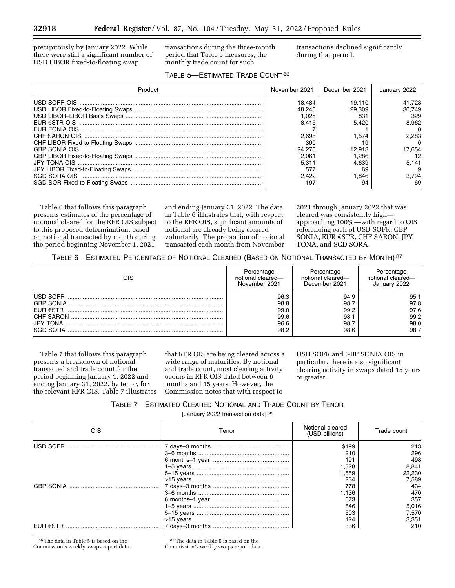precipitously by January 2022. While there were still a significant number of USD LIBOR fixed-to-floating swap

transactions during the three-month period that Table 5 measures, the monthly trade count for such

transactions declined significantly during that period.

# TABLE 5—ESTIMATED TRADE COUNT 86

| Product | November 2021                                                       | December 2021                            | January 2022                     |
|---------|---------------------------------------------------------------------|------------------------------------------|----------------------------------|
|         | 18.484<br>48.245<br>.025<br>8.415                                   | 19.110<br>29.309<br>83<br>5.420          | 41.728<br>30.749<br>329<br>8.962 |
|         | 2.698<br>390                                                        | 1.574                                    | 2.283                            |
|         | 24.275<br>2.06 <sup>2</sup><br>$5.31^{\circ}$<br>57<br>2.422<br>197 | 12.913<br>286. ا<br>4.639<br>69<br>1.846 | 17.654<br>5.141<br>3.794<br>69   |

Table 6 that follows this paragraph presents estimates of the percentage of notional cleared for the RFR OIS subject to this proposed determination, based on notional transacted by month during the period beginning November 1, 2021

and ending January 31, 2022. The data in Table 6 illustrates that, with respect to the RFR OIS, significant amounts of notional are already being cleared voluntarily. The proportion of notional transacted each month from November

2021 through January 2022 that was cleared was consistently high approaching 100%—with regard to OIS referencing each of USD SOFR, GBP SONIA, EUR €STR, CHF SARON, JPY TONA, and SGD SORA.

TABLE 6—ESTIMATED PERCENTAGE OF NOTIONAL CLEARED (BASED ON NOTIONAL TRANSACTED BY MONTH) 87

| OIS                                                                                                      | Percentage                                   | Percentage                                   | Percentage                                   |
|----------------------------------------------------------------------------------------------------------|----------------------------------------------|----------------------------------------------|----------------------------------------------|
|                                                                                                          | notional cleared-                            | notional cleared—                            | notional cleared—                            |
|                                                                                                          | November 2021                                | December 2021                                | January 2022                                 |
| USD SOFR<br><b>GBP SONIA</b><br>$F$ UR $\epsilon$ STR<br>CHF SARON<br><b>JPY TONA</b><br><b>SGD SORA</b> | 96.3<br>98.8<br>99.0<br>99.6<br>96.6<br>98.2 | 94.9<br>98.7<br>99.2<br>98.1<br>98.7<br>98.6 | 95.1<br>97.8<br>97.6<br>99.2<br>98.0<br>98.7 |

Table 7 that follows this paragraph presents a breakdown of notional transacted and trade count for the period beginning January 1, 2022 and ending January 31, 2022, by tenor, for the relevant RFR OIS. Table 7 illustrates

that RFR OIS are being cleared across a wide range of maturities. By notional and trade count, most clearing activity occurs in RFR OIS dated between 6 months and 15 years. However, the Commission notes that with respect to

USD SOFR and GBP SONIA OIS in particular, there is also significant clearing activity in swaps dated 15 years or greater.

| Table 7—Estimated Cleared Notional and Trade Count by Tenor |                                              |  |  |  |
|-------------------------------------------------------------|----------------------------------------------|--|--|--|
|                                                             | January 2022 transaction data] <sup>88</sup> |  |  |  |

| OIS | Tenor | Notional cleared<br>(USD billions) | Trade count |
|-----|-------|------------------------------------|-------------|
|     |       | \$199                              | 213         |
|     |       | 210                                | 296         |
|     |       | 191                                | 498         |
|     |       | 1,328                              | 8.841       |
|     |       | 1.559                              | 22.230      |
|     |       | 234                                | 7,589       |
|     |       | 778                                | 434         |
|     |       | 1.136                              | 470         |
|     |       | 673                                | 357         |
|     |       | 846                                | 5,016       |
|     |       | 503                                | 7.570       |
|     |       | 124                                | 3,351       |
|     |       | 336                                | 210         |

86The data in Table 5 is based on the Commission's weekly swaps report data.

87The data in Table 6 is based on the Commission's weekly swaps report data.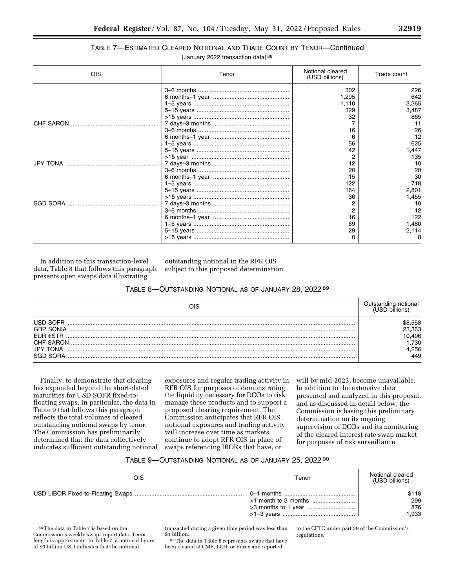# TABLE 7—ESTIMATED CLEARED NOTIONAL AND TRADE COUNT BY TENOR—Continued

| [January 2022 transaction data] 88 |  |  |
|------------------------------------|--|--|
|------------------------------------|--|--|

| OIS       | Tenor | Notional cleared<br>(USD billions) | Trade count |
|-----------|-------|------------------------------------|-------------|
|           |       | 302                                | 226         |
|           |       | 1,295                              | 642         |
|           |       | 1,110                              | 3,365       |
|           |       | 329                                | 3,487       |
|           |       | 32                                 | 865         |
|           |       |                                    | 11          |
|           |       | 16                                 | 26          |
|           |       |                                    | 12          |
|           |       | 56                                 | 625         |
|           |       | 42                                 | 1,447       |
|           |       |                                    | 135         |
| JPY TONA. |       |                                    | 10          |
|           |       | 20                                 | 20          |
|           |       |                                    | 30          |
|           |       | 122                                | 718         |
|           |       | 164                                | 2,801       |
|           |       | 36                                 | 1,455       |
|           |       |                                    | 10          |
|           |       |                                    | 12          |
|           |       | 16                                 | 122         |
|           |       | 69                                 | 1,480       |
|           |       | 29                                 | 2,114       |
|           |       |                                    | 8           |

In addition to this transaction-level data, Table 8 that follows this paragraph presents open swaps data illustrating

outstanding notional in the RFR OIS subject to this proposed determination.

#### TABLE 8—OUTSTANDING NOTIONAL AS OF JANUARY 28, 2022 89

| ЭIS                                                                                   |                                                |
|---------------------------------------------------------------------------------------|------------------------------------------------|
| USD SOFR<br><b>GRP SONIA</b><br>$FIR$ $\epsilon$ STR<br>CHE SARON<br>.IPY<br>SGD SORA | .558<br>23.363<br>0.496<br>.730<br>.256<br>449 |

Finally, to demonstrate that clearing has expanded beyond the short-dated maturities for USD SOFR fixed-tofloating swaps, in particular, the data in Table 9 that follows this paragraph reflects the total volumes of cleared outstanding notional swaps by tenor. The Commission has preliminarily determined that the data collectively indicates sufficient outstanding notional

exposures and regular trading activity in RFR OIS for purposes of demonstrating the liquidity necessary for DCOs to risk manage these products and to support a proposed clearing requirement. The Commission anticipates that RFR OIS notional exposures and trading activity will increase over time as markets continue to adopt RFR OIS in place of swaps referencing IBORs that have, or

will by mid-2023, become unavailable. In addition to the extensive data presented and analyzed in this proposal, and as discussed in detail below, the Commission is basing this preliminary determination on its ongoing supervision of DCOs and its monitoring of the cleared interest rate swap market for purposes of risk surveillance.

#### TABLE 9—OUTSTANDING NOTIONAL AS OF JANUARY 25, 2022 90

| OIS | Tenor | Notional cleared<br>(USD billions) |
|-----|-------|------------------------------------|
|     |       | \$118<br>299<br>876<br>1.933       |

<sup>88</sup>The data in Table 7 is based on the Commission's weekly swaps report data. Tenor length is approximate. In Table 7, a notional figure of \$0 billion USD indicates that the notional

transacted during a given time period was less than \$1 billion.

89The data in Table 8 represents swaps that have been cleared at CME, LCH, or Eurex and reported

to the CFTC under part 39 of the Commission's regulations.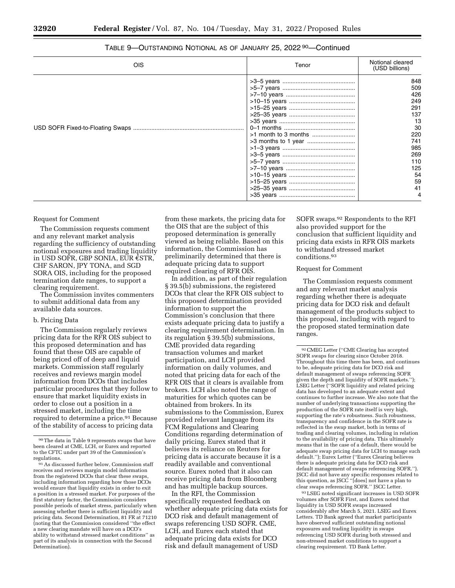| OIS | Tenor | Notional cleared<br>(USD billions)                                                                                  |
|-----|-------|---------------------------------------------------------------------------------------------------------------------|
|     |       | 848<br>509<br>426<br>249<br>291<br>137<br>13<br>30<br>220<br>741<br>985<br>269<br>110<br>125<br>54<br>59<br>41<br>4 |

# TABLE 9-OUTSTANDING NOTIONAL AS OF JANUARY 25, 2022<sup>90</sup>-Continued

#### Request for Comment

The Commission requests comment and any relevant market analysis regarding the sufficiency of outstanding notional exposures and trading liquidity in USD SOFR, GBP SONIA, EUR  $\epsilon$ STR, CHF SARON, JPY TONA, and SGD SORA OIS, including for the proposed termination date ranges, to support a clearing requirement.

The Commission invites commenters to submit additional data from any available data sources.

#### b. Pricing Data

The Commission regularly reviews pricing data for the RFR OIS subject to this proposed determination and has found that these OIS are capable of being priced off of deep and liquid markets. Commission staff regularly receives and reviews margin model information from DCOs that includes particular procedures that they follow to ensure that market liquidity exists in order to close out a position in a stressed market, including the time required to determine a price.<sup>91</sup> Because of the stability of access to pricing data

from these markets, the pricing data for the OIS that are the subject of this proposed determination is generally viewed as being reliable. Based on this information, the Commission has preliminarily determined that there is adequate pricing data to support required clearing of RFR OIS.

In addition, as part of their regulation § 39.5(b) submissions, the registered DCOs that clear the RFR OIS subject to this proposed determination provided information to support the Commission's conclusion that there exists adequate pricing data to justify a clearing requirement determination. In its regulation § 39.5(b) submissions, CME provided data regarding transaction volumes and market participation, and LCH provided information on daily volumes, and noted that pricing data for each of the RFR OIS that it clears is available from brokers. LCH also noted the range of maturities for which quotes can be obtained from brokers. In its submissions to the Commission, Eurex provided relevant language from its FCM Regulations and Clearing Conditions regarding determination of daily pricing. Eurex stated that it believes its reliance on Reuters for pricing data is accurate because it is a readily available and conventional source. Eurex noted that it also can receive pricing data from Bloomberg and has multiple backup sources.

In the RFI, the Commission specifically requested feedback on whether adequate pricing data exists for DCO risk and default management of swaps referencing USD SOFR. CME, LCH, and Eurex each stated that adequate pricing data exists for DCO risk and default management of USD

SOFR swaps.92 Respondents to the RFI also provided support for the conclusion that sufficient liquidity and pricing data exists in RFR OIS markets to withstand stressed market conditions.93

#### Request for Comment

The Commission requests comment and any relevant market analysis regarding whether there is adequate pricing data for DCO risk and default management of the products subject to this proposal, including with regard to the proposed stated termination date ranges.

93LSEG noted significant increases in USD SOFR volumes after SOFR First, and Eurex noted that liquidity in USD SOFR swaps increased considerably after March 5, 2021. LSEG and Eurex Letters. TD Bank agreed that market participants have observed sufficient outstanding notional exposures and trading liquidity in swaps referencing USD SOFR during both stressed and non-stressed market conditions to support a clearing requirement. TD Bank Letter.

<sup>90</sup>The data in Table 9 represents swaps that have been cleared at CME, LCH, or Eurex and reported to the CFTC under part 39 of the Commission's regulations.

<sup>91</sup>As discussed further below, Commission staff receives and reviews margin model information from the registered DCOs that clear these swaps, including information regarding how those DCOs would ensure that liquidity exists in order to exit a position in a stressed market. For purposes of the first statutory factor, the Commission considers possible periods of market stress, particularly when assessing whether there is sufficient liquidity and pricing data. Second Determination, 81 FR at 71210 (noting that the Commission considered ''the effect a new clearing mandate will have on a DCO's ability to withstand stressed market conditions'' as part of its analysis in connection with the Second Determination).

<sup>92</sup>CMEG Letter (''CME Clearing has accepted SOFR swaps for clearing since October 2018. Throughout this time there has been, and continues to be, adequate pricing data for DCO risk and default management of swaps referencing SOFR given the depth and liquidity of SOFR markets.''); LSEG Letter (''SOFR liquidity and related pricing data has developed to an adequate extent and continues to further increase. We also note that the number of underlying transactions supporting the production of the SOFR rate itself is very high, supporting the rate's robustness. Such robustness, transparency and confidence in the SOFR rate is reflected in the swap market, both in terms of trading and clearing volumes, including in relation to the availability of pricing data. This ultimately means that in the case of a default, there would be adequate swap pricing data for LCH to manage such default.''); Eurex Letter (''Eurex Clearing believes there is adequate pricing data for DCO risk and default management of swaps referencing SOFR.''). JSCC did not have any specific responses related to this question, as JSCC ''[does] not have a plan to clear swaps referencing SOFR.'' JSCC Letter.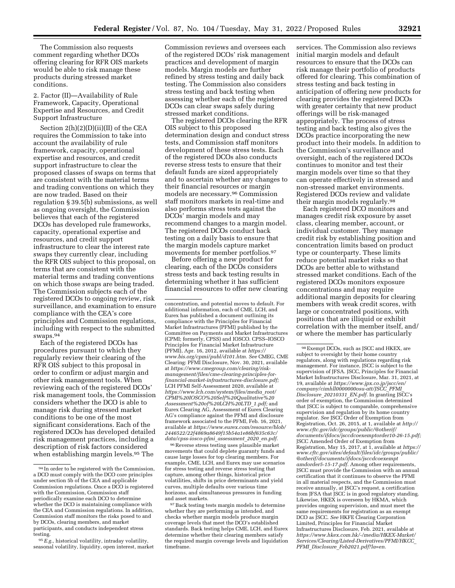The Commission also requests comment regarding whether DCOs offering clearing for RFR OIS markets would be able to risk manage these products during stressed market conditions.

2. Factor (II)—Availability of Rule Framework, Capacity, Operational Expertise and Resources, and Credit Support Infrastructure

Section  $2(h)(2)(D)(ii)(II)$  of the CEA requires the Commission to take into account the availability of rule framework, capacity, operational expertise and resources, and credit support infrastructure to clear the proposed classes of swaps on terms that are consistent with the material terms and trading conventions on which they are now traded. Based on their regulation § 39.5(b) submissions, as well as ongoing oversight, the Commission believes that each of the registered DCOs has developed rule frameworks, capacity, operational expertise and resources, and credit support infrastructure to clear the interest rate swaps they currently clear, including the RFR OIS subject to this proposal, on terms that are consistent with the material terms and trading conventions on which those swaps are being traded. The Commission subjects each of the registered DCOs to ongoing review, risk surveillance, and examination to ensure compliance with the CEA's core principles and Commission regulations, including with respect to the submitted swaps.94

Each of the registered DCOs has procedures pursuant to which they regularly review their clearing of the RFR OIS subject to this proposal in order to confirm or adjust margin and other risk management tools. When reviewing each of the registered DCOs' risk management tools, the Commission considers whether the DCO is able to manage risk during stressed market conditions to be one of the most significant considerations. Each of the registered DCOs has developed detailed risk management practices, including a description of risk factors considered when establishing margin levels.95 The

Commission reviews and oversees each of the registered DCOs' risk management practices and development of margin models. Margin models are further refined by stress testing and daily back testing. The Commission also considers stress testing and back testing when assessing whether each of the registered DCOs can clear swaps safely during stressed market conditions.

The registered DCOs clearing the RFR OIS subject to this proposed determination design and conduct stress tests, and Commission staff monitors development of these stress tests. Each of the registered DCOs also conducts reverse stress tests to ensure that their default funds are sized appropriately and to ascertain whether any changes to their financial resources or margin models are necessary.96 Commission staff monitors markets in real-time and also performs stress tests against the DCOs' margin models and may recommend changes to a margin model. The registered DCOs conduct back testing on a daily basis to ensure that the margin models capture market movements for member portfolios.97

Before offering a new product for clearing, each of the DCOs considers stress tests and back testing results in determining whether it has sufficient financial resources to offer new clearing

 $^{96}\rm{Reverse}$  stress testing uses plausible market movements that could deplete guaranty funds and cause large losses for top clearing members. For example, CME, LCH, and Eurex may use scenarios for stress testing and reverse stress testing that capture, among other things, historical price volatilities, shifts in price determinants and yield curves, multiple defaults over various time horizons, and simultaneous pressures in funding and asset markets.

services. The Commission also reviews initial margin models and default resources to ensure that the DCOs can risk manage their portfolio of products offered for clearing. This combination of stress testing and back testing in anticipation of offering new products for clearing provides the registered DCOs with greater certainty that new product offerings will be risk-managed appropriately. The process of stress testing and back testing also gives the DCOs practice incorporating the new product into their models. In addition to the Commission's surveillance and oversight, each of the registered DCOs continues to monitor and test their margin models over time so that they can operate effectively in stressed and non-stressed market environments. Registered DCOs review and validate their margin models regularly.98

Each registered DCO monitors and manages credit risk exposure by asset class, clearing member, account, or individual customer. They manage credit risk by establishing position and concentration limits based on product type or counterparty. These limits reduce potential market risks so that DCOs are better able to withstand stressed market conditions. Each of the registered DCOs monitors exposure concentrations and may require additional margin deposits for clearing members with weak credit scores, with large or concentrated positions, with positions that are illiquid or exhibit correlation with the member itself, and/ or where the member has particularly

<sup>94</sup> In order to be registered with the Commission, a DCO must comply with the DCO core principles under section 5b of the CEA and applicable Commission regulations. Once a DCO is registered with the Commission, Commission staff periodically examine each DCO to determine whether the DCO is maintaining compliance with the CEA and Commission regulations. In addition, Commission staff monitors the risks posed to and by DCOs, clearing members, and market participants, and conducts independent stress testing.

<sup>95</sup>*E.g.,* historical volatility, intraday volatility, seasonal volatility, liquidity, open interest, market

concentration, and potential moves to default. For additional information, each of CME, LCH, and Eurex has published a document outlining its compliance with the Principles for Financial Market Infrastructures (PFMI) published by the Committee on Payments and Market Infrastructures (CPMI; formerly, CPSS) and IOSCO. CPSS–IOSCO Principles for Financial Market Infrastructure (PFMI), Apr. 16, 2012, available at *[https://](https://www.bis.org/cpmi/publ/d101.htm) [www.bis.org/cpmi/publ/d101.htm.](https://www.bis.org/cpmi/publ/d101.htm) See* CMEG, CME Clearing: PFMI Disclosure, Nov. 30, 2021, available at *[https://www.cmegroup.com/clearing/risk](https://www.cmegroup.com/clearing/risk-management/files/cme-clearing-principles-for-financial-market-infrastructures-disclosure.pdf)[management/files/cme-clearing-principles-for](https://www.cmegroup.com/clearing/risk-management/files/cme-clearing-principles-for-financial-market-infrastructures-disclosure.pdf)[financial-market-infrastructures-disclosure.pdf;](https://www.cmegroup.com/clearing/risk-management/files/cme-clearing-principles-for-financial-market-infrastructures-disclosure.pdf)*  LCH PFMI Self-Assessment 2020, available at *[https://www.lch.com/system/files/media](https://www.lch.com/system/files/media_root/CPMI%20IOSCO%20Self%20Qualitative%20Assessment%20of%20LCH%20LTD_1.pdf)*\_*root/ [CPMI%20IOSCO%20Self%20Qualitative%20](https://www.lch.com/system/files/media_root/CPMI%20IOSCO%20Self%20Qualitative%20Assessment%20of%20LCH%20LTD_1.pdf) [Assessment%20of%20LCH%20LTD](https://www.lch.com/system/files/media_root/CPMI%20IOSCO%20Self%20Qualitative%20Assessment%20of%20LCH%20LTD_1.pdf)*\_*1.pdf;* and Eurex Clearing AG, Assessment of Eurex Clearing AG's compliance against the PFMI and disclosure framework associated to the PFMI, Feb. 16, 2021, available at *[https://www.eurex.com/resource/blob/](https://www.eurex.com/resource/blob/2446522/22f4869a8649f15b54a1e86bf635c63c/data/cpss-iosco-pfmi_assessment_2020_en.pdf)  [2446522/22f4869a8649f15b54a1e86bf635c63c/](https://www.eurex.com/resource/blob/2446522/22f4869a8649f15b54a1e86bf635c63c/data/cpss-iosco-pfmi_assessment_2020_en.pdf) [data/cpss-iosco-pfmi](https://www.eurex.com/resource/blob/2446522/22f4869a8649f15b54a1e86bf635c63c/data/cpss-iosco-pfmi_assessment_2020_en.pdf)*\_*assessment*\_*2020*\_*en.pdf.* 

<sup>97</sup>Back testing tests margin models to determine whether they are performing as intended, and checks whether margin models produce margin coverage levels that meet the DCO's established standards. Back testing helps CME, LCH, and Eurex determine whether their clearing members satisfy the required margin coverage levels and liquidation timeframe.

<sup>98</sup>Exempt DCOs, such as JSCC and HKEX, are subject to oversight by their home country regulators, along with regulations regarding risk management. For instance, JSCC is subject to the supervision of JFSA. JSCC, Principles for Financial Market Infrastructures Disclosure, Mar. 31, 2021, at 19, available at *[https://www.jpx.co.jp/jscc/en/](https://www.jpx.co.jp/jscc/en/company/cimhll0000000osu-att/JSCC_PFMI_Disclosure_20210331_EN.pdf) [company/cimhll0000000osu-att/JSCC](https://www.jpx.co.jp/jscc/en/company/cimhll0000000osu-att/JSCC_PFMI_Disclosure_20210331_EN.pdf)*\_*PFMI*\_ *[Disclosure](https://www.jpx.co.jp/jscc/en/company/cimhll0000000osu-att/JSCC_PFMI_Disclosure_20210331_EN.pdf)*\_*20210331*\_*EN.pdf.* In granting JSCC's order of exemption, the Commission determined that JSCC is subject to comparable, comprehensive supervision and regulation by its home country regulator. *See* JSCC Order of Exemption from Registration, Oct. 26, 2015, at 1, available at *[http://](http://www.cftc.gov/idc/groups/public/@otherif/documents/ifdocs/jsccdcoexemptorder10-26-15.pdf)  [www.cftc.gov/idc/groups/public/@otherif/](http://www.cftc.gov/idc/groups/public/@otherif/documents/ifdocs/jsccdcoexemptorder10-26-15.pdf)  [documents/ifdocs/jsccdcoexemptorder10-26-15.pdf;](http://www.cftc.gov/idc/groups/public/@otherif/documents/ifdocs/jsccdcoexemptorder10-26-15.pdf)*  JSCC Amended Order of Exemption from Registration, May 15, 2017, at 1, available at *[https://](https://www.cftc.gov/sites/default/files/idc/groups/public/@otherif/documents/ifdocs/jsccdcoexemptamdorder5-15-17.pdf)  [www.cftc.gov/sites/default/files/idc/groups/public/](https://www.cftc.gov/sites/default/files/idc/groups/public/@otherif/documents/ifdocs/jsccdcoexemptamdorder5-15-17.pdf)  [@otherif/documents/ifdocs/jsccdcoexempt](https://www.cftc.gov/sites/default/files/idc/groups/public/@otherif/documents/ifdocs/jsccdcoexemptamdorder5-15-17.pdf) [amdorder5-15-17.pdf.](https://www.cftc.gov/sites/default/files/idc/groups/public/@otherif/documents/ifdocs/jsccdcoexemptamdorder5-15-17.pdf)* Among other requirements, JSCC must provide the Commission with an annual certification that it continues to observe the PFMI in all material respects, and the Commission must receive annually, at JSCC's request, a certification from JFSA that JSCC is in good regulatory standing. Likewise, HKEX is overseen by HKMA, which provides ongoing supervision, and must meet the same requirements for registration as an exempt DCO as JSCC. *See* HKFE Clearing Corporation Limited, Principles for Financial Market Infrastructures Disclosure, Feb. 2021, available at *[https://www.hkex.com.hk/-/media/HKEX-Market/](https://www.hkex.com.hk/-/media/HKEX-Market/Services/Clearing/Listed-Derivatives/PFMI/HKCC_PFMI_Disclosure_Feb2021.pdf?la=en)  [Services/Clearing/Listed-Derivatives/PFMI/HKCC](https://www.hkex.com.hk/-/media/HKEX-Market/Services/Clearing/Listed-Derivatives/PFMI/HKCC_PFMI_Disclosure_Feb2021.pdf?la=en)*\_ *PFMI*\_*Disclosure*\_*[Feb2021.pdf?la=en.](https://www.hkex.com.hk/-/media/HKEX-Market/Services/Clearing/Listed-Derivatives/PFMI/HKCC_PFMI_Disclosure_Feb2021.pdf?la=en)*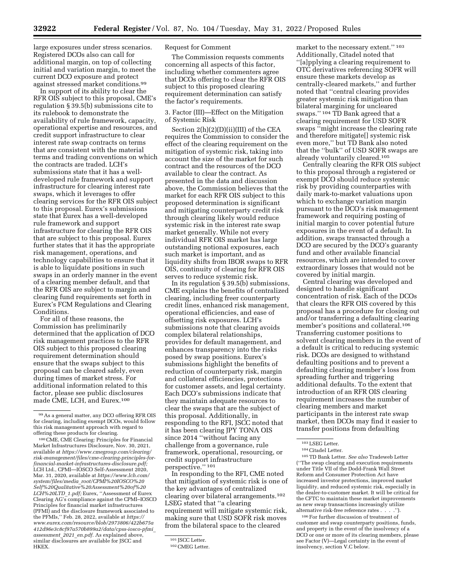large exposures under stress scenarios. Registered DCOs also can call for additional margin, on top of collecting initial and variation margin, to meet the current DCO exposure and protect against stressed market conditions.99

In support of its ability to clear the RFR OIS subject to this proposal, CME's regulation § 39.5(b) submissions cite to its rulebook to demonstrate the availability of rule framework, capacity, operational expertise and resources, and credit support infrastructure to clear interest rate swap contracts on terms that are consistent with the material terms and trading conventions on which the contracts are traded. LCH's submissions state that it has a welldeveloped rule framework and support infrastructure for clearing interest rate swaps, which it leverages to offer clearing services for the RFR OIS subject to this proposal. Eurex's submissions state that Eurex has a well-developed rule framework and support infrastructure for clearing the RFR OIS that are subject to this proposal. Eurex further states that it has the appropriate risk management, operations, and technology capabilities to ensure that it is able to liquidate positions in such swaps in an orderly manner in the event of a clearing member default, and that the RFR OIS are subject to margin and clearing fund requirements set forth in Eurex's FCM Regulations and Clearing Conditions.

For all of these reasons, the Commission has preliminarily determined that the application of DCO risk management practices to the RFR OIS subject to this proposed clearing requirement determination should ensure that the swaps subject to this proposal can be cleared safely, even during times of market stress. For additional information related to this factor, please see public disclosures made CME, LCH, and Eurex.100

## Request for Comment

The Commission requests comments concerning all aspects of this factor, including whether commenters agree that DCOs offering to clear the RFR OIS subject to this proposed clearing requirement determination can satisfy the factor's requirements.

3. Factor (III)—Effect on the Mitigation of Systemic Risk

Section 2(h)(2)(D)(ii)(III) of the CEA requires the Commission to consider the effect of the clearing requirement on the mitigation of systemic risk, taking into account the size of the market for such contract and the resources of the DCO available to clear the contract. As presented in the data and discussion above, the Commission believes that the market for each RFR OIS subject to this proposed determination is significant and mitigating counterparty credit risk through clearing likely would reduce systemic risk in the interest rate swap market generally. While not every individual RFR OIS market has large outstanding notional exposures, each such market is important, and as liquidity shifts from IBOR swaps to RFR OIS, continuity of clearing for RFR OIS serves to reduce systemic risk.

In its regulation § 39.5(b) submissions, CME explains the benefits of centralized clearing, including freer counterparty credit lines, enhanced risk management, operational efficiencies, and ease of offsetting risk exposures. LCH's submissions note that clearing avoids complex bilateral relationships, provides for default management, and enhances transparency into the risks posed by swap positions. Eurex's submissions highlight the benefits of reduction of counterparty risk, margin and collateral efficiencies, protections for customer assets, and legal certainty. Each DCO's submissions indicate that they maintain adequate resources to clear the swaps that are the subject of this proposal. Additionally, in responding to the RFI, JSCC noted that it has been clearing JPY TONA OIS since 2014 ''without facing any challenge from a governance, rule framework, operational, resourcing, or credit support infrastructure perspective.'' 101

In responding to the RFI, CME noted that mitigation of systemic risk is one of the key advantages of centralized clearing over bilateral arrangements.102 LSEG stated that ''a clearing requirement will mitigate systemic risk, making sure that USD SOFR risk moves from the bilateral space to the cleared

market to the necessary extent.'' 103 Additionally, Citadel noted that ''[a]pplying a clearing requirement to OTC derivatives referencing SOFR will ensure these markets develop as centrally-cleared markets,'' and further noted that ''central clearing provides greater systemic risk mitigation than bilateral margining for uncleared swaps.'' 104 TD Bank agreed that a clearing requirement for USD SOFR swaps ''might increase the clearing rate and therefore mitigate[] systemic risk even more,'' but TD Bank also noted that the ''bulk'' of USD SOFR swaps are already voluntarily cleared.105

Centrally clearing the RFR OIS subject to this proposal through a registered or exempt DCO should reduce systemic risk by providing counterparties with daily mark-to-market valuations upon which to exchange variation margin pursuant to the DCO's risk management framework and requiring posting of initial margin to cover potential future exposures in the event of a default. In addition, swaps transacted through a DCO are secured by the DCO's guaranty fund and other available financial resources, which are intended to cover extraordinary losses that would not be covered by initial margin.

Central clearing was developed and designed to handle significant concentration of risk. Each of the DCOs that clears the RFR OIS covered by this proposal has a procedure for closing out and/or transferring a defaulting clearing member's positions and collateral.106 Transferring customer positions to solvent clearing members in the event of a default is critical to reducing systemic risk. DCOs are designed to withstand defaulting positions and to prevent a defaulting clearing member's loss from spreading further and triggering additional defaults. To the extent that introduction of an RFR OIS clearing requirement increases the number of clearing members and market participants in the interest rate swap market, then DCOs may find it easier to transfer positions from defaulting

105TD Bank Letter. *See also* Tradeweb Letter (''The swap clearing and execution requirements under Title VII of the Dodd-Frank Wall Street Reform and Consumer Protection Act have increased investor protections, improved market liquidity, and reduced systemic risk, especially in the dealer-to-customer market. It will be critical for the CFTC to maintain these market improvements as new swap transactions increasingly utilize alternative risk-free reference rates . . . .'').

106For further discussion of treatment of customer and swap counterparty positions, funds, and property in the event of the insolvency of a DCO or one or more of its clearing members, please see Factor (V)—Legal certainty in the event of insolvency, section V.C below.

<sup>99</sup>As a general matter, any DCO offering RFR OIS for clearing, including exempt DCOs, would follow this risk management approach with regard to offering these products for clearing.

<sup>100</sup>CME, CME Clearing: Principles for Financial Market Infrastructures Disclosure, Nov. 30, 2021, available at *[https://www.cmegroup.com/clearing/](https://www.cmegroup.com/clearing/risk-management/files/cme-clearing-principles-for-financial-market-infrastructures-disclosure.pdf)  [risk-management/files/cme-clearing-principles-for](https://www.cmegroup.com/clearing/risk-management/files/cme-clearing-principles-for-financial-market-infrastructures-disclosure.pdf)[financial-market-infrastructures-disclosure.pdf;](https://www.cmegroup.com/clearing/risk-management/files/cme-clearing-principles-for-financial-market-infrastructures-disclosure.pdf)*  LCH Ltd., CPMI—IOSCO Self-Assessment 2020, Mar. 31, 2020, available at *[https://www.lch.com/](https://www.lch.com/system/files/media_root/CPMI%20IOSCO%20Self%20Qualitative%20Assessment%20of%20LCH%20LTD_1.pdf) system/files/media*\_*[root/CPMI%20IOSCO%20](https://www.lch.com/system/files/media_root/CPMI%20IOSCO%20Self%20Qualitative%20Assessment%20of%20LCH%20LTD_1.pdf) [Self%20Qualitative%20Assessment%20of%20](https://www.lch.com/system/files/media_root/CPMI%20IOSCO%20Self%20Qualitative%20Assessment%20of%20LCH%20LTD_1.pdf) [LCH%20LTD](https://www.lch.com/system/files/media_root/CPMI%20IOSCO%20Self%20Qualitative%20Assessment%20of%20LCH%20LTD_1.pdf)*\_*1.pdf;* Eurex, ''Assessment of Eurex Clearing AG's compliance against the CPMI–IOSCO Principles for financial market infrastructures (PFMI) and the disclosure framework associated to the PFMIs,'' Feb. 28, 2022, available at *[https://](https://www.eurex.com/resource/blob/2973806/422b675a412d96e3c8cf97a570b899a2/data/cpss-iosco-pfmi_assessment_2021_en.pdf) [www.eurex.com/resource/blob/2973806/422b675a](https://www.eurex.com/resource/blob/2973806/422b675a412d96e3c8cf97a570b899a2/data/cpss-iosco-pfmi_assessment_2021_en.pdf) [412d96e3c8cf97a570b899a2/data/cpss-iosco-pfmi](https://www.eurex.com/resource/blob/2973806/422b675a412d96e3c8cf97a570b899a2/data/cpss-iosco-pfmi_assessment_2021_en.pdf)*\_ *[assessment](https://www.eurex.com/resource/blob/2973806/422b675a412d96e3c8cf97a570b899a2/data/cpss-iosco-pfmi_assessment_2021_en.pdf)*\_*2021*\_*en.pdf.* As explained above, similar disclosures are available for JSCC and HKEX.

<sup>&</sup>lt;sup>101</sup> JSCC Letter.<br><sup>102</sup> CMEG Letter.

<sup>103</sup>LSEG Letter.

<sup>104</sup>Citadel Letter.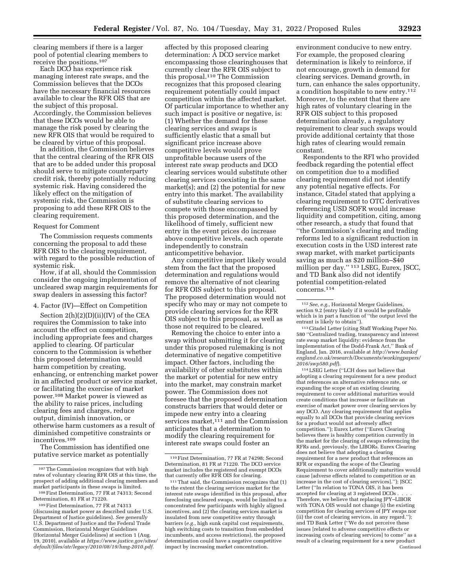clearing members if there is a larger pool of potential clearing members to receive the positions.107

Each DCO has experience risk managing interest rate swaps, and the Commission believes that the DCOs have the necessary financial resources available to clear the RFR OIS that are the subject of this proposal. Accordingly, the Commission believes that these DCOs would be able to manage the risk posed by clearing the new RFR OIS that would be required to be cleared by virtue of this proposal.

In addition, the Commission believes that the central clearing of the RFR OIS that are to be added under this proposal should serve to mitigate counterparty credit risk, thereby potentially reducing systemic risk. Having considered the likely effect on the mitigation of systemic risk, the Commission is proposing to add these RFR OIS to the clearing requirement.

#### Request for Comment

The Commission requests comments concerning the proposal to add these RFR OIS to the clearing requirement, with regard to the possible reduction of systemic risk.

How, if at all, should the Commission consider the ongoing implementation of uncleared swap margin requirements for swap dealers in assessing this factor?

4. Factor (IV)—Effect on Competition

Section 2(h)(2)(D)(ii)(IV) of the CEA requires the Commission to take into account the effect on competition, including appropriate fees and charges applied to clearing. Of particular concern to the Commission is whether this proposed determination would harm competition by creating, enhancing, or entrenching market power in an affected product or service market, or facilitating the exercise of market power.108 Market power is viewed as the ability to raise prices, including clearing fees and charges, reduce output, diminish innovation, or otherwise harm customers as a result of diminished competitive constraints or incentives.109

The Commission has identified one putative service market as potentially

affected by this proposed clearing determination: A DCO service market encompassing those clearinghouses that currently clear the RFR OIS subject to this proposal.110 The Commission recognizes that this proposed clearing requirement potentially could impact competition within the affected market. Of particular importance to whether any such impact is positive or negative, is: (1) Whether the demand for these clearing services and swaps is sufficiently elastic that a small but significant price increase above competitive levels would prove unprofitable because users of the interest rate swap products and DCO clearing services would substitute other clearing services coexisting in the same market(s); and (2) the potential for new entry into this market. The availability of substitute clearing services to compete with those encompassed by this proposed determination, and the likelihood of timely, sufficient new entry in the event prices do increase above competitive levels, each operate independently to constrain anticompetitive behavior.

Any competitive import likely would stem from the fact that the proposed determination and regulations would remove the alternative of not clearing for RFR OIS subject to this proposal. The proposed determination would not specify who may or may not compete to provide clearing services for the RFR OIS subject to this proposal, as well as those not required to be cleared.

Removing the choice to enter into a swap without submitting it for clearing under this proposed rulemaking is not determinative of negative competitive impact. Other factors, including the availability of other substitutes within the market or potential for new entry into the market, may constrain market power. The Commission does not foresee that the proposed determination constructs barriers that would deter or impede new entry into a clearing services market,<sup>111</sup> and the Commission anticipates that a determination to modify the clearing requirement for interest rate swaps could foster an

environment conducive to new entry. For example, the proposed clearing determination is likely to reinforce, if not encourage, growth in demand for clearing services. Demand growth, in turn, can enhance the sales opportunity, a condition hospitable to new entry.112 Moreover, to the extent that there are high rates of voluntary clearing in the RFR OIS subject to this proposed determination already, a regulatory requirement to clear such swaps would provide additional certainty that those high rates of clearing would remain constant.

Respondents to the RFI who provided feedback regarding the potential effect on competition due to a modified clearing requirement did not identify any potential negative effects. For instance, Citadel stated that applying a clearing requirement to OTC derivatives referencing USD SOFR would increase liquidity and competition, citing, among other research, a study that found that ''the Commission's clearing and trading reforms led to a significant reduction in execution costs in the USD interest rate swap market, with market participants saving as much as \$20 million–\$40 million per day.'' 113 LSEG, Eurex, JSCC, and TD Bank also did not identify potential competition-related concerns.114

114LSEG Letter (''LCH does not believe that adopting a clearing requirement for a new product that references an alternative reference rate, or expanding the scope of an existing clearing requirement to cover additional maturities would create conditions that increase or facilitate an exercise of market power over clearing services by any DCO. Any clearing requirement that applies equally to all DCOs that provide clearing services for a product would not adversely affect competition.''); Eurex Letter (''Eurex Clearing believes there is healthy competition currently in the market for the clearing of swaps referencing the RFRs and, previously, the LIBORs. Eurex Clearing does not believe that adopting a clearing requirement for a new product that references an RFR or expanding the scope of the Clearing Requirement to cover additionally maturities would cause [adverse effects related to competition or an increase in the cost of clearing services].''); JSCC Letter (''In relation to TONA OIS, it has been accepted for clearing at 3 registered DCOs . Therefore, we believe that replacing JPY–LIBOR with TONA OIS would not change (i) the existing competition for clearing services of JPY swaps nor (ii) the cost of clearing services, in any regard.''); and TD Bank Letter (''We do not perceive these issues [related to adverse competitive effects or increasing costs of clearing services] to come'' as a result of a clearing requirement for a new product Continued

<sup>107</sup>The Commission recognizes that with high rates of voluntary clearing RFR OIS at this time, the prospect of adding additional clearing members and market participants in these swaps is limited.<br><sup>108</sup> First Determination, 77 FR at 74313; Second

Determination, 81 FR at 71220.

<sup>109</sup>First Determination, 77 FR at 74313 (discussing market power as described under U.S. Department of Justice guidelines). *See generally*  U.S. Department of Justice and the Federal Trade Commission, Horizontal Merger Guidelines (Horizontal Merger Guidelines) at section 1 (Aug. 19, 2010), available at *[https://www.justice.gov/sites/](https://www.justice.gov/sites/default/files/atr/legacy/2010/08/19/hmg-2010.pdf) [default/files/atr/legacy/2010/08/19/hmg-2010.pdf.](https://www.justice.gov/sites/default/files/atr/legacy/2010/08/19/hmg-2010.pdf)* 

<sup>110</sup>First Determination, 77 FR at 74298; Second Determination, 81 FR at 71220. The DCO service market includes the registered and exempt DCOs that currently offer RFR OIS for clearing.

<sup>111</sup>That said, the Commission recognizes that (1) to the extent the clearing services market for the interest rate swaps identified in this proposal, after foreclosing uncleared swaps, would be limited to a concentrated few participants with highly aligned incentives, and (2) the clearing services market is insulated from new competitive entry through barriers (*e.g.,* high sunk capital cost requirements, high switching costs to transition from embedded incumbents, and access restrictions), the proposed determination could have a negative competitive impact by increasing market concentration.

<sup>112</sup>*See, e.g.,* Horizontal Merger Guidelines, section 9.2 (entry likely if it would be profitable which is in part a function of "the output level the entrant is likely to obtain").

<sup>113</sup>Citadel Letter (citing Staff Working Paper No. 580 ''Centralized trading, transparency and interest rate swap market liquidity: evidence from the implementation of the Dodd-Frank Act,'' Bank of England, Jan. 2016, available at *[http://www.bankof](http://www.bankofengland.co.uk/research/Documents/workingpapers/2016/swp580.pdf) [england.co.uk/research/Documents/workingpapers/](http://www.bankofengland.co.uk/research/Documents/workingpapers/2016/swp580.pdf) [2016/swp580.pdf](http://www.bankofengland.co.uk/research/Documents/workingpapers/2016/swp580.pdf)*).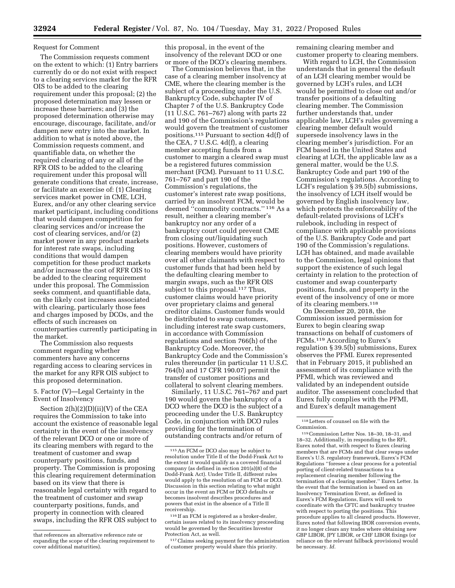#### Request for Comment

The Commission requests comment on the extent to which: (1) Entry barriers currently do or do not exist with respect to a clearing services market for the RFR OIS to be added to the clearing requirement under this proposal; (2) the proposed determination may lessen or increase these barriers; and (3) the proposed determination otherwise may encourage, discourage, facilitate, and/or dampen new entry into the market. In addition to what is noted above, the Commission requests comment, and quantifiable data, on whether the required clearing of any or all of the RFR OIS to be added to the clearing requirement under this proposal will generate conditions that create, increase, or facilitate an exercise of: (1) Clearing services market power in CME, LCH, Eurex, and/or any other clearing service market participant, including conditions that would dampen competition for clearing services and/or increase the cost of clearing services, and/or (2) market power in any product markets for interest rate swaps, including conditions that would dampen competition for these product markets and/or increase the cost of RFR OIS to be added to the clearing requirement under this proposal. The Commission seeks comment, and quantifiable data, on the likely cost increases associated with clearing, particularly those fees and charges imposed by DCOs, and the effects of such increases on counterparties currently participating in the market.

The Commission also requests comment regarding whether commenters have any concerns regarding access to clearing services in the market for any RFR OIS subject to this proposed determination.

#### 5. Factor (V)—Legal Certainty in the Event of Insolvency

Section  $2(h)(2)(D)(ii)(V)$  of the CEA requires the Commission to take into account the existence of reasonable legal certainty in the event of the insolvency of the relevant DCO or one or more of its clearing members with regard to the treatment of customer and swap counterparty positions, funds, and property. The Commission is proposing this clearing requirement determination based on its view that there is reasonable legal certainty with regard to the treatment of customer and swap counterparty positions, funds, and property in connection with cleared swaps, including the RFR OIS subject to

this proposal, in the event of the insolvency of the relevant DCO or one or more of the DCO's clearing members.

The Commission believes that, in the case of a clearing member insolvency at CME, where the clearing member is the subject of a proceeding under the U.S. Bankruptcy Code, subchapter IV of Chapter 7 of the U.S. Bankruptcy Code (11 U.S.C. 761–767) along with parts 22 and 190 of the Commission's regulations would govern the treatment of customer positions.115 Pursuant to section 4d(f) of the CEA, 7 U.S.C. 4d(f), a clearing member accepting funds from a customer to margin a cleared swap must be a registered futures commission merchant (FCM). Pursuant to 11 U.S.C. 761–767 and part 190 of the Commission's regulations, the customer's interest rate swap positions, carried by an insolvent FCM, would be deemed ''commodity contracts.'' 116 As a result, neither a clearing member's bankruptcy nor any order of a bankruptcy court could prevent CME from closing out/liquidating such positions. However, customers of clearing members would have priority over all other claimants with respect to customer funds that had been held by the defaulting clearing member to margin swaps, such as the RFR OIS subject to this proposal.<sup>117</sup> Thus, customer claims would have priority over proprietary claims and general creditor claims. Customer funds would be distributed to swap customers, including interest rate swap customers, in accordance with Commission regulations and section 766(h) of the Bankruptcy Code. Moreover, the Bankruptcy Code and the Commission's rules thereunder (in particular 11 U.S.C. 764(b) and 17 CFR 190.07) permit the transfer of customer positions and collateral to solvent clearing members.

Similarly, 11 U.S.C. 761–767 and part 190 would govern the bankruptcy of a DCO where the DCO is the subject of a proceeding under the U.S. Bankruptcy Code, in conjunction with DCO rules providing for the termination of outstanding contracts and/or return of

remaining clearing member and customer property to clearing members.

With regard to LCH, the Commission understands that in general the default of an LCH clearing member would be governed by LCH's rules, and LCH would be permitted to close out and/or transfer positions of a defaulting clearing member. The Commission further understands that, under applicable law, LCH's rules governing a clearing member default would supersede insolvency laws in the clearing member's jurisdiction. For an FCM based in the United States and clearing at LCH, the applicable law as a general matter, would be the U.S. Bankruptcy Code and part 190 of the Commission's regulations. According to LCH's regulation § 39.5(b) submissions, the insolvency of LCH itself would be governed by English insolvency law, which protects the enforceability of the default-related provisions of LCH's rulebook, including in respect of compliance with applicable provisions of the U.S. Bankruptcy Code and part 190 of the Commission's regulations. LCH has obtained, and made available to the Commission, legal opinions that support the existence of such legal certainty in relation to the protection of customer and swap counterparty positions, funds, and property in the event of the insolvency of one or more of its clearing members.118

On December 20, 2018, the Commission issued permission for Eurex to begin clearing swap transactions on behalf of customers of FCMs.119 According to Eurex's regulation § 39.5(b) submissions, Eurex observes the PFMI. Eurex represented that in February 2015, it published an assessment of its compliance with the PFMI, which was reviewed and validated by an independent outside auditor. The assessment concluded that Eurex fully complies with the PFMI, and Eurex's default management

that references an alternative reference rate or expanding the scope of the clearing requirement to cover additional maturities).

<sup>115</sup>An FCM or DCO also may be subject to resolution under Title II of the Dodd-Frank Act to the extent it would qualify as a covered financial company (as defined in section 201(a)(8) of the Dodd-Frank Act). Under Title II, different rules would apply to the resolution of an FCM or DCO. Discussion in this section relating to what might occur in the event an FCM or DCO defaults or becomes insolvent describes procedures and powers that exist in the absence of a Title II receivership.

<sup>116</sup> If an FCM is registered as a broker-dealer, certain issues related to its insolvency proceeding would be governed by the Securities Investor Protection Act, as well.

<sup>117</sup>Claims seeking payment for the administration of customer property would share this priority.

<sup>118</sup>Letters of counsel on file with the Commission.

<sup>119</sup>Commission Letter Nos. 18–30, 18–31, and 18–32. Additionally, in responding to the RFI, Eurex noted that, with respect to Eurex clearing members that are FCMs and that clear swaps under Eurex's U.S. regulatory framework, Eurex's FCM Regulations ''foresee a clear process for a potential porting of client-related transactions to a replacement clearing member following the termination of a clearing member.'' Eurex Letter. In the event that the termination is based on an Insolvency Termination Event, as defined in Eurex's FCM Regulations, Eurex will seek to coordinate with the CFTC and bankruptcy trustee with respect to porting the positions. This procedure applies to all cleared products. However, Eurex noted that following IBOR conversion events, it no longer clears any trades where obtaining new GBP LIBOR, JPY LIBOR, or CHF LIBOR fixings (or reliance on the relevant fallback provisions) would be necessary. *Id.*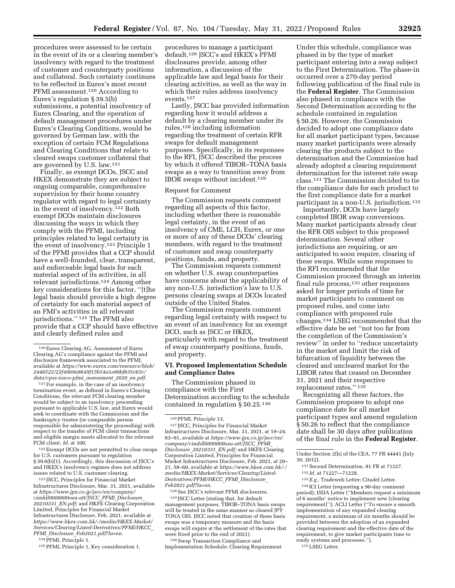procedures were assessed to be certain in the event of its or a clearing member's insolvency with regard to the treatment of customer and counterparty positions and collateral. Such certainty continues to be reflected in Eurex's most recent PFMI assessment.120 According to Eurex's regulation § 39.5(b) submissions, a potential insolvency of Eurex Clearing, and the operation of default management procedures under Eurex's Clearing Conditions, would be governed by German law, with the exception of certain FCM Regulations and Clearing Conditions that relate to cleared swaps customer collateral that are governed by U.S. law.121

Finally, as exempt DCOs, JSCC and HKEX demonstrate they are subject to ongoing comparable, comprehensive supervision by their home country regulator with regard to legal certainty in the event of insolvency.122 Both exempt DCOs maintain disclosures discussing the ways in which they comply with the PFMI, including principles related to legal certainty in the event of insolvency.123 Principle 1 of the PFMI provides that a CCP should have a well-founded, clear, transparent, and enforceable legal basis for each material aspect of its activities, in all relevant jurisdictions.124 Among other key considerations for this factor, ''[t]he legal basis should provide a high degree of certainty for each material aspect of an FMI's activities in all relevant jurisdictions.'' 125 The PFMI also provide that a CCP should have effective and clearly defined rules and

<sup>121</sup> For example, in the case of an insolvency termination event, as defined in Eurex's Clearing Conditions, the relevant FCM clearing member would be subject to an insolvency proceeding pursuant to applicable U.S. law, and Eurex would seek to coordinate with the Commission and the bankruptcy trustee (or comparable person responsible for administering the proceeding) with respect to the transfer of FCM client transactions and eligible margin assets allocated to the relevant FCM client. *Id.* at 100.

122Exempt DCOs are not permitted to clear swaps for U.S. customers pursuant to regulation § 39.6(b)(1). Accordingly, this discussion of JSCC's and HKEX's insolvency regimes does not address issues related to U.S. customer clearing.

123 JSCC, Principles for Financial Market Infrastructures Disclosure, Mar. 31, 2021, available at *[https://www.jpx.co.jp/jscc/en/company/](https://www.jpx.co.jp/jscc/en/company/cimhll0000000osu-att/JSCC_PFMI_Disclosure_20210331_EN.pdf) [cimhll0000000osu-att/JSCC](https://www.jpx.co.jp/jscc/en/company/cimhll0000000osu-att/JSCC_PFMI_Disclosure_20210331_EN.pdf)*\_*PFMI*\_*Disclosure*\_ *[20210331](https://www.jpx.co.jp/jscc/en/company/cimhll0000000osu-att/JSCC_PFMI_Disclosure_20210331_EN.pdf)*\_*EN.pdf;* and HKFE Clearing Corporation Limited, Principles for Financial Market Infrastructures Disclosure, Feb. 2021, available at *[https://www.hkex.com.hk/-/media/HKEX-Market/](https://www.hkex.com.hk/-/media/HKEX-Market/Services/Clearing/Listed-Derivatives/PFMI/HKCC_PFMI_Disclosure_Feb2021.pdf?la=en)  [Services/Clearing/Listed-Derivatives/PFMI/HKCC](https://www.hkex.com.hk/-/media/HKEX-Market/Services/Clearing/Listed-Derivatives/PFMI/HKCC_PFMI_Disclosure_Feb2021.pdf?la=en)*\_ *PFMI*\_*Disclosure*\_*[Feb2021.pdf?la=en.](https://www.hkex.com.hk/-/media/HKEX-Market/Services/Clearing/Listed-Derivatives/PFMI/HKCC_PFMI_Disclosure_Feb2021.pdf?la=en)* 

124PFMI, Principle 1.

procedures to manage a participant default.126 JSCC's and HKEX's PFMI disclosures provide, among other information, a discussion of the applicable law and legal basis for their clearing activities, as well as the way in which their rules address insolvency events.127

Lastly, JSCC has provided information regarding how it would address a default by a clearing member under its rules,128 including information regarding the treatment of certain RFR swaps for default management purposes. Specifically, in its responses to the RFI, JSCC described the process by which it offered TIBOR–TONA basis swaps as a way to transition away from IBOR swaps without incident.129

#### Request for Comment

The Commission requests comment regarding all aspects of this factor, including whether there is reasonable legal certainty, in the event of an insolvency of CME, LCH, Eurex, or one or more of any of these DCOs' clearing members, with regard to the treatment of customer and swap counterparty positions, funds, and property.

The Commission requests comment on whether U.S. swap counterparties have concerns about the applicability of any non-U.S. jurisdiction's law to U.S. persons clearing swaps at DCOs located outside of the United States.

The Commission requests comment regarding legal certainty with respect to an event of an insolvency for an exempt DCO, such as JSCC or HKEX, particularly with regard to the treatment of swap counterparty positions, funds, and property.

#### **VI. Proposed Implementation Schedule and Compliance Dates**

The Commission phased in compliance with the First Determination according to the schedule contained in regulation § 50.25.130

127 JSCC, Principles for Financial Market Infrastructures Disclosure, Mar. 31, 2021, at 19–24, 83–91, available at *[https://www.jpx.co.jp/jscc/en/](https://www.jpx.co.jp/jscc/en/company/cimhll0000000osu-att/JSCC_PFMI_Disclosure_20210331_EN.pdf) [company/cimhll0000000osu-att/JSCC](https://www.jpx.co.jp/jscc/en/company/cimhll0000000osu-att/JSCC_PFMI_Disclosure_20210331_EN.pdf)*\_*PFMI*\_ *[Disclosure](https://www.jpx.co.jp/jscc/en/company/cimhll0000000osu-att/JSCC_PFMI_Disclosure_20210331_EN.pdf)*\_*20210331*\_*EN.pdf;* and HKFE Clearing Corporation Limited, Principles for Financial Market Infrastructures Disclosure, Feb. 2021, at 20– 21, 58–60, available at *[https://www.hkex.com.hk/-/](https://www.hkex.com.hk/-/media/HKEX-Market/Services/Clearing/Listed-Derivatives/PFMI/HKCC_PFMI_Disclosure_Feb2021.pdf?la=en) [media/HKEX-Market/Services/Clearing/Listed-](https://www.hkex.com.hk/-/media/HKEX-Market/Services/Clearing/Listed-Derivatives/PFMI/HKCC_PFMI_Disclosure_Feb2021.pdf?la=en)[Derivatives/PFMI/HKCC](https://www.hkex.com.hk/-/media/HKEX-Market/Services/Clearing/Listed-Derivatives/PFMI/HKCC_PFMI_Disclosure_Feb2021.pdf?la=en)*\_*PFMI*\_*Disclosure*\_ *[Feb2021.pdf?la=en.](https://www.hkex.com.hk/-/media/HKEX-Market/Services/Clearing/Listed-Derivatives/PFMI/HKCC_PFMI_Disclosure_Feb2021.pdf?la=en)* 

128See JSCC's relevant PFMI disclosures. 129 JSCC Letter (stating that, for default management purposes, TIBOR–TONA basis swaps will be treated in the same manner as cleared JPY TONA OIS. JSCC noted that creation of these basis swaps was a temporary measure and the basis swaps will expire at the settlement of the rates that were fixed prior to the end of 2021).

130Swap Transaction Compliance and Implementation Schedule: Clearing Requirement

Under this schedule, compliance was phased in by the type of market participant entering into a swap subject to the First Determination. The phase-in occurred over a 270-day period following publication of the final rule in the **Federal Register**. The Commission also phased in compliance with the Second Determination according to the schedule contained in regulation § 50.26. However, the Commission decided to adopt one compliance date for all market participant types, because many market participants were already clearing the products subject to the determination and the Commission had already adopted a clearing requirement determination for the interest rate swap class.131 The Commission decided to tie the compliance date for each product to the first compliance date for a market participant in a non-U.S. jurisdiction.<sup>132</sup>

Importantly, DCOs have largely completed IBOR swap conversions. Many market participants already clear the RFR OIS subject to this proposed determination. Several other jurisdictions are requiring, or are anticipated to soon require, clearing of these swaps. While some responses to the RFI recommended that the Commission proceed through an interim final rule process,<sup>133</sup> other responses asked for longer periods of time for market participants to comment on proposed rules, and come into compliance with proposed rule changes.134 LSEG recommended that the effective date be set ''not too far from the completion of the Commission's review'' in order to ''reduce uncertainty in the market and limit the risk of bifurcation of liquidity between the cleared and uncleared market for the LIBOR rates that ceased on December 31, 2021 and their respective replacement rates." 135

Recognizing all these factors, the Commission proposes to adopt one compliance date for all market participant types and amend regulation § 50.26 to reflect that the compliance date shall be 30 days after publication of the final rule in the **Federal Register**.

Under Section 2(h) of the CEA, 77 FR 44441 (July 30, 2012).

132 *Id.* at 71227—71228.

134 ICI Letter (requesting a 90-day comment period); ISDA Letter (''Members request a minimum of 6 months' notice to implement new [clearing requirement]''); ACLI Letter (''To ensure a smooth implementation of any expanded clearing requirement, a minimum of six months should be provided between the adoption of an expanded clearing requirement and the effective date of the requirement, to give market participants time to ready systems and processes.'').

135LSEG Letter.

<sup>120</sup>Eurex Clearing AG, Assessment of Eurex Clearing AG's compliance against the PFMI and disclosure framework associated to the PFMI, available at *[https://www.eurex.com/resource/blob/](https://www.eurex.com/resource/blob/2446522/22f4869a8649f15b54a1e86bf635c63c/data/cpss-iosco-pfmi_assessment_2020_en.pdf)  [2446522/22f4869a8649f15b54a1e86bf635c63c/](https://www.eurex.com/resource/blob/2446522/22f4869a8649f15b54a1e86bf635c63c/data/cpss-iosco-pfmi_assessment_2020_en.pdf) [data/cpss-iosco-pfmi](https://www.eurex.com/resource/blob/2446522/22f4869a8649f15b54a1e86bf635c63c/data/cpss-iosco-pfmi_assessment_2020_en.pdf)*\_*assessment*\_*2020*\_*en.pdf.* 

<sup>125</sup>PFMI, Principle 1, Key consideration 1.

<sup>126</sup>PFMI, Principle 13.

<sup>131</sup>Second Determination, 81 FR at 71227.

<sup>133</sup>*E.g.,* Tradeweb Letter; Citadel Letter.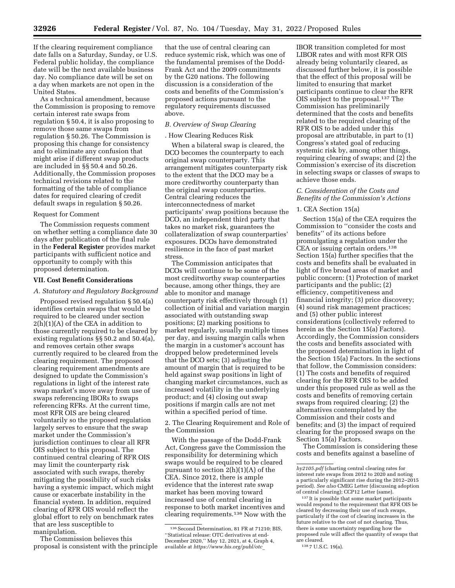If the clearing requirement compliance date falls on a Saturday, Sunday, or U.S. Federal public holiday, the compliance date will be the next available business day. No compliance date will be set on a day when markets are not open in the United States.

As a technical amendment, because the Commission is proposing to remove certain interest rate swaps from regulation § 50.4, it is also proposing to remove those same swaps from regulation § 50.26. The Commission is proposing this change for consistency and to eliminate any confusion that might arise if different swap products are included in §§ 50.4 and 50.26. Additionally, the Commission proposes technical revisions related to the formatting of the table of compliance dates for required clearing of credit default swaps in regulation § 50.26.

#### Request for Comment

The Commission requests comment on whether setting a compliance date 30 days after publication of the final rule in the **Federal Register** provides market participants with sufficient notice and opportunity to comply with this proposed determination.

#### **VII. Cost Benefit Considerations**

#### *A. Statutory and Regulatory Background*

Proposed revised regulation § 50.4(a) identifies certain swaps that would be required to be cleared under section 2(h)(1)(A) of the CEA in addition to those currently required to be cleared by existing regulations §§ 50.2 and 50.4(a), and removes certain other swaps currently required to be cleared from the clearing requirement. The proposed clearing requirement amendments are designed to update the Commission's regulations in light of the interest rate swap market's move away from use of swaps referencing IBORs to swaps referencing RFRs. At the current time, most RFR OIS are being cleared voluntarily so the proposed regulation largely serves to ensure that the swap market under the Commission's jurisdiction continues to clear all RFR OIS subject to this proposal. The continued central clearing of RFR OIS may limit the counterparty risk associated with such swaps, thereby mitigating the possibility of such risks having a systemic impact, which might cause or exacerbate instability in the financial system. In addition, required clearing of RFR OIS would reflect the global effort to rely on benchmark rates that are less susceptible to manipulation.

The Commission believes this proposal is consistent with the principle

that the use of central clearing can reduce systemic risk, which was one of the fundamental premises of the Dodd-Frank Act and the 2009 commitments by the G20 nations. The following discussion is a consideration of the costs and benefits of the Commission's proposed actions pursuant to the regulatory requirements discussed above.

#### *B. Overview of Swap Clearing*

#### . How Clearing Reduces Risk

When a bilateral swap is cleared, the DCO becomes the counterparty to each original swap counterparty. This arrangement mitigates counterparty risk to the extent that the DCO may be a more creditworthy counterparty than the original swap counterparties. Central clearing reduces the interconnectedness of market participants' swap positions because the DCO, an independent third party that takes no market risk, guarantees the collateralization of swap counterparties' exposures. DCOs have demonstrated resilience in the face of past market stress.

The Commission anticipates that DCOs will continue to be some of the most creditworthy swap counterparties because, among other things, they are able to monitor and manage counterparty risk effectively through (1) collection of initial and variation margin associated with outstanding swap positions; (2) marking positions to market regularly, usually multiple times per day, and issuing margin calls when the margin in a customer's account has dropped below predetermined levels that the DCO sets; (3) adjusting the amount of margin that is required to be held against swap positions in light of changing market circumstances, such as increased volatility in the underlying product; and (4) closing out swap positions if margin calls are not met within a specified period of time.

2. The Clearing Requirement and Role of the Commission

With the passage of the Dodd-Frank Act, Congress gave the Commission the responsibility for determining which swaps would be required to be cleared pursuant to section  $2(h)(1)(A)$  of the CEA. Since 2012, there is ample evidence that the interest rate swap market has been moving toward increased use of central clearing in response to both market incentives and clearing requirements.136 Now with the

IBOR transition completed for most LIBOR rates and with most RFR OIS already being voluntarily cleared, as discussed further below, it is possible that the effect of this proposal will be limited to ensuring that market participants continue to clear the RFR OIS subject to the proposal.137 The Commission has preliminarily determined that the costs and benefits related to the required clearing of the RFR OIS to be added under this proposal are attributable, in part to (1) Congress's stated goal of reducing systemic risk by, among other things, requiring clearing of swaps; and (2) the Commission's exercise of its discretion in selecting swaps or classes of swaps to achieve those ends.

#### *C. Consideration of the Costs and Benefits of the Commission's Actions*

#### 1. CEA Section 15(a)

Section 15(a) of the CEA requires the Commission to ''consider the costs and benefits'' of its actions before promulgating a regulation under the CEA or issuing certain orders.138 Section 15(a) further specifies that the costs and benefits shall be evaluated in light of five broad areas of market and public concern: (1) Protection of market participants and the public; (2) efficiency, competitiveness and financial integrity; (3) price discovery; (4) sound risk management practices; and (5) other public interest considerations (collectively referred to herein as the Section 15(a) Factors). Accordingly, the Commission considers the costs and benefits associated with the proposed determination in light of the Section 15(a) Factors. In the sections that follow, the Commission considers: (1) The costs and benefits of required clearing for the RFR OIS to be added under this proposed rule as well as the costs and benefits of removing certain swaps from required clearing; (2) the alternatives contemplated by the Commission and their costs and benefits; and (3) the impact of required clearing for the proposed swaps on the Section 15(a) Factors.

The Commission is considering these costs and benefits against a baseline of

<sup>136</sup> Second Determination, 81 FR at 71210; BIS, ''Statistical release: OTC derivatives at end-December 2020,'' May 12, 2021, at 4, Graph 4, available at *[https://www.bis.org/publ/otc](https://www.bis.org/publ/otc_hy2105.pdf)*\_

*[hy2105.pdf](https://www.bis.org/publ/otc_hy2105.pdf)* (charting central clearing rates for interest rate swaps from 2012 to 2020 and noting a particularly significant rise during the 2012–2015 period). *See also* CMEG Letter (discussing adoption of central clearing); CCP12 Letter (same).

<sup>137</sup> It is possible that some market participants would respond to the requirement that RFR OIS be cleared by decreasing their use of such swaps, particularly if the cost of clearing increases in the future relative to the cost of not clearing. Thus, there is some uncertainty regarding how the proposed rule will affect the quantity of swaps that are cleared. 138 7 U.S.C. 19(a).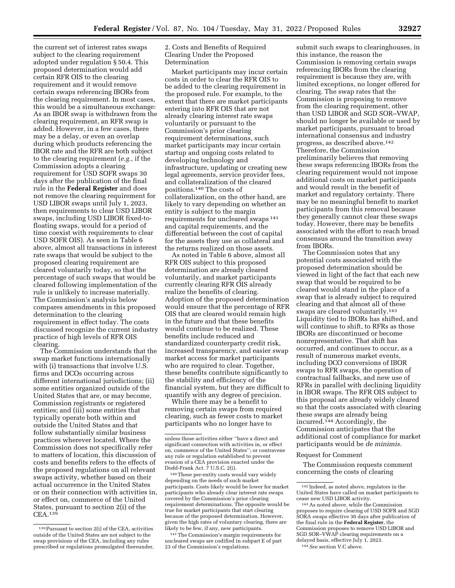the current set of interest rates swaps subject to the clearing requirement adopted under regulation § 50.4. This proposed determination would add certain RFR OIS to the clearing requirement and it would remove certain swaps referencing IBORs from the clearing requirement. In most cases, this would be a simultaneous exchange: As an IBOR swap is withdrawn from the clearing requirement, an RFR swap is added. However, in a few cases, there may be a delay, or even an overlap during which products referencing the IBOR rate and the RFR are both subject to the clearing requirement (*e.g.,* if the Commission adopts a clearing requirement for USD SOFR swaps 30 days after the publication of the final rule in the **Federal Register** and does not remove the clearing requirement for USD LIBOR swaps until July 1, 2023, then requirements to clear USD LIBOR swaps, including USD LIBOR fixed-tofloating swaps, would for a period of time coexist with requirements to clear USD SOFR OIS). As seen in Table 6 above, almost all transactions in interest rate swaps that would be subject to the proposed clearing requirement are cleared voluntarily today, so that the percentage of such swaps that would be cleared following implementation of the rule is unlikely to increase materially. The Commission's analysis below compares amendments in this proposed determination to the clearing requirement in effect today. The costs discussed recognize the current industry practice of high levels of RFR OIS clearing.

The Commission understands that the swap market functions internationally with (i) transactions that involve U.S. firms and DCOs occurring across different international jurisdictions; (ii) some entities organized outside of the United States that are, or may become, Commission registrants or registered entities; and (iii) some entities that typically operate both within and outside the United States and that follow substantially similar business practices wherever located. Where the Commission does not specifically refer to matters of location, this discussion of costs and benefits refers to the effects of the proposed regulations on all relevant swaps activity, whether based on their actual occurrence in the United States or on their connection with activities in, or effect on, commerce of the United States, pursuant to section 2(i) of the CEA.139

2. Costs and Benefits of Required Clearing Under the Proposed Determination

Market participants may incur certain costs in order to clear the RFR OIS to be added to the clearing requirement in the proposed rule. For example, to the extent that there are market participants entering into RFR OIS that are not already clearing interest rate swaps voluntarily or pursuant to the Commission's prior clearing requirement determinations, such market participants may incur certain startup and ongoing costs related to developing technology and infrastructure, updating or creating new legal agreements, service provider fees, and collateralization of the cleared positions.140 The costs of collateralization, on the other hand, are likely to vary depending on whether an entity is subject to the margin requirements for uncleared swaps 141 and capital requirements, and the differential between the cost of capital for the assets they use as collateral and the returns realized on those assets.

As noted in Table 6 above, almost all RFR OIS subject to this proposed determination are already cleared voluntarily, and market participants currently clearing RFR OIS already realize the benefits of clearing. Adoption of the proposed determination would ensure that the percentage of RFR OIS that are cleared would remain high in the future and that these benefits would continue to be realized. These benefits include reduced and standardized counterparty credit risk, increased transparency, and easier swap market access for market participants who are required to clear. Together, these benefits contribute significantly to the stability and efficiency of the financial system, but they are difficult to quantify with any degree of precision.

While there may be a benefit to removing certain swaps from required clearing, such as fewer costs to market participants who no longer have to

140These per-entity costs would vary widely depending on the needs of such market participants. Costs likely would be lower for market participants who already clear interest rate swaps covered by the Commission's prior clearing requirement determinations. The opposite would be true for market participants that start clearing because of the proposed determination. However, given the high rates of voluntary clearing, there are likely to be few, if any, new participants.

141The Commission's margin requirements for uncleared swaps are codified in subpart E of part 23 of the Commission's regulations.

submit such swaps to clearinghouses, in this instance, the reason the Commission is removing certain swaps referencing IBORs from the clearing requirement is because they are, with limited exceptions, no longer offered for clearing. The swap rates that the Commission is proposing to remove from the clearing requirement, other than USD LIBOR and SGD SOR–VWAP, should no longer be available or used by market participants, pursuant to broad international consensus and industry progress, as described above.142 Therefore, the Commission preliminarily believes that removing these swaps referencing IBORs from the clearing requirement would not impose additional costs on market participants and would result in the benefit of market and regulatory certainty. There may be no meaningful benefit to market participants from this removal because they generally cannot clear these swaps today. However, there may be benefits associated with the effort to reach broad consensus around the transition away from IBORs.

The Commission notes that any potential costs associated with the proposed determination should be viewed in light of the fact that each new swap that would be required to be cleared would stand in the place of a swap that is already subject to required clearing and that almost all of these swaps are cleared voluntarily.143 Liquidity tied to IBORs has shifted, and will continue to shift, to RFRs as those IBORs are discontinued or become nonrepresentative. That shift has occurred, and continues to occur, as a result of numerous market events, including DCO conversions of IBOR swaps to RFR swaps, the operation of contractual fallbacks, and new use of RFRs in parallel with declining liquidity in IBOR swaps. The RFR OIS subject to this proposal are already widely cleared so that the costs associated with clearing these swaps are already being incurred.144 Accordingly, the Commission anticipates that the additional cost of compliance for market participants would be *de minimis.* 

#### Request for Comment

The Commission requests comment concerning the costs of clearing

<sup>139</sup>Pursuant to section 2(i) of the CEA, activities outside of the United States are not subject to the swap provisions of the CEA, including any rules prescribed or regulations promulgated thereunder,

unless those activities either ''have a direct and significant connection with activities in, or effect on, commerce of the United States''; or contravene any rule or regulation established to prevent evasion of a CEA provision enacted under the Dodd-Frank Act. 7 U.S.C. 2(i).

<sup>142</sup> Indeed, as noted above, regulators in the United States have called on market participants to<br>cease new USD LIBOR activity.

 $143$  As noted above, while the Commission proposes to require clearing of USD SOFR and SGD SORA swaps effective 30 days after publication of the final rule in the **Federal Register**, the Commission proposes to remove USD LIBOR and SGD SOR–VWAP clearing requirements on a delayed basis, effective July 1, 2023. 144*See* section V.C above.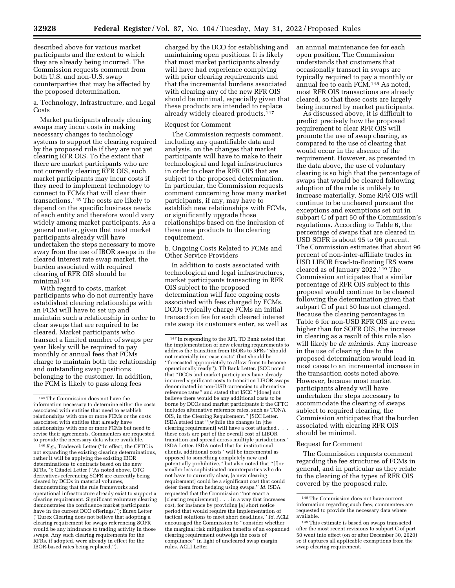described above for various market participants and the extent to which they are already being incurred. The Commission requests comment from both U.S. and non-U.S. swap counterparties that may be affected by the proposed determination.

a. Technology, Infrastructure, and Legal **Costs** 

Market participants already clearing swaps may incur costs in making necessary changes to technology systems to support the clearing required by the proposed rule if they are not yet clearing RFR OIS. To the extent that there are market participants who are not currently clearing RFR OIS, such market participants may incur costs if they need to implement technology to connect to FCMs that will clear their transactions.145 The costs are likely to depend on the specific business needs of each entity and therefore would vary widely among market participants. As a general matter, given that most market participants already will have undertaken the steps necessary to move away from the use of IBOR swaps in the cleared interest rate swap market, the burden associated with required clearing of RFR OIS should be minimal.146

With regard to costs, market participants who do not currently have established clearing relationships with an FCM will have to set up and maintain such a relationship in order to clear swaps that are required to be cleared. Market participants who transact a limited number of swaps per year likely will be required to pay monthly or annual fees that FCMs charge to maintain both the relationship and outstanding swap positions belonging to the customer. In addition, the FCM is likely to pass along fees

146*E.g.,* Tradeweb Letter (''In effect, the CFTC is not expanding the existing clearing determinations, rather it will be applying the existing IBOR determinations to contracts based on the new RFRs.''); Citadel Letter (''As noted above, OTC derivatives referencing SOFR are currently being cleared by DCOs in material volumes, demonstrating that the rule frameworks and operational infrastructure already exist to support a clearing requirement. Significant voluntary clearing demonstrates the confidence market participants have in the current DCO offerings.''); Eurex Letter (''Eurex Clearing does not believe that adopting a clearing requirement for swaps referencing SOFR would be any hindrance to trading activity in those swaps. Any such clearing requirements for the RFRs, if adopted, were already in effect for the IBOR-based rates being replaced.'').

charged by the DCO for establishing and maintaining open positions. It is likely that most market participants already will have had experience complying with prior clearing requirements and that the incremental burdens associated with clearing any of the new RFR OIS should be minimal, especially given that these products are intended to replace already widely cleared products.<sup>147</sup>

#### Request for Comment

The Commission requests comment, including any quantifiable data and analysis, on the changes that market participants will have to make to their technological and legal infrastructures in order to clear the RFR OIS that are subject to the proposed determination. In particular, the Commission requests comment concerning how many market participants, if any, may have to establish new relationships with FCMs, or significantly upgrade those relationships based on the inclusion of these new products to the clearing requirement.

b. Ongoing Costs Related to FCMs and Other Service Providers

In addition to costs associated with technological and legal infrastructures, market participants transacting in RFR OIS subject to the proposed determination will face ongoing costs associated with fees charged by FCMs. DCOs typically charge FCMs an initial transaction fee for each cleared interest rate swap its customers enter, as well as an annual maintenance fee for each open position. The Commission understands that customers that occasionally transact in swaps are typically required to pay a monthly or annual fee to each FCM.148 As noted, most RFR OIS transactions are already cleared, so that these costs are largely being incurred by market participants.

As discussed above, it is difficult to predict precisely how the proposed requirement to clear RFR OIS will promote the use of swap clearing, as compared to the use of clearing that would occur in the absence of the requirement. However, as presented in the data above, the use of voluntary clearing is so high that the percentage of swaps that would be cleared following adoption of the rule is unlikely to increase materially. Some RFR OIS will continue to be uncleared pursuant the exceptions and exemptions set out in subpart C of part 50 of the Commission's regulations. According to Table 6, the percentage of swaps that are cleared in USD SOFR is about 95 to 96 percent. The Commission estimates that about 96 percent of non-inter-affiliate trades in USD LIBOR fixed-to-floating IRS were cleared as of January 2022.<sup>149</sup> The Commission anticipates that a similar percentage of RFR OIS subject to this proposal would continue to be cleared following the determination given that subpart C of part 50 has not changed. Because the clearing percentages in Table 6 for non-USD RFR OIS are even higher than for SOFR OIS, the increase in clearing as a result of this rule also will likely be *de minimis.* Any increase in the use of clearing due to the proposed determination would lead in most cases to an incremental increase in the transaction costs noted above. However, because most market participants already will have undertaken the steps necessary to accommodate the clearing of swaps subject to required clearing, the Commission anticipates that the burden associated with clearing RFR OIS should be minimal.

#### Request for Comment

The Commission requests comment regarding the fee structures of FCMs in general, and in particular as they relate to the clearing of the types of RFR OIS covered by the proposed rule.

<sup>145</sup>The Commission does not have the information necessary to determine either the costs associated with entities that need to establish relationships with one or more FCMs or the costs associated with entities that already have relationships with one or more FCMs but need to revise their agreements. Commenters are requested to provide the necessary data where available.

<sup>147</sup> In responding to the RFI, TD Bank noted that the implementation of new clearing requirements to address the transition from IBORs to RFRs ''should not materially increase costs'' (but should be ''forecasted appropriately to allow firms to become operationally ready''). TD Bank Letter. JSCC noted that ''DCOs and market participants have already incurred significant costs to transition LIBOR swaps denominated in non-USD currencies to alternative reference rates'' and stated that JSCC ''[does] not believe there would be any additional costs to be borne by DCOs and market participants if the CFTC includes alternative reference rates, such as TONA OIS, in the Clearing Requirement.'' JSCC Letter. ISDA stated that ''[w]hile the changes in [the clearing requirement] will have a cost attached . these costs are part of the overall cost of LIBOR transition and spread across multiple jurisdictions.'' ISDA Letter. ISDA noted that for institutional clients, additional costs ''will be incremental as opposed to something completely new and potentially prohibitive,'' but also noted that ''[f]or smaller less sophisticated counterparties who do not have to currently clear, [a new clearing requirement] could be a significant cost that could deter them from hedging using swaps.'' *Id.* ISDA requested that the Commission ''not enact a [clearing requirement] . . . in a way that increases cost, for instance by providing [a] short notice period that would require the implementation of tactical solutions to meet short deadlines.'' *Id.* ACLI encouraged the Commission to ''consider whether the marginal risk mitigation benefits of an expanded clearing requirement outweigh the costs of compliance'' in light of uncleared swap margin rules. ACLI Letter.

<sup>148</sup>The Commission does not have current information regarding such fees; commenters are requested to provide the necessary data where available.

<sup>149</sup>This estimate is based on swaps transacted after the most recent revisions to subpart C of part 50 went into effect (on or after December 30, 2020) so it captures all applicable exemptions from the swap clearing requirement.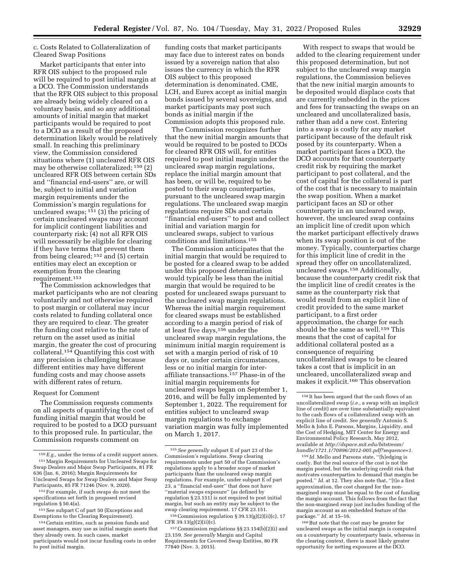#### c. Costs Related to Collateralization of Cleared Swap Positions

Market participants that enter into RFR OIS subject to the proposed rule will be required to post initial margin at a DCO. The Commission understands that the RFR OIS subject to this proposal are already being widely cleared on a voluntary basis, and so any additional amounts of initial margin that market participants would be required to post to a DCO as a result of the proposed determination likely would be relatively small. In reaching this preliminary view, the Commission considered situations where (1) uncleared RFR OIS may be otherwise collateralized; 150 (2) uncleared RFR OIS between certain SDs and ''financial end-users'' are, or will be, subject to initial and variation margin requirements under the Commission's margin regulations for uncleared swaps;  $151$  (3) the pricing of certain uncleared swaps may account for implicit contingent liabilities and counterparty risk; (4) not all RFR OIS will necessarily be eligible for clearing if they have terms that prevent them from being cleared; 152 and (5) certain entities may elect an exception or exemption from the clearing requirement.153

The Commission acknowledges that market participants who are not clearing voluntarily and not otherwise required to post margin or collateral may incur costs related to funding collateral once they are required to clear. The greater the funding cost relative to the rate of return on the asset used as initial margin, the greater the cost of procuring collateral.154 Quantifying this cost with any precision is challenging because different entities may have different funding costs and may choose assets with different rates of return.

#### Request for Comment

The Commission requests comments on all aspects of quantifying the cost of funding initial margin that would be required to be posted to a DCO pursuant to this proposed rule. In particular, the Commission requests comment on

funding costs that market participants may face due to interest rates on bonds issued by a sovereign nation that also issues the currency in which the RFR OIS subject to this proposed determination is denominated. CME, LCH, and Eurex accept as initial margin bonds issued by several sovereigns, and market participants may post such bonds as initial margin if the Commission adopts this proposed rule.

The Commission recognizes further that the new initial margin amounts that would be required to be posted to DCOs for cleared RFR OIS will, for entities required to post initial margin under the uncleared swap margin regulations, replace the initial margin amount that has been, or will be, required to be posted to their swap counterparties, pursuant to the uncleared swap margin regulations. The uncleared swap margin regulations require SDs and certain ''financial end-users'' to post and collect initial and variation margin for uncleared swaps, subject to various conditions and limitations.155

The Commission anticipates that the initial margin that would be required to be posted for a cleared swap to be added under this proposed determination would typically be less than the initial margin that would be required to be posted for uncleared swaps pursuant to the uncleared swap margin regulations. Whereas the initial margin requirement for cleared swaps must be established according to a margin period of risk of at least five days,156 under the uncleared swap margin regulations, the minimum initial margin requirement is set with a margin period of risk of 10 days or, under certain circumstances, less or no initial margin for interaffiliate transactions.<sup>157</sup> Phase-in of the initial margin requirements for uncleared swaps began on September 1, 2016, and will be fully implemented by September 1, 2022. The requirement for entities subject to uncleared swap margin regulations to exchange variation margin was fully implemented on March 1, 2017.

With respect to swaps that would be added to the clearing requirement under this proposed determination, but not subject to the uncleared swap margin regulations, the Commission believes that the new initial margin amounts to be deposited would displace costs that are currently embedded in the prices and fees for transacting the swaps on an uncleared and uncollateralized basis, rather than add a new cost. Entering into a swap is costly for any market participant because of the default risk posed by its counterparty. When a market participant faces a DCO, the DCO accounts for that counterparty credit risk by requiring the market participant to post collateral, and the cost of capital for the collateral is part of the cost that is necessary to maintain the swap position. When a market participant faces an SD or other counterparty in an uncleared swap, however, the uncleared swap contains an implicit line of credit upon which the market participant effectively draws when its swap position is out of the money. Typically, counterparties charge for this implicit line of credit in the spread they offer on uncollateralized, uncleared swaps.158 Additionally, because the counterparty credit risk that the implicit line of credit creates is the same as the counterparty risk that would result from an explicit line of credit provided to the same market participant, to a first order approximation, the charge for each should be the same as well.159 This means that the cost of capital for additional collateral posted as a consequence of requiring uncollateralized swaps to be cleared takes a cost that is implicit in an uncleared, uncollateralized swap and makes it explicit.160 This observation

<sup>150</sup>*E.g.,* under the terms of a credit support annex. 151Margin Requirements for Uncleared Swaps for Swap Dealers and Major Swap Participants, 81 FR 636 (Jan. 6, 2016); Margin Requirements for Uncleared Swaps for Swap Dealers and Major Swap Participants, 85 FR 71246 (Nov. 9, 2020).

<sup>152</sup>For example, if such swaps do not meet the specifications set forth in proposed revised regulation § 50.4(a).

<sup>&</sup>lt;sup>153</sup> See subpart C of part 50 (Exceptions and Exemptions to the Clearing Requirement).

<sup>154</sup>Certain entities, such as pension funds and asset managers, may use as initial margin assets that they already own. In such cases, market participants would not incur funding costs in order to post initial margin.

<sup>155</sup>*See generally* subpart E of part 23 of the Commission's regulations. Swap clearing requirements under part 50 of the Commission's regulations apply to a broader scope of market participants than the uncleared swap margin regulations. For example, under subpart E of part 23, a ''financial end-user'' that does not have ''material swaps exposure'' (as defined by regulation  $\S 23.151$ ) is not required to post initial margin, but such an entity may be subject to the swap clearing requirement. 17 CFR 23.151.

 $^{156}\mathrm{Commission}$  regulation § 39.13(g)(2)(ii)(c), 17 CFR 39.13(g)(2)(ii)(c).

<sup>157</sup>Commission regulations §§ 23.154(b)(2)(i) and 23.159. *See generally* Margin and Capital Requirements for Covered Swap Entities, 80 FR 77840 (Nov. 3, 2015).

<sup>158</sup> It has been argued that the cash flows of an uncollateralized swap (*i.e.,* a swap with an implicit line of credit) are over time substantially equivalent to the cash flows of a collateralized swap with an explicit line of credit. *See generally* Antonio S. Mello & John E. Parsons, Margins, Liquidity, and the Cost of Hedging, MIT Center for Energy and Environmental Policy Research, May 2012, available at *[http://dspace.mit.edu/bitstream/](http://dspace.mit.edu/bitstream/handle/1721.1/70896/2012-005.pdf?sequence=1) [handle/1721.1/70896/2012-005.pdf?sequence=1.](http://dspace.mit.edu/bitstream/handle/1721.1/70896/2012-005.pdf?sequence=1)* 

<sup>159</sup> *Id.* Mello and Parsons state, ''[h]edging is costly. But the real source of the cost is not the margin posted, but the underlying credit risk that motivates counterparties to demand that margin be posted." *Id.* at 12. They also note that, "[t]o a first approximation, the cost charged for the nonmargined swap must be equal to the cost of funding the margin account. This follows from the fact that the non-margined swap just includes funding of the margin account as an embedded feature of the package.'' *Id.* at 15–16.

<sup>160</sup>But note that the cost may be greater for uncleared swaps as the initial margin is computed on a counterparty by counterparty basis, whereas in the clearing context, there is most likely greater opportunity for netting exposures at the DCO.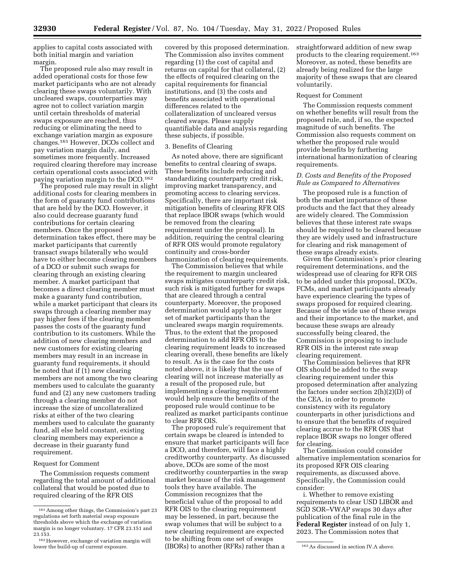applies to capital costs associated with both initial margin and variation margin.

The proposed rule also may result in added operational costs for those few market participants who are not already clearing these swaps voluntarily. With uncleared swaps, counterparties may agree not to collect variation margin until certain thresholds of material swaps exposure are reached, thus reducing or eliminating the need to exchange variation margin as exposure changes.161 However, DCOs collect and pay variation margin daily, and sometimes more frequently. Increased required clearing therefore may increase certain operational costs associated with paying variation margin to the DCO.162

The proposed rule may result in slight additional costs for clearing members in the form of guaranty fund contributions that are held by the DCO. However, it also could decrease guaranty fund contributions for certain clearing members. Once the proposed determination takes effect, there may be market participants that currently transact swaps bilaterally who would have to either become clearing members of a DCO or submit such swaps for clearing through an existing clearing member. A market participant that becomes a direct clearing member must make a guaranty fund contribution, while a market participant that clears its swaps through a clearing member may pay higher fees if the clearing member passes the costs of the guaranty fund contribution to its customers. While the addition of new clearing members and new customers for existing clearing members may result in an increase in guaranty fund requirements, it should be noted that if (1) new clearing members are not among the two clearing members used to calculate the guaranty fund and (2) any new customers trading through a clearing member do not increase the size of uncollateralized risks at either of the two clearing members used to calculate the guaranty fund, all else held constant, existing clearing members may experience a decrease in their guaranty fund requirement.

#### Request for Comment

The Commission requests comment regarding the total amount of additional collateral that would be posted due to required clearing of the RFR OIS

covered by this proposed determination. The Commission also invites comment regarding (1) the cost of capital and returns on capital for that collateral, (2) the effects of required clearing on the capital requirements for financial institutions, and (3) the costs and benefits associated with operational differences related to the collateralization of uncleared versus cleared swaps. Please supply quantifiable data and analysis regarding these subjects, if possible.

#### 3. Benefits of Clearing

As noted above, there are significant benefits to central clearing of swaps. These benefits include reducing and standardizing counterparty credit risk, improving market transparency, and promoting access to clearing services. Specifically, there are important risk mitigation benefits of clearing RFR OIS that replace IBOR swaps (which would be removed from the clearing requirement under the proposal). In addition, requiring the central clearing of RFR OIS would promote regulatory continuity and cross-border harmonization of clearing requirements.

The Commission believes that while the requirement to margin uncleared swaps mitigates counterparty credit risk, such risk is mitigated further for swaps that are cleared through a central counterparty. Moreover, the proposed determination would apply to a larger set of market participants than the uncleared swaps margin requirements. Thus, to the extent that the proposed determination to add RFR OIS to the clearing requirement leads to increased clearing overall, these benefits are likely to result. As is the case for the costs noted above, it is likely that the use of clearing will not increase materially as a result of the proposed rule, but implementing a clearing requirement would help ensure the benefits of the proposed rule would continue to be realized as market participants continue to clear RFR OIS.

The proposed rule's requirement that certain swaps be cleared is intended to ensure that market participants will face a DCO, and therefore, will face a highly creditworthy counterparty. As discussed above, DCOs are some of the most creditworthy counterparties in the swap market because of the risk management tools they have available. The Commission recognizes that the beneficial value of the proposal to add RFR OIS to the clearing requirement may be lessened, in part, because the swap volumes that will be subject to a new clearing requirement are expected to be shifting from one set of swaps

straightforward addition of new swap products to the clearing requirement.163 Moreover, as noted, these benefits are already being realized for the large majority of these swaps that are cleared voluntarily.

#### Request for Comment

The Commission requests comment on whether benefits will result from the proposed rule, and, if so, the expected magnitude of such benefits. The Commission also requests comment on whether the proposed rule would provide benefits by furthering international harmonization of clearing requirements.

#### *D. Costs and Benefits of the Proposed Rule as Compared to Alternatives*

The proposed rule is a function of both the market importance of these products and the fact that they already are widely cleared. The Commission believes that these interest rate swaps should be required to be cleared because they are widely used and infrastructure for clearing and risk management of these swaps already exists.

Given the Commission's prior clearing requirement determinations, and the widespread use of clearing for RFR OIS to be added under this proposal, DCOs, FCMs, and market participants already have experience clearing the types of swaps proposed for required clearing. Because of the wide use of these swaps and their importance to the market, and because these swaps are already successfully being cleared, the Commission is proposing to include RFR OIS in the interest rate swap clearing requirement.

The Commission believes that RFR OIS should be added to the swap clearing requirement under this proposed determination after analyzing the factors under section 2(h)(2)(D) of the CEA, in order to promote consistency with its regulatory counterparts in other jurisdictions and to ensure that the benefits of required clearing accrue to the RFR OIS that replace IBOR swaps no longer offered for clearing.

The Commission could consider alternative implementation scenarios for its proposed RFR OIS clearing requirements, as discussed above. Specifically, the Commission could consider:

i. Whether to remove existing requirements to clear USD LIBOR and SGD SOR–VWAP swaps 30 days after publication of the final rule in the **Federal Register** instead of on July 1, 2023. The Commission notes that

<sup>161</sup>Among other things, the Commission's part 23 regulations set forth material swap exposure thresholds above which the exchange of variation margin is no longer voluntary. 17 CFR 23.151 and 23.153.

 $162$  However, exchange of variation margin will lower the build-up of current exposure. lower the build-up of current exposure. (IBORs) to another (RFRs) rather than a start is As discussed in section IV.A above.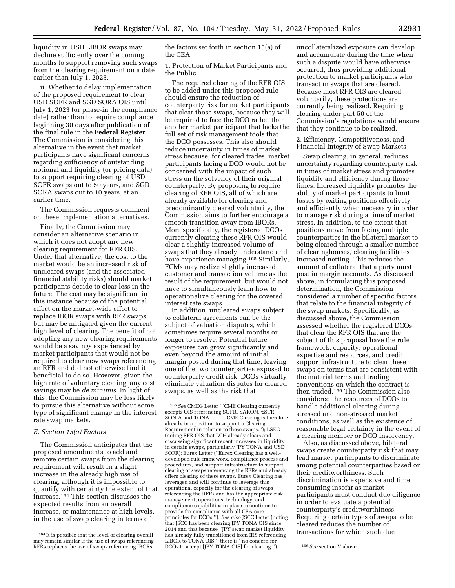liquidity in USD LIBOR swaps may decline sufficiently over the coming months to support removing such swaps from the clearing requirement on a date earlier than July 1, 2023.

ii. Whether to delay implementation of the proposed requirement to clear USD SOFR and SGD SORA OIS until July 1, 2023 (or phase-in the compliance date) rather than to require compliance beginning 30 days after publication of the final rule in the **Federal Register**. The Commission is considering this alternative in the event that market participants have significant concerns regarding sufficiency of outstanding notional and liquidity (or pricing data) to support requiring clearing of USD SOFR swaps out to 50 years, and SGD SORA swaps out to 10 years, at an earlier time.

The Commission requests comment on these implementation alternatives.

Finally, the Commission may consider an alternative scenario in which it does not adopt any new clearing requirement for RFR OIS. Under that alternative, the cost to the market would be an increased risk of uncleared swaps (and the associated financial stability risks) should market participants decide to clear less in the future. The cost may be significant in this instance because of the potential effect on the market-wide effort to replace IBOR swaps with RFR swaps, but may be mitigated given the current high level of clearing. The benefit of not adopting any new clearing requirements would be a savings experienced by market participants that would not be required to clear new swaps referencing an RFR and did not otherwise find it beneficial to do so. However, given the high rate of voluntary clearing, any cost savings may be *de minimis.* In light of this, the Commission may be less likely to pursue this alternative without some type of significant change in the interest rate swap markets.

#### *E. Section 15(a) Factors*

The Commission anticipates that the proposed amendments to add and remove certain swaps from the clearing requirement will result in a slight increase in the already high use of clearing, although it is impossible to quantify with certainty the extent of that increase.164 This section discusses the expected results from an overall increase, or maintenance at high levels, in the use of swap clearing in terms of

the factors set forth in section 15(a) of the CEA.

1. Protection of Market Participants and the Public

The required clearing of the RFR OIS to be added under this proposed rule should ensure the reduction of counterparty risk for market participants that clear those swaps, because they will be required to face the DCO rather than another market participant that lacks the full set of risk management tools that the DCO possesses. This also should reduce uncertainty in times of market stress because, for cleared trades, market participants facing a DCO would not be concerned with the impact of such stress on the solvency of their original counterparty. By proposing to require clearing of RFR OIS, all of which are already available for clearing and predominantly cleared voluntarily, the Commission aims to further encourage a smooth transition away from IBORs. More specifically, the registered DCOs currently clearing these RFR OIS would clear a slightly increased volume of swaps that they already understand and have experience managing.<sup>165</sup> Similarly, FCMs may realize slightly increased customer and transaction volume as the result of the requirement, but would not have to simultaneously learn how to operationalize clearing for the covered interest rate swaps.

In addition, uncleared swaps subject to collateral agreements can be the subject of valuation disputes, which sometimes require several months or longer to resolve. Potential future exposures can grow significantly and even beyond the amount of initial margin posted during that time, leaving one of the two counterparties exposed to counterparty credit risk. DCOs virtually eliminate valuation disputes for cleared swaps, as well as the risk that

uncollateralized exposure can develop and accumulate during the time when such a dispute would have otherwise occurred, thus providing additional protection to market participants who transact in swaps that are cleared. Because most RFR OIS are cleared voluntarily, these protections are currently being realized. Requiring clearing under part 50 of the Commission's regulations would ensure that they continue to be realized.

2. Efficiency, Competitiveness, and Financial Integrity of Swap Markets

Swap clearing, in general, reduces uncertainty regarding counterparty risk in times of market stress and promotes liquidity and efficiency during those times. Increased liquidity promotes the ability of market participants to limit losses by exiting positions effectively and efficiently when necessary in order to manage risk during a time of market stress. In addition, to the extent that positions move from facing multiple counterparties in the bilateral market to being cleared through a smaller number of clearinghouses, clearing facilitates increased netting. This reduces the amount of collateral that a party must post in margin accounts. As discussed above, in formulating this proposed determination, the Commission considered a number of specific factors that relate to the financial integrity of the swap markets. Specifically, as discussed above, the Commission assessed whether the registered DCOs that clear the RFR OIS that are the subject of this proposal have the rule framework, capacity, operational expertise and resources, and credit support infrastructure to clear these swaps on terms that are consistent with the material terms and trading conventions on which the contract is then traded.166 The Commission also considered the resources of DCOs to handle additional clearing during stressed and non-stressed market conditions, as well as the existence of reasonable legal certainty in the event of a clearing member or DCO insolvency.

Also, as discussed above, bilateral swaps create counterparty risk that may lead market participants to discriminate among potential counterparties based on their creditworthiness. Such discrimination is expensive and time consuming insofar as market participants must conduct due diligence in order to evaluate a potential counterparty's creditworthiness. Requiring certain types of swaps to be cleared reduces the number of transactions for which such due

<sup>164</sup> It is possible that the level of clearing overall may remain similar if the use of swaps referencing RFRs replaces the use of swaps referencing IBORs.

<sup>165</sup>*See* CMEG Letter (''CME Clearing currently accepts OIS referencing SOFR, SARON, €STR, SONIA and TONA . . . . CME Clearing is therefore already in a position to support a Clearing Requirement in relation to these swaps.''); LSEG (noting RFR OIS that LCH already clears and discussing significant recent increases in liquidity in certain swaps, particularly JPY TONA and USD SOFR); Eurex Letter (''Eurex Clearing has a welldeveloped rule framework, compliance process and procedures, and support infrastructure to support clearing of swaps referencing the RFRs and already offers clearing of these swaps. Eurex Clearing has leveraged and will continue to leverage this operational capacity for the clearing of swaps referencing the RFRs and has the appropriate risk management, operations, technology, and compliance capabilities in place to continue to provide for compliance with all CEA core principles for DCOs.''). *See also* JSCC Letter (noting that JSCC has been clearing JPY TONA OIS since 2014 and that because "JPY swap market liquidity has already fully transitioned from IRS referencing LIBOR to TONA OIS," there is "no concern for DCOs to accept [JPY TONA OIS] for clearing.''). 166*See* section V above.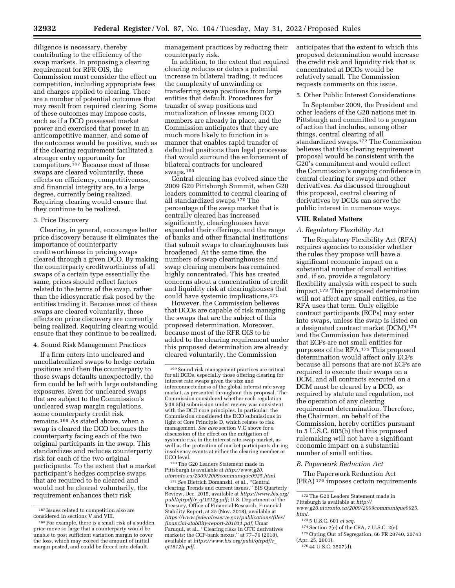diligence is necessary, thereby contributing to the efficiency of the swap markets. In proposing a clearing requirement for RFR OIS, the Commission must consider the effect on competition, including appropriate fees and charges applied to clearing. There are a number of potential outcomes that may result from required clearing. Some of these outcomes may impose costs, such as if a DCO possessed market

power and exercised that power in an anticompetitive manner, and some of the outcomes would be positive, such as if the clearing requirement facilitated a stronger entry opportunity for competitors.<sup>167</sup> Because most of these swaps are cleared voluntarily, these effects on efficiency, competitiveness, and financial integrity are, to a large degree, currently being realized. Requiring clearing would ensure that they continue to be realized.

#### 3. Price Discovery

Clearing, in general, encourages better price discovery because it eliminates the importance of counterparty creditworthiness in pricing swaps cleared through a given DCO. By making the counterparty creditworthiness of all swaps of a certain type essentially the same, prices should reflect factors related to the terms of the swap, rather than the idiosyncratic risk posed by the entities trading it. Because most of these swaps are cleared voluntarily, these effects on price discovery are currently being realized. Requiring clearing would ensure that they continue to be realized.

4. Sound Risk Management Practices

If a firm enters into uncleared and uncollateralized swaps to hedge certain positions and then the counterparty to those swaps defaults unexpectedly, the firm could be left with large outstanding exposures. Even for uncleared swaps that are subject to the Commission's uncleared swap margin regulations, some counterparty credit risk remains.168 As stated above, when a swap is cleared the DCO becomes the counterparty facing each of the two original participants in the swap. This standardizes and reduces counterparty risk for each of the two original participants. To the extent that a market participant's hedges comprise swaps that are required to be cleared and would not be cleared voluntarily, the requirement enhances their risk

management practices by reducing their counterparty risk.

In addition, to the extent that required clearing reduces or deters a potential increase in bilateral trading, it reduces the complexity of unwinding or transferring swap positions from large entities that default. Procedures for transfer of swap positions and mutualization of losses among DCO members are already in place, and the Commission anticipates that they are much more likely to function in a manner that enables rapid transfer of defaulted positions than legal processes that would surround the enforcement of bilateral contracts for uncleared swaps.<sup>169</sup>

Central clearing has evolved since the 2009 G20 Pittsburgh Summit, when G20 leaders committed to central clearing of all standardized swaps.170 The percentage of the swap market that is centrally cleared has increased significantly, clearinghouses have expanded their offerings, and the range of banks and other financial institutions that submit swaps to clearinghouses has broadened. At the same time, the numbers of swap clearinghouses and swap clearing members has remained highly concentrated. This has created concerns about a concentration of credit and liquidity risk at clearinghouses that could have systemic implications.171

However, the Commission believes that DCOs are capable of risk managing the swaps that are the subject of this proposed determination. Moreover, because most of the RFR OIS to be added to the clearing requirement under this proposed determination are already cleared voluntarily, the Commission

170The G20 Leaders Statement made in Pittsburgh is available at *[http://www.g20.](http://www.g20.utoronto.ca/2009/2009communique0925.html) [utoronto.ca/2009/2009communique0925.html.](http://www.g20.utoronto.ca/2009/2009communique0925.html)* 

171*See* Dietrich Domanski, et al., ''Central clearing: Trends and current issues,'' BIS Quarterly Review, Dec. 2015, available at *[https://www.bis.org/](https://www.bis.org/publ/qtrpdf/r_qt1512g.pdf) [publ/qtrpdf/r](https://www.bis.org/publ/qtrpdf/r_qt1512g.pdf)*\_*qt1512g.pdf;* U.S. Department of the Treasury, Office of Financial Research, Financial Stability Report, at 35 (Nov. 2018), available at *[https://www.federalreserve.gov/publications/files/](https://www.federalreserve.gov/publications/files/financial-stability-report-201811.pdf) [financial-stability-report-201811.pdf;](https://www.federalreserve.gov/publications/files/financial-stability-report-201811.pdf)* Umar Faruqui, et al., ''Clearing risks in OTC derivatives markets: the CCP-bank nexus," at 77-79 (2018), available at *[https://www.bis.org/publ/qtrpdf/r](https://www.bis.org/publ/qtrpdf/r_qt1812h.pdf)*\_ *[qt1812h.pdf.](https://www.bis.org/publ/qtrpdf/r_qt1812h.pdf)* 

anticipates that the extent to which this proposed determination would increase the credit risk and liquidity risk that is concentrated at DCOs would be relatively small. The Commission requests comments on this issue.

#### 5. Other Public Interest Considerations

In September 2009, the President and other leaders of the G20 nations met in Pittsburgh and committed to a program of action that includes, among other things, central clearing of all standardized swaps.172 The Commission believes that this clearing requirement proposal would be consistent with the G20's commitment and would reflect the Commission's ongoing confidence in central clearing for swaps and other derivatives. As discussed throughout this proposal, central clearing of derivatives by DCOs can serve the public interest in numerous ways.

#### **VIII. Related Matters**

# *A. Regulatory Flexibility Act*

The Regulatory Flexibility Act (RFA) requires agencies to consider whether the rules they propose will have a significant economic impact on a substantial number of small entities and, if so, provide a regulatory flexibility analysis with respect to such impact.173 This proposed determination will not affect any small entities, as the RFA uses that term. Only eligible contract participants (ECPs) may enter into swaps, unless the swap is listed on a designated contract market (DCM),<sup>174</sup> and the Commission has determined that ECPs are not small entities for purposes of the RFA.175 This proposed determination would affect only ECPs because all persons that are not ECPs are required to execute their swaps on a DCM, and all contracts executed on a DCM must be cleared by a DCO, as required by statute and regulation, not the operation of any clearing requirement determination. Therefore, the Chairman, on behalf of the Commission, hereby certifies pursuant to 5 U.S.C. 605(b) that this proposed rulemaking will not have a significant economic impact on a substantial number of small entities.

# *B. Paperwork Reduction Act*

The Paperwork Reduction Act (PRA) 176 imposes certain requirements

172The G20 Leaders Statement made in

- 174 Section 2(e) of the CEA, 7 U.S.C. 2(e).
- $^{\rm 175}$  Opting Out of Segregation, 66 FR 20740, 20743

<sup>167</sup> Issues related to competition also are considered in sections V and VIII.

<sup>&</sup>lt;sup>168</sup> For example, there is a small risk of a sudden price move so large that a counterparty would be unable to post sufficient variation margin to cover the loss, which may exceed the amount of initial margin posted, and could be forced into default.

<sup>169</sup>Sound risk management practices are critical for all DCOs, especially those offering clearing for interest rate swaps given the size and interconnectedness of the global interest rate swap market, as presented throughout this proposal. The Commission considered whether each regulation § 39.5(b) submission under review was consistent with the DCO core principles. In particular, the Commission considered the DCO submissions in light of Core Principle D, which relates to risk management. *See also* section V.C above for a discussion of the effect on the mitigation of systemic risk in the interest rate swap market, as well as the protection of market participants during insolvency events at either the clearing member or DCO level.

Pittsburgh is available at *[http://](http://www.g20.utoronto.ca/2009/2009communique0925.html) [www.g20.utoronto.ca/2009/2009communique0925.](http://www.g20.utoronto.ca/2009/2009communique0925.html) [html.](http://www.g20.utoronto.ca/2009/2009communique0925.html)* 

<sup>173</sup> 5 U.S.C. 601 *et seq.* 

<sup>(</sup>Apr. 25, 2001).

<sup>176</sup> 44 U.S.C. 3507(d).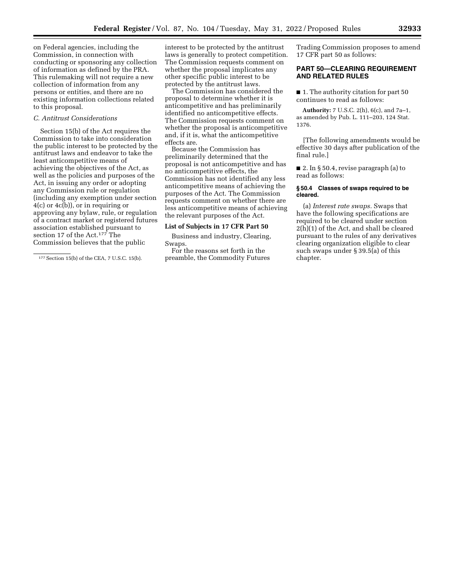on Federal agencies, including the Commission, in connection with conducting or sponsoring any collection of information as defined by the PRA. This rulemaking will not require a new collection of information from any persons or entities, and there are no existing information collections related to this proposal.

# *C. Antitrust Considerations*

Section 15(b) of the Act requires the Commission to take into consideration the public interest to be protected by the antitrust laws and endeavor to take the least anticompetitive means of achieving the objectives of the Act, as well as the policies and purposes of the Act, in issuing any order or adopting any Commission rule or regulation (including any exemption under section 4(c) or 4c(b)), or in requiring or approving any bylaw, rule, or regulation of a contract market or registered futures association established pursuant to section 17 of the Act.177 The Commission believes that the public

interest to be protected by the antitrust laws is generally to protect competition. The Commission requests comment on whether the proposal implicates any other specific public interest to be protected by the antitrust laws.

The Commission has considered the proposal to determine whether it is anticompetitive and has preliminarily identified no anticompetitive effects. The Commission requests comment on whether the proposal is anticompetitive and, if it is, what the anticompetitive effects are.

Because the Commission has preliminarily determined that the proposal is not anticompetitive and has no anticompetitive effects, the Commission has not identified any less anticompetitive means of achieving the purposes of the Act. The Commission requests comment on whether there are less anticompetitive means of achieving the relevant purposes of the Act.

#### **List of Subjects in 17 CFR Part 50**

Business and industry, Clearing, Swaps.

For the reasons set forth in the preamble, the Commodity Futures

Trading Commission proposes to amend 17 CFR part 50 as follows:

# **PART 50—CLEARING REQUIREMENT AND RELATED RULES**

■ 1. The authority citation for part 50 continues to read as follows:

**Authority:** 7 U.S.C. 2(h), 6(c), and 7a–1, as amended by Pub. L. 111–203, 124 Stat. 1376.

[The following amendments would be effective 30 days after publication of the final rule.]

■ 2. In § 50.4, revise paragraph (a) to read as follows:

#### **§ 50.4 Classes of swaps required to be cleared.**

(a) *Interest rate swaps.* Swaps that have the following specifications are required to be cleared under section 2(h)(1) of the Act, and shall be cleared pursuant to the rules of any derivatives clearing organization eligible to clear such swaps under § 39.5(a) of this chapter.

<sup>177</sup>Section 15(b) of the CEA, 7 U.S.C. 15(b).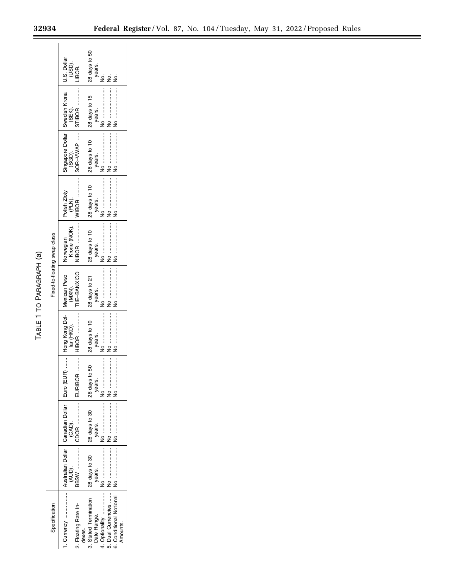|                                                          |               |                                                          |                                | 28 days to 50<br>years.              | ż | ż                  | ş                                   |
|----------------------------------------------------------|---------------|----------------------------------------------------------|--------------------------------|--------------------------------------|---|--------------------|-------------------------------------|
|                                                          |               |                                                          |                                | 28 days to 15<br>years.              |   |                    |                                     |
|                                                          |               | Singapore Dollar   Swedish Krona   U.S. Dollar<br>(SGD). | SOR-VWAP                       | 28 days to 10<br>years.              |   |                    |                                     |
|                                                          |               | olish Zloty<br>(PLN).                                    |                                | 28 days to 10<br>years.              |   |                    |                                     |
|                                                          |               | Krone (NOK).<br>Norwegian                                | $\blacksquare$                 | 28 days to 10<br>years.              |   |                    |                                     |
| Fixed-to-floating swap class<br>TABLE 1 TO PARAGRAPH (a) |               | (MXN).                                                   | <b>IE-BANXICO</b>              | 28 days to 21<br>years.              |   |                    |                                     |
|                                                          |               |                                                          | $HIBOR$ , ,                    | 28 days to 10<br>years.              |   |                    |                                     |
|                                                          |               |                                                          | :<br>:<br>:<br>:<br>EURIBOR    | $10-50$<br>28 days<br>years.         |   |                    |                                     |
|                                                          |               |                                                          |                                | 128 days to 30<br>years.             |   |                    |                                     |
|                                                          |               |                                                          |                                | 28 days to 30<br>years.              |   |                    |                                     |
|                                                          | Specification |                                                          | 2. Floating Rate In-<br>dexes. | 3. Stated Termination<br>Date Range. |   | 5. Dual Currencies | 6. Conditional Notional<br>Amounts. |

Ξ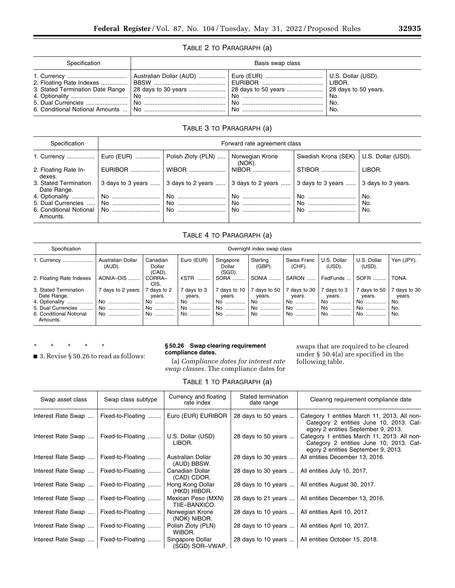# TABLE 2 TO PARAGRAPH (a)

| Specification                    | Basis swap class |           |                   |  |  |
|----------------------------------|------------------|-----------|-------------------|--|--|
| 3. Stated Termination Date Range |                  | No.<br>No | No.<br>No.<br>No. |  |  |

# TABLE 3 TO PARAGRAPH (a)

| Specification                                                      | Forward rate agreement class |       |                                                                                                |                                          |            |  |
|--------------------------------------------------------------------|------------------------------|-------|------------------------------------------------------------------------------------------------|------------------------------------------|------------|--|
| 1. Currency    Euro (EUR)    Polish Zloty (PLN)    Norwegian Krone |                              |       | (NOK).                                                                                         | Swedish Krona (SEK)   U.S. Dollar (USD). |            |  |
| 2. Floating Rate In-<br>dexes.                                     | EURIBOR                      | WIBOR | NIBOR                                                                                          | STIBOR                                   | LIBOR.     |  |
| 3. Stated Termination<br>Date Range.                               |                              |       | 3 days to 3 years  3 days to 2 years  3 days to 2 years  3 days to 3 years  3 days to 3 years. |                                          |            |  |
| 4. Optionality                                                     |                              |       |                                                                                                | $\overline{\phantom{a}}$ No              | No.        |  |
| Amounts.                                                           |                              |       | $\ $ No<br>$\mid$ No                                                                           | 1 No<br>. No                             | No.<br>No. |  |

# TABLE 4 TO PARAGRAPH (a)

| Specification                                                                                                       | Overnight index swap class           |                                         |                                                 |                                            |                                          |                                          |                                         |                                          |                                           |
|---------------------------------------------------------------------------------------------------------------------|--------------------------------------|-----------------------------------------|-------------------------------------------------|--------------------------------------------|------------------------------------------|------------------------------------------|-----------------------------------------|------------------------------------------|-------------------------------------------|
| 1. Currency                                                                                                         | Australian Dollar<br>(AUD).          | Canadian<br>Dollar<br>(CAD).            | Euro (EUR)                                      | Singapore<br>Dollar<br>$(SGD)$ .           | Sterling<br>$(GBP)$ .                    | Swiss Franc<br>$(CHF)$ .                 | U.S. Dollar<br>(USD).                   | U.S. Dollar<br>(USD).                    | Yen (JPY).                                |
| 2. Floating Rate Indexes                                                                                            | AONIA-OIS                            | CORRA-<br>OIS.                          | $€STR$                                          | SORA                                       | SONIA                                    | SARON                                    | FedFunds                                | SOFR                                     | TONA.                                     |
| 3. Stated Termination<br>Date Range.<br>4. Optionality<br>5. Dual Currencies<br>6. Conditional Notional<br>Amounts. | 7 days to 2 years<br>No<br>No<br>No. | 7 days to 2<br>vears.<br>No<br>No<br>No | 7 days to 3<br>years.<br>No<br>No<br><b>No </b> | 7 davs to 10<br>years.<br>No<br>. No<br>No | 7 days to 50<br>vears.<br>No<br>No<br>No | 7 days to 30<br>years.<br>No<br>No<br>No | 7 days to 3<br>vears.<br>No<br>No<br>No | 7 days to 50<br>vears.<br>No<br>No<br>No | days to 30<br>years.<br>No.<br>No.<br>No. |

\* \* \* \* \*

■ 3. Revise § 50.26 to read as follows:

## **§ 50.26 Swap clearing requirement compliance dates.**

(a) *Compliance dates for interest rate swap classes.* The compliance dates for swaps that are required to be cleared under § 50.4(a) are specified in the following table.

|  |  | TABLE 1 TO PARAGRAPH (a) |  |  |
|--|--|--------------------------|--|--|
|--|--|--------------------------|--|--|

| Swap asset class   | Swap class subtype | Currency and floating<br>rate index | Stated termination<br>date range | Clearing requirement compliance date                                                                                           |
|--------------------|--------------------|-------------------------------------|----------------------------------|--------------------------------------------------------------------------------------------------------------------------------|
| Interest Rate Swap | Fixed-to-Floating  | Euro (EUR) EURIBOR                  | 28 days to 50 years              | Category 1 entities March 11, 2013. All non-<br>Category 2 entities June 10, 2013. Cat-<br>egory 2 entities September 9, 2013. |
| Interest Rate Swap | Fixed-to-Floating  | U.S. Dollar (USD)<br>LIBOR.         | 28 days to 50 years              | Category 1 entities March 11, 2013. All non-<br>Category 2 entities June 10, 2013. Cat-<br>egory 2 entities September 9, 2013. |
| Interest Rate Swap | Fixed-to-Floating  | Australian Dollar<br>(AUD) BBSW.    | 28 days to 30 years              | All entities December 13, 2016.                                                                                                |
| Interest Rate Swap | Fixed-to-Floating  | Canadian Dollar<br>(CAD) CDOR.      | 28 days to 30 years              | All entities July 10, 2017.                                                                                                    |
| Interest Rate Swap | Fixed-to-Floating  | Hong Kong Dollar<br>(HKD) HIBOR.    | 28 days to 10 years              | All entities August 30, 2017.                                                                                                  |
| Interest Rate Swap | Fixed-to-Floating  | Mexican Peso (MXN)<br>TIIE-BANXICO. | 28 days to 21 years              | All entities December 13, 2016.                                                                                                |
| Interest Rate Swap | Fixed-to-Floating  | Norwegian Krone<br>(NOK) NIBOR.     | 28 days to 10 years              | All entities April 10, 2017.                                                                                                   |
| Interest Rate Swap | Fixed-to-Floating  | Polish Zloty (PLN)<br>WIBOR.        | 28 days to 10 years              | All entities April 10, 2017.                                                                                                   |
| Interest Rate Swap | Fixed-to-Floating  | Singapore Dollar<br>(SGD) SOR-VWAP. | 28 days to 10 years              | All entities October 15, 2018.                                                                                                 |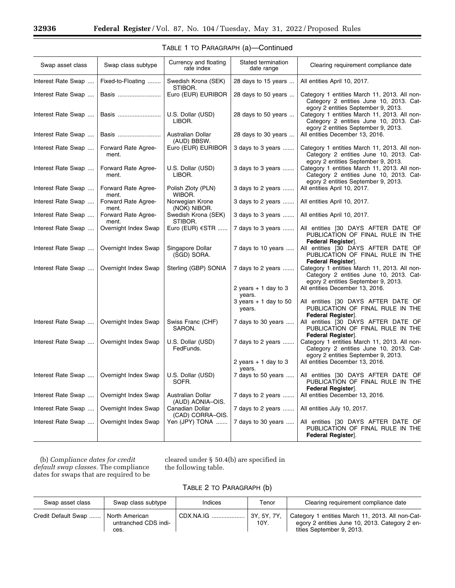۳

| Swap asset class   | Swap class subtype           | Currency and floating<br>rate index   | Stated termination<br>date range   | Clearing requirement compliance date                                                                                           |
|--------------------|------------------------------|---------------------------------------|------------------------------------|--------------------------------------------------------------------------------------------------------------------------------|
| Interest Rate Swap | Fixed-to-Floating            | Swedish Krona (SEK)<br>STIBOR.        | 28 days to 15 years                | All entities April 10, 2017.                                                                                                   |
| Interest Rate Swap | Basis                        | Euro (EUR) EURIBOR                    | 28 days to 50 years                | Category 1 entities March 11, 2013. All non-<br>Category 2 entities June 10, 2013. Cat-<br>egory 2 entities September 9, 2013. |
| Interest Rate Swap | Basis                        | U.S. Dollar (USD)<br>LIBOR.           | 28 days to 50 years                | Category 1 entities March 11, 2013. All non-<br>Category 2 entities June 10, 2013. Cat-                                        |
| Interest Rate Swap | Basis                        | Australian Dollar<br>(AUD) BBSW.      | 28 days to 30 years                | egory 2 entities September 9, 2013.<br>All entities December 13, 2016.                                                         |
| Interest Rate Swap | Forward Rate Agree-<br>ment. | Euro (EUR) EURIBOR                    | 3 days to 3 years                  | Category 1 entities March 11, 2013. All non-<br>Category 2 entities June 10, 2013. Cat-<br>egory 2 entities September 9, 2013. |
| Interest Rate Swap | Forward Rate Agree-<br>ment. | U.S. Dollar (USD)<br>LIBOR.           | 3 days to 3 years                  | Category 1 entities March 11, 2013. All non-<br>Category 2 entities June 10, 2013. Cat-<br>egory 2 entities September 9, 2013. |
| Interest Rate Swap | Forward Rate Agree-<br>ment. | Polish Zloty (PLN)<br>WIBOR.          | 3 days to 2 years                  | All entities April 10, 2017.                                                                                                   |
| Interest Rate Swap | Forward Rate Agree-<br>ment. | Norwegian Krone<br>(NOK) NIBOR.       | 3 days to 2 years                  | All entities April 10, 2017.                                                                                                   |
| Interest Rate Swap | Forward Rate Agree-<br>ment. | Swedish Krona (SEK)<br>STIBOR.        | 3 days to 3 years                  | All entities April 10, 2017.                                                                                                   |
| Interest Rate Swap | Overnight Index Swap         | Euro (EUR) €STR                       | 7 days to 3 years                  | All entities [30 DAYS AFTER DATE OF<br>PUBLICATION OF FINAL RULE IN THE<br>Federal Register].                                  |
| Interest Rate Swap | Overnight Index Swap         | Singapore Dollar<br>(SGD) SORA.       | 7 days to 10 years                 | All entities [30 DAYS AFTER DATE OF<br>PUBLICATION OF FINAL RULE IN THE<br>Federal Register].                                  |
| Interest Rate Swap | Overnight Index Swap         | Sterling (GBP) SONIA                  | 7 days to 2 years                  | Category 1 entities March 11, 2013. All non-<br>Category 2 entities June 10, 2013. Cat-<br>egory 2 entities September 9, 2013. |
|                    |                              |                                       | 2 years $+1$ day to 3<br>years.    | All entities December 13, 2016.                                                                                                |
|                    |                              |                                       | $3$ years $+1$ day to 50<br>years. | All entities [30 DAYS AFTER DATE OF<br>PUBLICATION OF FINAL RULE IN THE<br>Federal Register].                                  |
| Interest Rate Swap | Overnight Index Swap         | Swiss Franc (CHF)<br>SARON.           | 7 days to 30 years                 | All entities [30 DAYS AFTER DATE OF<br>PUBLICATION OF FINAL RULE IN THE<br>Federal Register].                                  |
| Interest Rate Swap | Overnight Index Swap         | U.S. Dollar (USD)<br>FedFunds.        | 7 days to 2 years                  | Category 1 entities March 11, 2013. All non-<br>Category 2 entities June 10, 2013. Cat-<br>egory 2 entities September 9, 2013. |
|                    |                              |                                       | 2 years $+1$ day to 3<br>years.    | All entities December 13, 2016.                                                                                                |
| Interest Rate Swap | Overnight Index Swap         | U.S. Dollar (USD)<br>SOFR.            | 7 days to 50 years                 | All entities [30 DAYS AFTER DATE OF<br>PUBLICATION OF FINAL RULE IN THE<br>Federal Register].                                  |
| Interest Rate Swap | Overnight Index Swap         | Australian Dollar<br>(AUD) AONIA-OIS. | 7 days to 2 years                  | All entities December 13, 2016.                                                                                                |
| Interest Rate Swap | Overnight Index Swap         | Canadian Dollar<br>(CAD) CORRA-OIS.   | 7 days to 2 years                  | All entities July 10, 2017.                                                                                                    |
| Interest Rate Swap | Overnight Index Swap         | Yen (JPY) TONA                        | 7 days to 30 years                 | All entities [30 DAYS AFTER DATE OF<br>PUBLICATION OF FINAL RULE IN THE<br>Federal Register].                                  |

| TABLE 1 TO PARAGRAPH (a)—Continued |  |  |
|------------------------------------|--|--|
|------------------------------------|--|--|

(b) *Compliance dates for credit default swap classes.* The compliance dates for swaps that are required to be

cleared under § 50.4(b) are specified in the following table.

# TABLE 2 TO PARAGRAPH (b)

| Swap asset class    | Swap class subtype                             | Indices   | Tenor                       | Clearing requirement compliance date                                                                                            |
|---------------------|------------------------------------------------|-----------|-----------------------------|---------------------------------------------------------------------------------------------------------------------------------|
| Credit Default Swap | North American<br>untranched CDS indi-<br>ces. | CDX.NA.IG | $\vert$ 3Y, 5Y, 7Y,<br>10Y. | Category 1 entities March 11, 2013. All non-Cat-<br>egory 2 entities June 10, 2013. Category 2 en-<br>tities September 9, 2013. |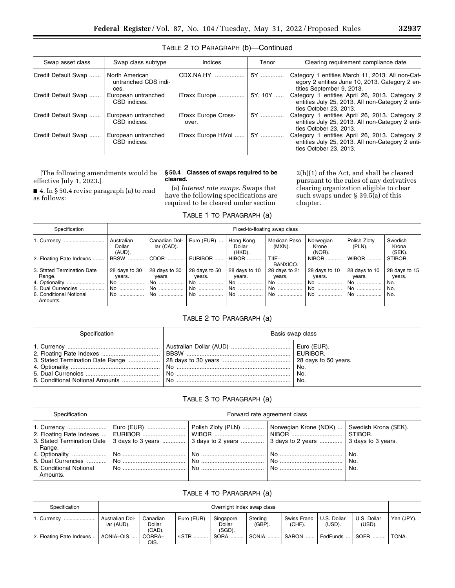| Swap asset class    | Swap class subtype                             | Indices                       | Tenor   | Clearing requirement compliance date                                                                                            |
|---------------------|------------------------------------------------|-------------------------------|---------|---------------------------------------------------------------------------------------------------------------------------------|
| Credit Default Swap | North American<br>untranched CDS indi-<br>ces. | CDX.NA.HY                     | 5Y      | Category 1 entities March 11, 2013. All non-Cat-<br>egory 2 entities June 10, 2013. Category 2 en-<br>tities September 9, 2013. |
| Credit Default Swap | European untranched<br>CSD indices.            | iTraxx Europe                 | 5Y. 10Y | Category 1 entities April 26, 2013. Category 2<br>entities July 25, 2013. All non-Category 2 enti-<br>ties October 23, 2013.    |
| Credit Default Swap | European untranched<br>CSD indices.            | iTraxx Europe Cross-<br>over. | 5Y      | Category 1 entities April 26, 2013. Category 2<br>entities July 25, 2013. All non-Category 2 enti-<br>ties October 23, 2013.    |
| Credit Default Swap | European untranched<br>CSD indices.            | iTraxx Europe HiVol           | 5Y      | Category 1 entities April 26, 2013. Category 2<br>entities July 25, 2013. All non-Category 2 enti-<br>ties October 23, 2013.    |

# TABLE 2 TO PARAGRAPH (b)—Continued

[The following amendments would be effective July 1, 2023.]

■ 4. In § 50.4 revise paragraph (a) to read as follows:

# **§ 50.4 Classes of swaps required to be cleared.**  (a) *Interest rate swaps.* Swaps that

have the following specifications are required to be cleared under section

2(h)(1) of the Act, and shall be cleared pursuant to the rules of any derivatives clearing organization eligible to clear such swaps under § 39.5(a) of this chapter.

# TABLE 1 TO PARAGRAPH (a)

| Specification                                                                                                       | Fixed-to-floating swap class               |                                              |                                           |                                             |                                            |                                             |                                             |                                              |  |  |  |
|---------------------------------------------------------------------------------------------------------------------|--------------------------------------------|----------------------------------------------|-------------------------------------------|---------------------------------------------|--------------------------------------------|---------------------------------------------|---------------------------------------------|----------------------------------------------|--|--|--|
| 1. Currency                                                                                                         | Australian<br>Dollar<br>(AUD).             | Canadian Dol-<br>lar (CAD).                  | Euro (EUR) $\dots$                        | Hong Kong<br>Dollar<br>(HKD).               | Mexican Peso<br>(MXN).                     | Norwegian<br>Krone<br>(NOR).                | Polish Zloty<br>$(PLN)$ .                   | Swedish<br>Krona<br>$(SEK)$ .                |  |  |  |
| 2. Floating Rate Indexes                                                                                            | BBSW                                       | CDOR                                         | EURIBOR                                   | <b>HIBOR</b>                                | $T IIE-$<br>BANXICO.                       | NIBOR                                       | <b>WIBOR</b>                                | STIBOR.                                      |  |  |  |
| 3. Stated Termination Date<br>Range.<br>4. Optionality<br>5. Dual Currencies<br>6. Conditional Notional<br>Amounts. | 28 days to 30<br>years.<br>No<br>No.<br>No | 28 days to 30<br>years.<br>No.<br>No<br>: No | 28 days to 50<br>years.<br>No<br>No<br>No | 28 days to 10<br>years.<br>No.<br>No.<br>No | 28 days to 21<br>years.<br>No.<br>No<br>No | 28 days to 10<br>years.<br>No.<br>No.<br>No | 28 days to 10<br>years.<br>No.<br>No<br>No. | 28 days to 15<br>years.<br>No.<br>No.<br>No. |  |  |  |

# TABLE 2 TO PARAGRAPH (a)

| Specification | Basis swap class |                     |  |  |  |
|---------------|------------------|---------------------|--|--|--|
|               |                  | No.<br>' No.<br>No. |  |  |  |

# TABLE 3 TO PARAGRAPH (a)

| Specification                       | Forward rate agreement class |                                                                                                                                                                                           |  |                   |  |  |  |  |
|-------------------------------------|------------------------------|-------------------------------------------------------------------------------------------------------------------------------------------------------------------------------------------|--|-------------------|--|--|--|--|
| Range.                              |                              | Euro (EUR)   Polish Zloty (PLN)   Norwegian Krone (NOK)    Swedish Krona (SEK).<br>3. Stated Termination Date 3 days to 3 years  3 days to 2 years  3 days to 2 years  3 days to 3 years. |  | STIBOR.           |  |  |  |  |
| 6. Conditional Notional<br>Amounts. |                              |                                                                                                                                                                                           |  | No.<br>No.<br>No. |  |  |  |  |

# TABLE 4 TO PARAGRAPH (a)

| Specification            | Overnight index swap class    |                                 |            |                                  |                       |                       |                       |                           |            |
|--------------------------|-------------------------------|---------------------------------|------------|----------------------------------|-----------------------|-----------------------|-----------------------|---------------------------|------------|
| 1. Currency              | Australian Dol-<br>lar (AUD). | Canadian<br>Dollar<br>$(CAD)$ . | Euro (EUR) | Singapore<br>Dollar<br>$(SGD)$ . | Sterling<br>$(GBP)$ . | Swiss Franc<br>(CHF). | U.S. Dollar<br>(USD). | U.S. Dollar<br>(USD).     | Yen (JPY). |
| 2. Floating Rate Indexes | AONIA-OIS                     | CORRA–<br>OIS.                  | €STR       | SORA                             | SONIA                 | SARON                 | FedFunds              | $\parallel$ SOFR $\ldots$ | TONA.      |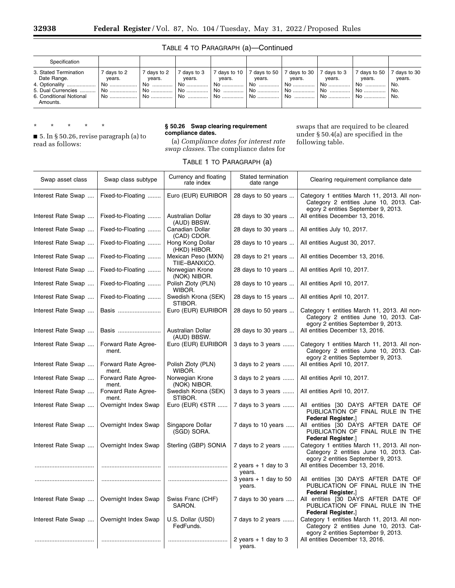# TABLE 4 TO PARAGRAPH (a)—Continued

| Specification                                                                                                          |                                                      |                                                          |                                         |                                          |                                                          |                                              |                                   |                                           |                                           |
|------------------------------------------------------------------------------------------------------------------------|------------------------------------------------------|----------------------------------------------------------|-----------------------------------------|------------------------------------------|----------------------------------------------------------|----------------------------------------------|-----------------------------------|-------------------------------------------|-------------------------------------------|
| 3. Stated Termination<br>Date Range.<br>4. Optionality<br>5. Dual Currencies   <br>6. Conditional Notional<br>Amounts. | 7 days to 2<br>vears.<br>↑ No ………………<br>⊺ No<br>. No | 7 days to 2<br>vears.<br>,No ……………<br>∣ No ……………<br>: No | days to 3<br>vears.<br>No<br>No<br>I No | 7 days to 10 $\parallel$<br>vears.<br>No | 7 days to 50 $\parallel$<br>vears.<br>No<br>  No<br>l No | 7 days to 30<br>years.<br>No<br>i No<br>  No | 7 days to 3<br>years.<br>No<br>No | 7 days to 50<br>vears.<br>No.<br>No<br>No | days to 30<br>vears.<br>No.<br>No.<br>No. |

\* \* \* \* \*

■ 5. In § 50.26, revise paragraph (a) to read as follows:

#### **§ 50.26 Swap clearing requirement compliance dates.**

(a) *Compliance dates for interest rate swap classes.* The compliance dates for swaps that are required to be cleared under § 50.4(a) are specified in the following table.

| Swap asset class   | Swap class subtype           | Currency and floating<br>rate index | Stated termination<br>date range | Clearing requirement compliance date                                                                                           |
|--------------------|------------------------------|-------------------------------------|----------------------------------|--------------------------------------------------------------------------------------------------------------------------------|
| Interest Rate Swap | Fixed-to-Floating            | Euro (EUR) EURIBOR                  | 28 days to 50 years              | Category 1 entities March 11, 2013. All non-<br>Category 2 entities June 10, 2013. Cat-<br>egory 2 entities September 9, 2013. |
| Interest Rate Swap | Fixed-to-Floating            | Australian Dollar<br>(AUD) BBSW.    | 28 days to 30 years              | All entities December 13, 2016.                                                                                                |
| Interest Rate Swap | Fixed-to-Floating            | Canadian Dollar<br>(CAD) CDOR.      | 28 days to 30 years              | All entities July 10, 2017.                                                                                                    |
| Interest Rate Swap | Fixed-to-Floating            | Hong Kong Dollar<br>(HKD) HIBOR.    | 28 days to 10 years              | All entities August 30, 2017.                                                                                                  |
| Interest Rate Swap | Fixed-to-Floating            | Mexican Peso (MXN)<br>TIIE-BANXICO. | 28 days to 21 years              | All entities December 13, 2016.                                                                                                |
| Interest Rate Swap | Fixed-to-Floating            | Norwegian Krone<br>(NOK) NIBOR.     | 28 days to 10 years              | All entities April 10, 2017.                                                                                                   |
| Interest Rate Swap | Fixed-to-Floating            | Polish Zloty (PLN)<br>WIBOR.        | 28 days to 10 years              | All entities April 10, 2017.                                                                                                   |
| Interest Rate Swap | Fixed-to-Floating            | Swedish Krona (SEK)<br>STIBOR.      | 28 days to 15 years              | All entities April 10, 2017.                                                                                                   |
| Interest Rate Swap | Basis                        | Euro (EUR) EURIBOR                  | 28 days to 50 years              | Category 1 entities March 11, 2013. All non-<br>Category 2 entities June 10, 2013. Cat-<br>egory 2 entities September 9, 2013. |
| Interest Rate Swap | Basis                        | Australian Dollar<br>(AUD) BBSW.    | 28 days to 30 years              | All entities December 13, 2016.                                                                                                |
| Interest Rate Swap | Forward Rate Agree-<br>ment. | Euro (EUR) EURIBOR                  | 3 days to 3 years                | Category 1 entities March 11, 2013. All non-<br>Category 2 entities June 10, 2013. Cat-<br>egory 2 entities September 9, 2013. |
| Interest Rate Swap | Forward Rate Agree-<br>ment. | Polish Zloty (PLN)<br>WIBOR.        | 3 days to 2 years                | All entities April 10, 2017.                                                                                                   |
| Interest Rate Swap | Forward Rate Agree-<br>ment. | Norwegian Krone<br>(NOK) NIBOR.     | 3 days to 2 years                | All entities April 10, 2017.                                                                                                   |
| Interest Rate Swap | Forward Rate Agree-<br>ment. | Swedish Krona (SEK)<br>STIBOR.      | 3 days to 3 years                | All entities April 10, 2017.                                                                                                   |
| Interest Rate Swap | Overnight Index Swap         | Euro (EUR) $\epsilon$ STR           | 7 days to 3 years                | All entities [30 DAYS AFTER DATE OF<br>PUBLICATION OF FINAL RULE IN THE<br><b>Federal Register.</b> ]                          |
| Interest Rate Swap | Overnight Index Swap         | Singapore Dollar<br>(SGD) SORA.     | 7 days to 10 years               | All entities [30 DAYS AFTER DATE OF<br>PUBLICATION OF FINAL RULE IN THE<br><b>Federal Register.</b> ]                          |
| Interest Rate Swap | Overnight Index Swap         | Sterling (GBP) SONIA                | 7 days to 2 years                | Category 1 entities March 11, 2013. All non-<br>Category 2 entities June 10, 2013. Cat-<br>egory 2 entities September 9, 2013. |
|                    |                              |                                     | 2 years $+1$ day to 3            | All entities December 13, 2016.                                                                                                |

# TABLE 1 TO PARAGRAPH (a)

| $m$ cico i nate owap $n \times n$ viward nate Agree- | ment.                        |                                 | $L$ ulo (LON) LONDON   Jouays to J years           | Calcycle Final Politics Ividici Fit, 2010. All Holl-<br>Category 2 entities June 10, 2013. Cat-<br>egory 2 entities September 9, 2013. |
|------------------------------------------------------|------------------------------|---------------------------------|----------------------------------------------------|----------------------------------------------------------------------------------------------------------------------------------------|
| Interest Rate Swap                                   | Forward Rate Agree-<br>ment. | Polish Zloty (PLN)<br>WIBOR.    | 3 days to 2 years                                  | All entities April 10, 2017.                                                                                                           |
| Interest Rate Swap                                   | Forward Rate Agree-<br>ment. | Norwegian Krone<br>(NOK) NIBOR. | 3 days to 2 years                                  | All entities April 10, 2017.                                                                                                           |
| Interest Rate Swap                                   | Forward Rate Agree-<br>ment. | Swedish Krona (SEK)<br>STIBOR.  | 3 days to 3 years                                  | All entities April 10, 2017.                                                                                                           |
| Interest Rate Swap                                   | Overnight Index Swap         | Euro (EUR) $\epsilon$ STR       | 7 days to 3 years                                  | All entities [30 DAYS AFTER DATE OF<br>PUBLICATION OF FINAL RULE IN THE<br><b>Federal Register.</b> ]                                  |
| Interest Rate Swap                                   | Overnight Index Swap         | Singapore Dollar<br>(SGD) SORA. | 7 days to 10 years                                 | All entities [30 DAYS AFTER DATE OF<br>PUBLICATION OF FINAL RULE IN THE<br><b>Federal Register.</b>                                    |
| Interest Rate Swap                                   | Overnight Index Swap         | Sterling (GBP) SONIA            | 7 days to 2 years                                  | Category 1 entities March 11, 2013. All non-<br>Category 2 entities June 10, 2013. Cat-<br>egory 2 entities September 9, 2013.         |
|                                                      |                              |                                 | 2 years $+1$ day to 3<br>years.                    | All entities December 13, 2016.                                                                                                        |
|                                                      |                              |                                 | $3 \text{ years} + 1 \text{ day to } 50$<br>years. | All entities [30 DAYS AFTER DATE OF<br>PUBLICATION OF FINAL RULE IN THE<br><b>Federal Register.</b> ]                                  |
| Interest Rate Swap                                   | Overnight Index Swap         | Swiss Franc (CHF)<br>SARON.     | 7 days to 30 years                                 | All entities [30 DAYS AFTER DATE OF<br>PUBLICATION OF FINAL RULE IN THE<br><b>Federal Register.</b> ]                                  |
| Interest Rate Swap                                   | Overnight Index Swap         | U.S. Dollar (USD)<br>FedFunds.  | 7 days to 2 years                                  | Category 1 entities March 11, 2013. All non-<br>Category 2 entities June 10, 2013. Cat-<br>egory 2 entities September 9, 2013.         |
|                                                      |                              |                                 | 2 years $+1$ day to 3<br>years.                    | All entities December 13, 2016.                                                                                                        |
|                                                      |                              |                                 |                                                    |                                                                                                                                        |